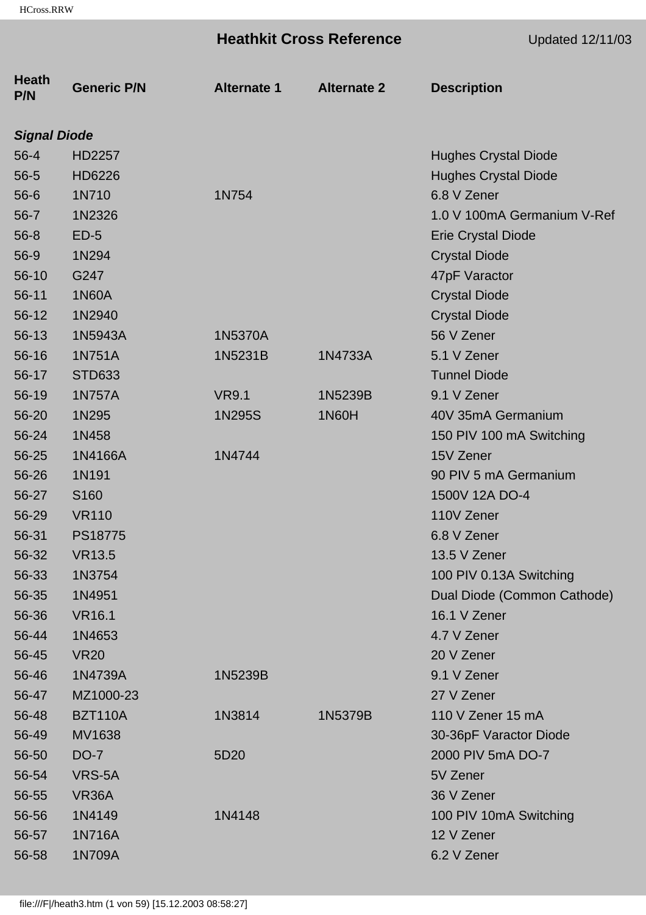# **Heathkit Cross Reference** Updated 12/11/03

| <b>Heath</b><br>P/N | <b>Generic P/N</b> | <b>Alternate 1</b> | <b>Alternate 2</b> | <b>Description</b>          |
|---------------------|--------------------|--------------------|--------------------|-----------------------------|
| <b>Signal Diode</b> |                    |                    |                    |                             |
| $56 - 4$            | HD2257             |                    |                    | <b>Hughes Crystal Diode</b> |
| $56 - 5$            | HD6226             |                    |                    | <b>Hughes Crystal Diode</b> |
| $56-6$              | 1N710              | 1N754              |                    | 6.8 V Zener                 |
| $56 - 7$            | 1N2326             |                    |                    | 1.0 V 100mA Germanium V-Ref |
| $56 - 8$            | $ED-5$             |                    |                    | <b>Erie Crystal Diode</b>   |
| $56-9$              | 1N294              |                    |                    | <b>Crystal Diode</b>        |
| $56-10$             | G247               |                    |                    | 47pF Varactor               |
| $56-11$             | <b>1N60A</b>       |                    |                    | <b>Crystal Diode</b>        |
| $56-12$             | 1N2940             |                    |                    | <b>Crystal Diode</b>        |
| $56-13$             | 1N5943A            | 1N5370A            |                    | 56 V Zener                  |
| $56 - 16$           | 1N751A             | 1N5231B            | 1N4733A            | 5.1 V Zener                 |
| 56-17               | <b>STD633</b>      |                    |                    | <b>Tunnel Diode</b>         |
| 56-19               | <b>1N757A</b>      | <b>VR9.1</b>       | 1N5239B            | 9.1 V Zener                 |
| $56 - 20$           | 1N295              | 1N295S             | 1N60H              | 40V 35mA Germanium          |
| 56-24               | 1N458              |                    |                    | 150 PIV 100 mA Switching    |
| 56-25               | 1N4166A            | 1N4744             |                    | 15V Zener                   |
| 56-26               | 1N191              |                    |                    | 90 PIV 5 mA Germanium       |
| 56-27               | S <sub>160</sub>   |                    |                    | 1500V 12A DO-4              |
| 56-29               | <b>VR110</b>       |                    |                    | 110V Zener                  |
| 56-31               | PS18775            |                    |                    | 6.8 V Zener                 |
| 56-32               | <b>VR13.5</b>      |                    |                    | 13.5 V Zener                |
| 56-33               | 1N3754             |                    |                    | 100 PIV 0.13A Switching     |
| 56-35               | 1N4951             |                    |                    | Dual Diode (Common Cathode) |
| 56-36               | <b>VR16.1</b>      |                    |                    | 16.1 V Zener                |
| 56-44               | 1N4653             |                    |                    | 4.7 V Zener                 |
| 56-45               | <b>VR20</b>        |                    |                    | 20 V Zener                  |
| 56-46               | 1N4739A            | 1N5239B            |                    | 9.1 V Zener                 |
| 56-47               | MZ1000-23          |                    |                    | 27 V Zener                  |
| 56-48               | <b>BZT110A</b>     | 1N3814             | 1N5379B            | 110 V Zener 15 mA           |
| 56-49               | MV1638             |                    |                    | 30-36pF Varactor Diode      |
| 56-50               | <b>DO-7</b>        | 5D <sub>20</sub>   |                    | 2000 PIV 5mA DO-7           |
| 56-54               | VRS-5A             |                    |                    | 5V Zener                    |
| 56-55               | VR <sub>36</sub> A |                    |                    | 36 V Zener                  |
| 56-56               | 1N4149             | 1N4148             |                    | 100 PIV 10mA Switching      |
| 56-57               | 1N716A             |                    |                    | 12 V Zener                  |
| 56-58               | 1N709A             |                    |                    | 6.2 V Zener                 |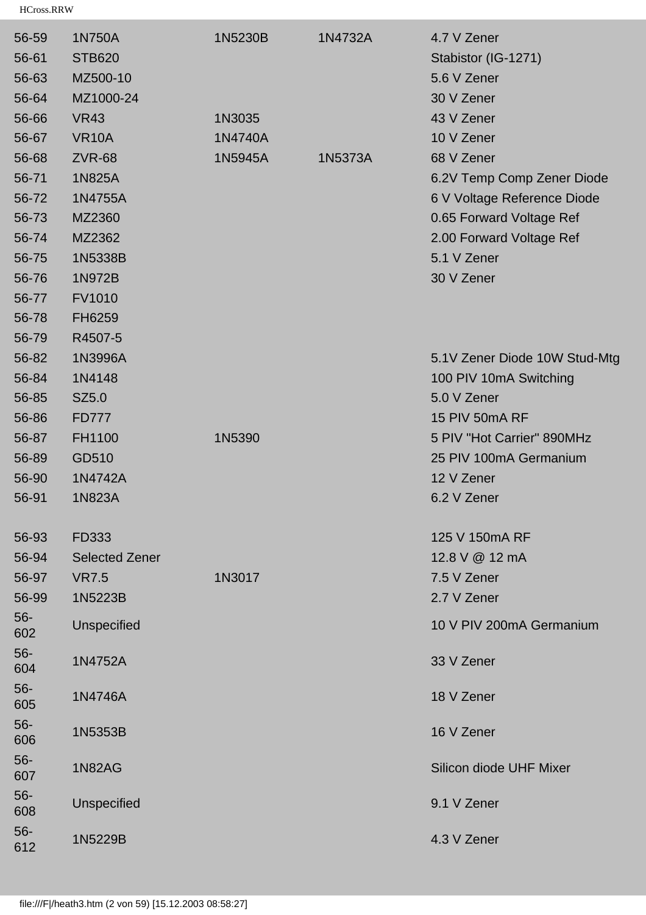| 56-59        | 1N750A                | 1N5230B | 1N4732A | 4.7 V Zener                   |
|--------------|-----------------------|---------|---------|-------------------------------|
| 56-61        | <b>STB620</b>         |         |         | Stabistor (IG-1271)           |
| 56-63        | MZ500-10              |         |         | 5.6 V Zener                   |
| 56-64        | MZ1000-24             |         |         | 30 V Zener                    |
| 56-66        | <b>VR43</b>           | 1N3035  |         | 43 V Zener                    |
| 56-67        | <b>VR10A</b>          | 1N4740A |         | 10 V Zener                    |
| 56-68        | <b>ZVR-68</b>         | 1N5945A | 1N5373A | 68 V Zener                    |
| 56-71        | 1N825A                |         |         | 6.2V Temp Comp Zener Diode    |
| 56-72        | 1N4755A               |         |         | 6 V Voltage Reference Diode   |
| 56-73        | MZ2360                |         |         | 0.65 Forward Voltage Ref      |
| 56-74        | MZ2362                |         |         | 2.00 Forward Voltage Ref      |
| 56-75        | 1N5338B               |         |         | 5.1 V Zener                   |
| 56-76        | 1N972B                |         |         | 30 V Zener                    |
| 56-77        | <b>FV1010</b>         |         |         |                               |
| 56-78        | FH6259                |         |         |                               |
| 56-79        | R4507-5               |         |         |                               |
| 56-82        | 1N3996A               |         |         | 5.1V Zener Diode 10W Stud-Mtg |
| 56-84        | 1N4148                |         |         | 100 PIV 10mA Switching        |
| 56-85        | SZ5.0                 |         |         | 5.0 V Zener                   |
| 56-86        | <b>FD777</b>          |         |         | <b>15 PIV 50mA RF</b>         |
| 56-87        | FH1100                | 1N5390  |         | 5 PIV "Hot Carrier" 890MHz    |
| 56-89        | GD510                 |         |         | 25 PIV 100mA Germanium        |
| 56-90        | 1N4742A               |         |         | 12 V Zener                    |
| 56-91        | 1N823A                |         |         | 6.2 V Zener                   |
| 56-93        | FD333                 |         |         | 125 V 150mA RF                |
| 56-94        | <b>Selected Zener</b> |         |         | 12.8 V @ 12 mA                |
| 56-97        | <b>VR7.5</b>          | 1N3017  |         | 7.5 V Zener                   |
| 56-99        | 1N5223B               |         |         | 2.7 V Zener                   |
| $56-$<br>602 | Unspecified           |         |         | 10 V PIV 200mA Germanium      |
| $56-$<br>604 | 1N4752A               |         |         | 33 V Zener                    |
| $56-$<br>605 | 1N4746A               |         |         | 18 V Zener                    |
| $56-$<br>606 | 1N5353B               |         |         | 16 V Zener                    |
| $56-$<br>607 | <b>1N82AG</b>         |         |         | Silicon diode UHF Mixer       |
| $56-$<br>608 | <b>Unspecified</b>    |         |         | 9.1 V Zener                   |
| $56-$<br>612 | 1N5229B               |         |         | 4.3 V Zener                   |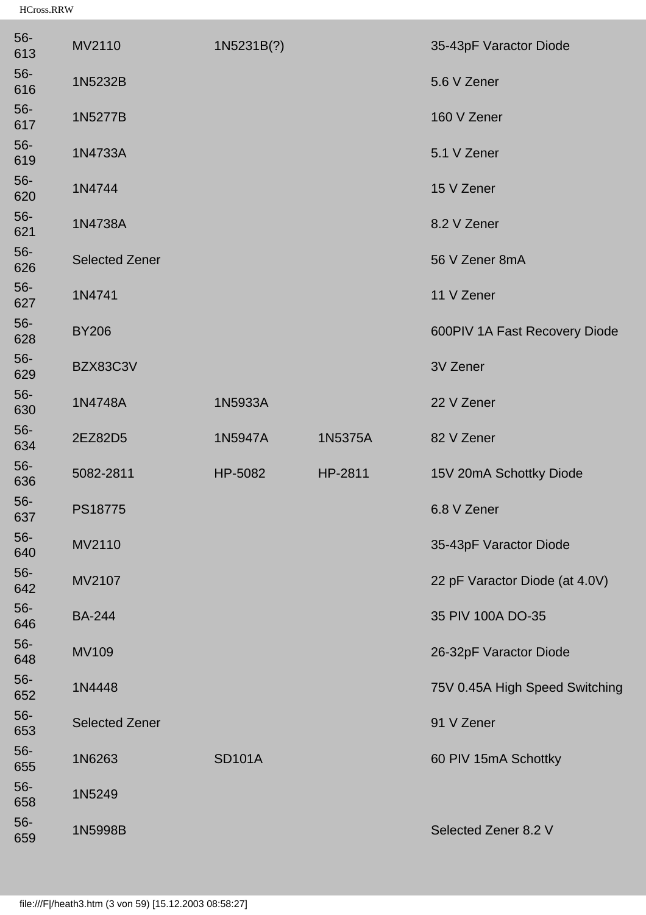| 56-<br>613   | MV2110                | 1N5231B(?)    |         | 35-43pF Varactor Diode         |
|--------------|-----------------------|---------------|---------|--------------------------------|
| $56-$<br>616 | 1N5232B               |               |         | 5.6 V Zener                    |
| $56-$<br>617 | 1N5277B               |               |         | 160 V Zener                    |
| $56-$<br>619 | 1N4733A               |               |         | 5.1 V Zener                    |
| $56-$<br>620 | 1N4744                |               |         | 15 V Zener                     |
| $56-$<br>621 | 1N4738A               |               |         | 8.2 V Zener                    |
| $56-$<br>626 | <b>Selected Zener</b> |               |         | 56 V Zener 8mA                 |
| $56-$<br>627 | 1N4741                |               |         | 11 V Zener                     |
| $56-$<br>628 | <b>BY206</b>          |               |         | 600PIV 1A Fast Recovery Diode  |
| $56-$<br>629 | BZX83C3V              |               |         | 3V Zener                       |
| $56-$<br>630 | 1N4748A               | 1N5933A       |         | 22 V Zener                     |
| $56-$<br>634 | 2EZ82D5               | 1N5947A       | 1N5375A | 82 V Zener                     |
| $56-$<br>636 | 5082-2811             | HP-5082       | HP-2811 | 15V 20mA Schottky Diode        |
| $56-$<br>637 | PS18775               |               |         | 6.8 V Zener                    |
| 56-<br>640   | MV2110                |               |         | 35-43pF Varactor Diode         |
| $56-$<br>642 | MV2107                |               |         | 22 pF Varactor Diode (at 4.0V) |
| $56-$<br>646 | <b>BA-244</b>         |               |         | 35 PIV 100A DO-35              |
| $56-$<br>648 | <b>MV109</b>          |               |         | 26-32pF Varactor Diode         |
| $56-$<br>652 | 1N4448                |               |         | 75V 0.45A High Speed Switching |
| $56-$<br>653 | <b>Selected Zener</b> |               |         | 91 V Zener                     |
| $56-$<br>655 | 1N6263                | <b>SD101A</b> |         | 60 PIV 15mA Schottky           |
| $56-$<br>658 | 1N5249                |               |         |                                |
| $56-$<br>659 | 1N5998B               |               |         | Selected Zener 8.2 V           |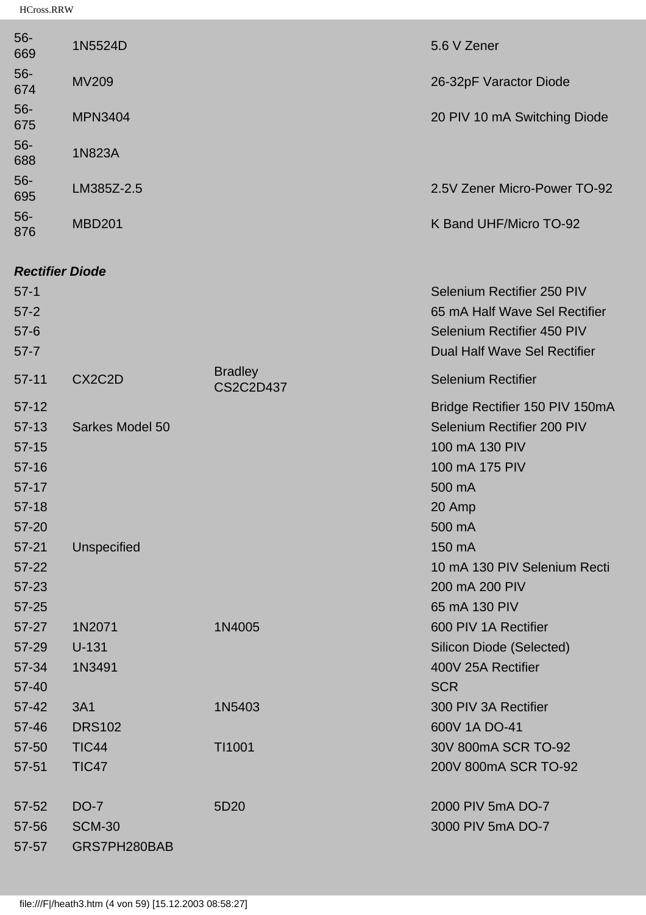| $56 -$<br>669 | 1N5524D        | 5.6 V Zener                  |
|---------------|----------------|------------------------------|
| $56 -$<br>674 | <b>MV209</b>   | 26-32pF Varactor Diode       |
| $56 -$<br>675 | <b>MPN3404</b> | 20 PIV 10 mA Switching Diode |
| $56 -$<br>688 | 1N823A         |                              |
| $56-$<br>695  | LM385Z-2.5     | 2.5V Zener Micro-Power TO-92 |
| $56 -$<br>876 | <b>MBD201</b>  | K Band UHF/Micro TO-92       |

# *Rectifier Diode*

| $57-1$<br>$57 - 2$<br>$57-6$<br>$57 - 7$                         |                                              |                                    | Selenium Rectifier 250 PIV<br>65 mA Half Wave Sel Rectifier<br><b>Selenium Rectifier 450 PIV</b><br><b>Dual Half Wave Sel Rectifier</b> |
|------------------------------------------------------------------|----------------------------------------------|------------------------------------|-----------------------------------------------------------------------------------------------------------------------------------------|
| $57 - 11$                                                        | CX2C2D                                       | <b>Bradley</b><br><b>CS2C2D437</b> | <b>Selenium Rectifier</b>                                                                                                               |
| $57-12$<br>$57-13$<br>$57-15$<br>$57 - 16$<br>$57-17$<br>$57-18$ | Sarkes Model 50                              |                                    | Bridge Rectifier 150 PIV 150mA<br>Selenium Rectifier 200 PIV<br>100 mA 130 PIV<br>100 mA 175 PIV<br>500 mA<br>20 Amp                    |
| $57 - 20$<br>$57 - 21$<br>$57 - 22$<br>57-23<br>$57 - 25$        | <b>Unspecified</b>                           |                                    | 500 mA<br>150 mA<br>10 mA 130 PIV Selenium Recti<br>200 mA 200 PIV<br>65 mA 130 PIV                                                     |
| $57 - 27$<br>57-29<br>57-34<br>$57 - 40$                         | 1N2071<br>$U-131$<br>1N3491                  | 1N4005                             | 600 PIV 1A Rectifier<br>Silicon Diode (Selected)<br>400V 25A Rectifier<br><b>SCR</b>                                                    |
| $57 - 42$<br>57-46                                               | <b>3A1</b><br><b>DRS102</b>                  | 1N5403                             | 300 PIV 3A Rectifier<br>600V 1A DO-41                                                                                                   |
| 57-50<br>57-51                                                   | <b>TIC44</b><br><b>TIC47</b>                 | TI1001                             | 30V 800mA SCR TO-92<br>200V 800mA SCR TO-92                                                                                             |
| $57 - 52$<br>57-56<br>57-57                                      | <b>DO-7</b><br><b>SCM-30</b><br>GRS7PH280BAB | 5D20                               | 2000 PIV 5mA DO-7<br>3000 PIV 5mA DO-7                                                                                                  |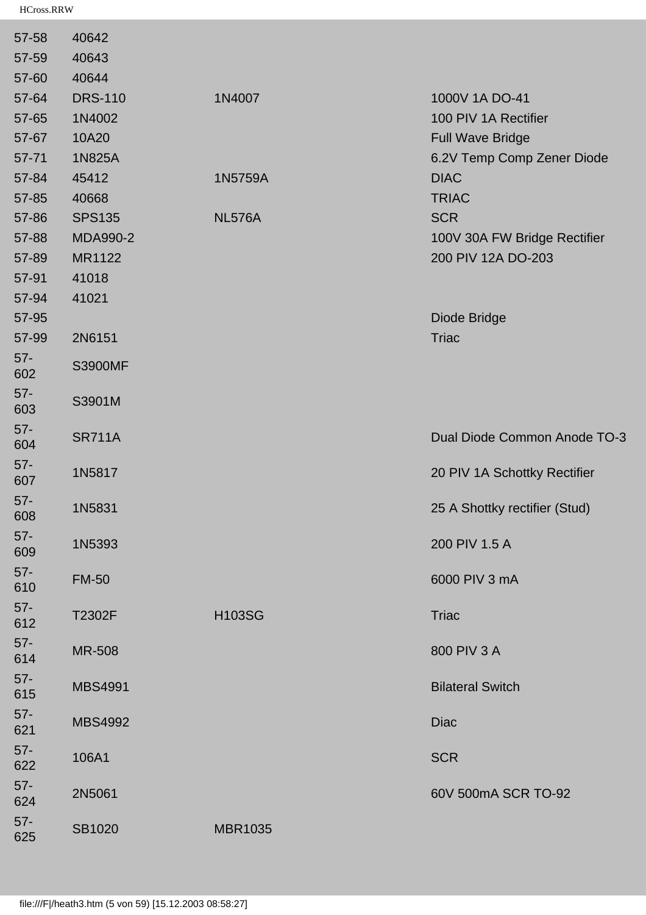| 57-58         | 40642           |                |                               |
|---------------|-----------------|----------------|-------------------------------|
| 57-59         | 40643           |                |                               |
| 57-60         | 40644           |                |                               |
| 57-64         | <b>DRS-110</b>  | 1N4007         | 1000V 1A DO-41                |
| 57-65         | 1N4002          |                | 100 PIV 1A Rectifier          |
| 57-67         | 10A20           |                | <b>Full Wave Bridge</b>       |
| $57 - 71$     | 1N825A          |                | 6.2V Temp Comp Zener Diode    |
| 57-84         | 45412           | 1N5759A        | <b>DIAC</b>                   |
| 57-85         | 40668           |                | <b>TRIAC</b>                  |
| 57-86         | <b>SPS135</b>   | <b>NL576A</b>  | <b>SCR</b>                    |
| 57-88         | <b>MDA990-2</b> |                | 100V 30A FW Bridge Rectifier  |
| 57-89         | MR1122          |                | 200 PIV 12A DO-203            |
| 57-91         | 41018           |                |                               |
| 57-94         | 41021           |                |                               |
| 57-95         |                 |                | Diode Bridge                  |
| 57-99         | 2N6151          |                | <b>Triac</b>                  |
| $57 -$<br>602 | <b>S3900MF</b>  |                |                               |
| $57 -$<br>603 | S3901M          |                |                               |
| $57 -$<br>604 | <b>SR711A</b>   |                | Dual Diode Common Anode TO-3  |
| $57 -$<br>607 | 1N5817          |                | 20 PIV 1A Schottky Rectifier  |
| $57 -$<br>608 | 1N5831          |                | 25 A Shottky rectifier (Stud) |
| $57 -$<br>609 | 1N5393          |                | 200 PIV 1.5 A                 |
| $57 -$<br>610 | <b>FM-50</b>    |                | 6000 PIV 3 mA                 |
| $57 -$<br>612 | T2302F          | <b>H103SG</b>  | <b>Triac</b>                  |
| $57-$<br>614  | <b>MR-508</b>   |                | 800 PIV 3 A                   |
| $57 -$<br>615 | <b>MBS4991</b>  |                | <b>Bilateral Switch</b>       |
| $57 -$<br>621 | <b>MBS4992</b>  |                | <b>Diac</b>                   |
| $57 -$<br>622 | 106A1           |                | <b>SCR</b>                    |
| $57-$<br>624  | 2N5061          |                | 60V 500mA SCR TO-92           |
| $57 -$<br>625 | SB1020          | <b>MBR1035</b> |                               |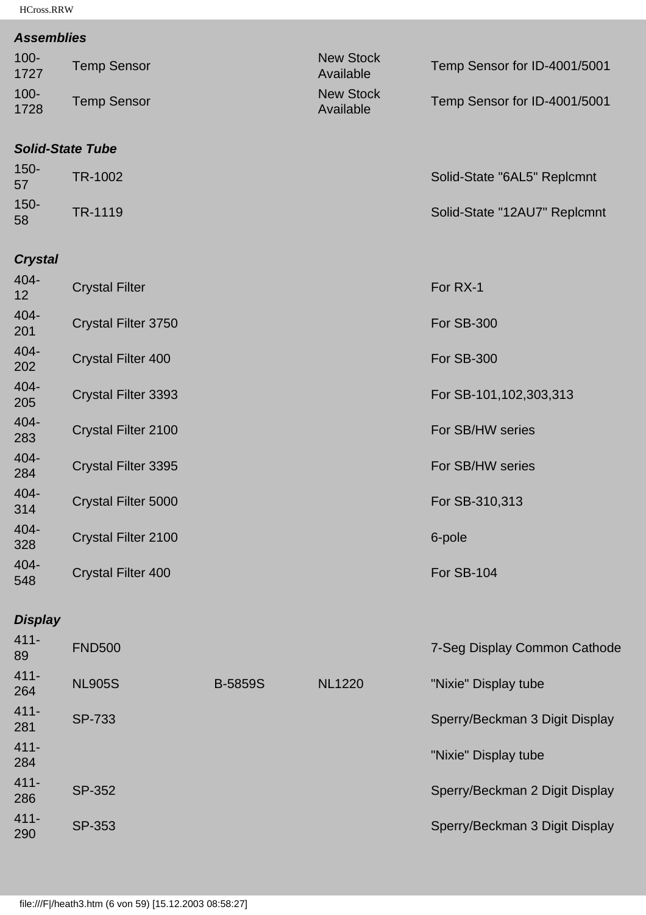#### *Assemblies*

| 1727<br>$100 -$<br>1728 | <b>Temp Sensor</b><br><b>Temp Sensor</b> | Available<br><b>New Stock</b><br>Available | Temp Sensor for ID-4001/5001<br>Temp Sensor for ID-4001/5001 |
|-------------------------|------------------------------------------|--------------------------------------------|--------------------------------------------------------------|
|                         | Calid Cinin Tube                         |                                            |                                                              |

#### *Solid-State Tube*

| $150 -$<br>57 | TR-1002 | Solid-State "6AL5" Replcmnt  |
|---------------|---------|------------------------------|
| $150 -$<br>58 | TR-1119 | Solid-State "12AU7" Replcmnt |

# *Crystal*

| 404-<br>12  | <b>Crystal Filter</b>     | For RX-1                  |
|-------------|---------------------------|---------------------------|
| 404-<br>201 | Crystal Filter 3750       | <b>For SB-300</b>         |
| 404-<br>202 | <b>Crystal Filter 400</b> | <b>For SB-300</b>         |
| 404-<br>205 | Crystal Filter 3393       | For SB-101, 102, 303, 313 |
| 404-<br>283 | Crystal Filter 2100       | For SB/HW series          |
| 404-<br>284 | Crystal Filter 3395       | For SB/HW series          |
| 404-<br>314 | Crystal Filter 5000       | For SB-310,313            |
| 404-<br>328 | Crystal Filter 2100       | 6-pole                    |
| 404-<br>548 | <b>Crystal Filter 400</b> | For SB-104                |

## *Display*

| $411 -$<br>89  | <b>FND500</b> |                |               | 7-Seg Display Common Cathode   |
|----------------|---------------|----------------|---------------|--------------------------------|
| $411 -$<br>264 | <b>NL905S</b> | <b>B-5859S</b> | <b>NL1220</b> | "Nixie" Display tube           |
| $411 -$<br>281 | SP-733        |                |               | Sperry/Beckman 3 Digit Display |
| $411 -$<br>284 |               |                |               | "Nixie" Display tube           |
| $411 -$<br>286 | SP-352        |                |               | Sperry/Beckman 2 Digit Display |
| $411 -$<br>290 | SP-353        |                |               | Sperry/Beckman 3 Digit Display |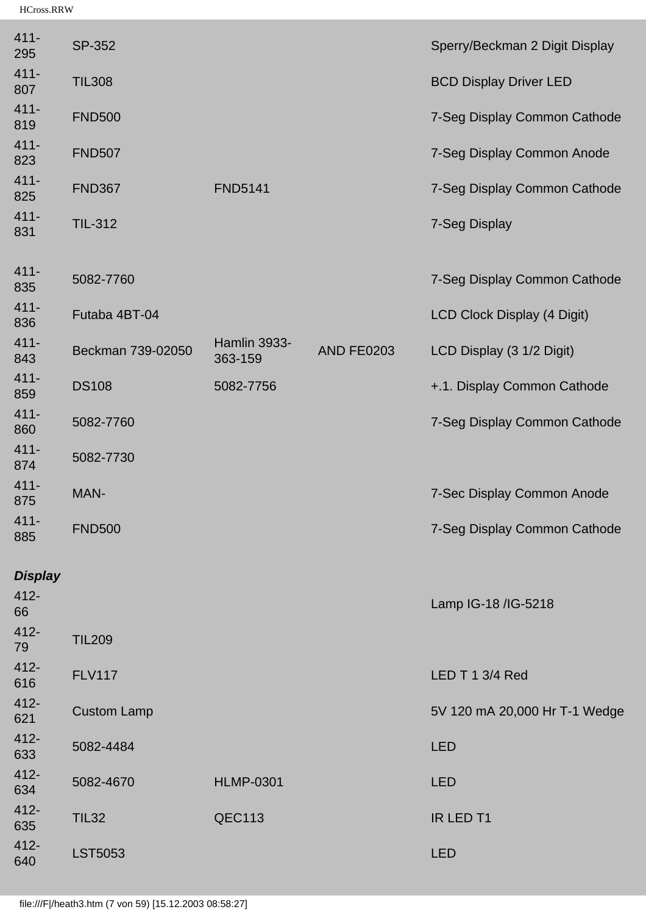| $411 -$<br>295 | <b>SP-352</b>      |                         |                   | Sperry/Beckman 2 Digit Display |
|----------------|--------------------|-------------------------|-------------------|--------------------------------|
| $411 -$<br>807 | <b>TIL308</b>      |                         |                   | <b>BCD Display Driver LED</b>  |
| $411 -$<br>819 | <b>FND500</b>      |                         |                   | 7-Seg Display Common Cathode   |
| $411 -$<br>823 | <b>FND507</b>      |                         |                   | 7-Seg Display Common Anode     |
| $411 -$<br>825 | <b>FND367</b>      | <b>FND5141</b>          |                   | 7-Seg Display Common Cathode   |
| $411 -$<br>831 | <b>TIL-312</b>     |                         |                   | 7-Seg Display                  |
| $411 -$<br>835 | 5082-7760          |                         |                   | 7-Seg Display Common Cathode   |
| $411 -$<br>836 | Futaba 4BT-04      |                         |                   | LCD Clock Display (4 Digit)    |
| $411 -$<br>843 | Beckman 739-02050  | Hamlin 3933-<br>363-159 | <b>AND FE0203</b> | LCD Display (3 1/2 Digit)      |
| $411 -$<br>859 | <b>DS108</b>       | 5082-7756               |                   | +.1. Display Common Cathode    |
| $411 -$<br>860 | 5082-7760          |                         |                   | 7-Seg Display Common Cathode   |
| $411 -$<br>874 | 5082-7730          |                         |                   |                                |
| $411 -$<br>875 | MAN-               |                         |                   | 7-Sec Display Common Anode     |
| $411 -$<br>885 | <b>FND500</b>      |                         |                   | 7-Seg Display Common Cathode   |
| <b>Display</b> |                    |                         |                   |                                |
| $412 -$<br>66  |                    |                         |                   | Lamp IG-18 /IG-5218            |
| $412 -$<br>79  | <b>TIL209</b>      |                         |                   |                                |
| $412 -$<br>616 | <b>FLV117</b>      |                         |                   | LED T 1 3/4 Red                |
| $412 -$<br>621 | <b>Custom Lamp</b> |                         |                   | 5V 120 mA 20,000 Hr T-1 Wedge  |
| $412 -$<br>633 | 5082-4484          |                         |                   | <b>LED</b>                     |
| $412 -$<br>634 | 5082-4670          | <b>HLMP-0301</b>        |                   | <b>LED</b>                     |
| $412 -$<br>635 | <b>TIL32</b>       | <b>QEC113</b>           |                   | IR LED T1                      |
| $412 -$<br>640 | <b>LST5053</b>     |                         |                   | <b>LED</b>                     |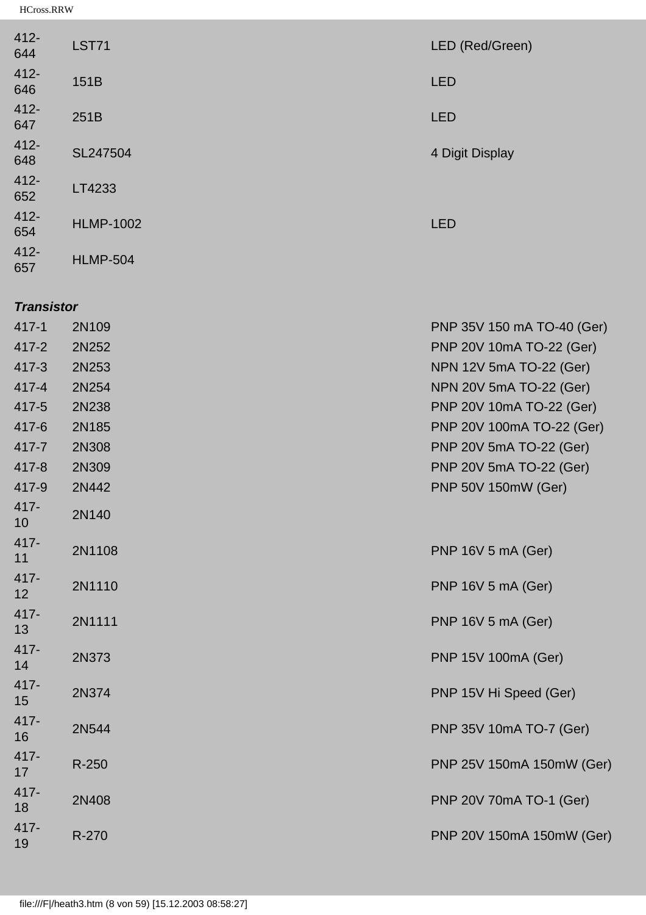| $412 -$<br>644 | <b>LST71</b>     | LED (Red/Green) |
|----------------|------------------|-----------------|
| $412 -$<br>646 | 151B             | <b>LED</b>      |
| $412 -$<br>647 | 251B             | <b>LED</b>      |
| $412 -$<br>648 | SL247504         | 4 Digit Display |
| $412 -$<br>652 | LT4233           |                 |
| $412 -$<br>654 | <b>HLMP-1002</b> | <b>LED</b>      |
| $412 -$<br>657 | <b>HLMP-504</b>  |                 |

### *Transistor*

| $417 - 1$  | 2N109  | PNP 35V 150 mA TO-40 (Ger) |
|------------|--------|----------------------------|
| $417 - 2$  | 2N252  | PNP 20V 10mA TO-22 (Ger)   |
| $417 - 3$  | 2N253  | NPN 12V 5mA TO-22 (Ger)    |
| $417 - 4$  | 2N254  | NPN 20V 5mA TO-22 (Ger)    |
| 417-5      | 2N238  | PNP 20V 10mA TO-22 (Ger)   |
| $417 - 6$  | 2N185  | PNP 20V 100mA TO-22 (Ger)  |
| 417-7      | 2N308  | PNP 20V 5mA TO-22 (Ger)    |
| 417-8      | 2N309  | PNP 20V 5mA TO-22 (Ger)    |
| 417-9      | 2N442  | PNP 50V 150mW (Ger)        |
| 417-<br>10 | 2N140  |                            |
| 417-<br>11 | 2N1108 | PNP 16V 5 mA (Ger)         |
| 417-<br>12 | 2N1110 | PNP 16V 5 mA (Ger)         |
| 417-<br>13 | 2N1111 | PNP 16V 5 mA (Ger)         |
| 417-<br>14 | 2N373  | PNP 15V 100mA (Ger)        |
| 417-<br>15 | 2N374  | PNP 15V Hi Speed (Ger)     |
| 417-<br>16 | 2N544  | PNP 35V 10mA TO-7 (Ger)    |
| 417-<br>17 | R-250  | PNP 25V 150mA 150mW (Ger)  |
| 417-<br>18 | 2N408  | PNP 20V 70mA TO-1 (Ger)    |
| 417-<br>19 | R-270  | PNP 20V 150mA 150mW (Ger)  |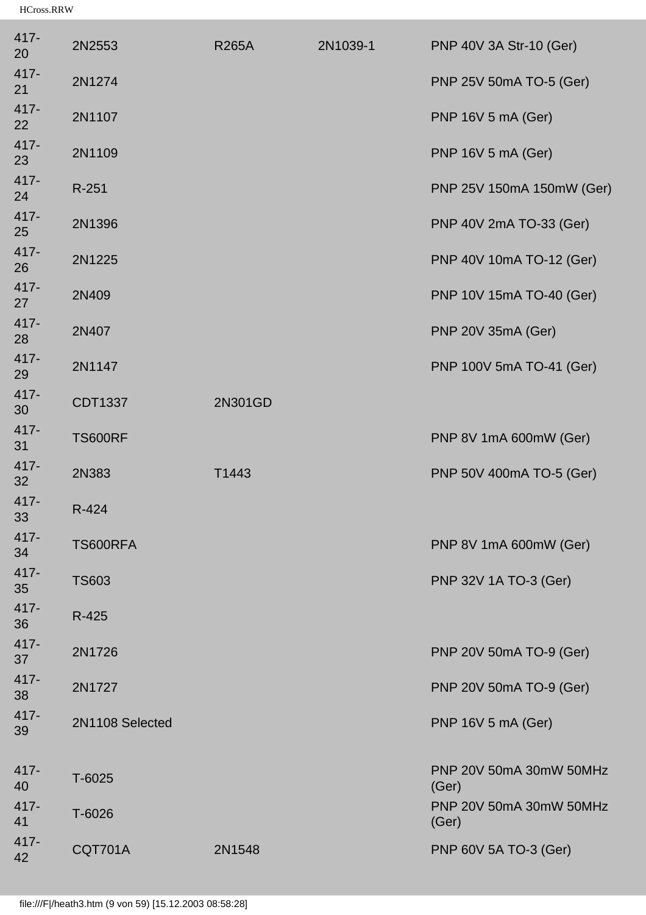| 417-<br>20    | 2N2553          | <b>R265A</b> | 2N1039-1 | PNP 40V 3A Str-10 (Ger)          |
|---------------|-----------------|--------------|----------|----------------------------------|
| $417 -$<br>21 | 2N1274          |              |          | PNP 25V 50mA TO-5 (Ger)          |
| 417-<br>22    | 2N1107          |              |          | PNP 16V 5 mA (Ger)               |
| 417-<br>23    | 2N1109          |              |          | PNP 16V 5 mA (Ger)               |
| 417-<br>24    | $R-251$         |              |          | PNP 25V 150mA 150mW (Ger)        |
| 417-<br>25    | 2N1396          |              |          | PNP 40V 2mA TO-33 (Ger)          |
| 417-<br>26    | 2N1225          |              |          | PNP 40V 10mA TO-12 (Ger)         |
| 417-<br>27    | 2N409           |              |          | PNP 10V 15mA TO-40 (Ger)         |
| 417-<br>28    | 2N407           |              |          | PNP 20V 35mA (Ger)               |
| 417-<br>29    | 2N1147          |              |          | PNP 100V 5mA TO-41 (Ger)         |
| 417-<br>30    | CDT1337         | 2N301GD      |          |                                  |
| 417-<br>31    | <b>TS600RF</b>  |              |          | PNP 8V 1mA 600mW (Ger)           |
| 417-<br>32    | 2N383           | T1443        |          | PNP 50V 400mA TO-5 (Ger)         |
| 417-<br>33    | R-424           |              |          |                                  |
| $417 -$<br>34 | TS600RFA        |              |          | PNP 8V 1mA 600mW (Ger)           |
| $417 -$<br>35 | <b>TS603</b>    |              |          | PNP 32V 1A TO-3 (Ger)            |
| $417 -$<br>36 | R-425           |              |          |                                  |
| 417-<br>37    | 2N1726          |              |          | PNP 20V 50mA TO-9 (Ger)          |
| 417-<br>38    | 2N1727          |              |          | PNP 20V 50mA TO-9 (Ger)          |
| 417-<br>39    | 2N1108 Selected |              |          | PNP 16V 5 mA (Ger)               |
| $417 -$<br>40 | $T-6025$        |              |          | PNP 20V 50mA 30mW 50MHz<br>(Ger) |
| $417 -$<br>41 | T-6026          |              |          | PNP 20V 50mA 30mW 50MHz<br>(Ger) |
| 417-<br>42    | CQT701A         | 2N1548       |          | PNP 60V 5A TO-3 (Ger)            |
|               |                 |              |          |                                  |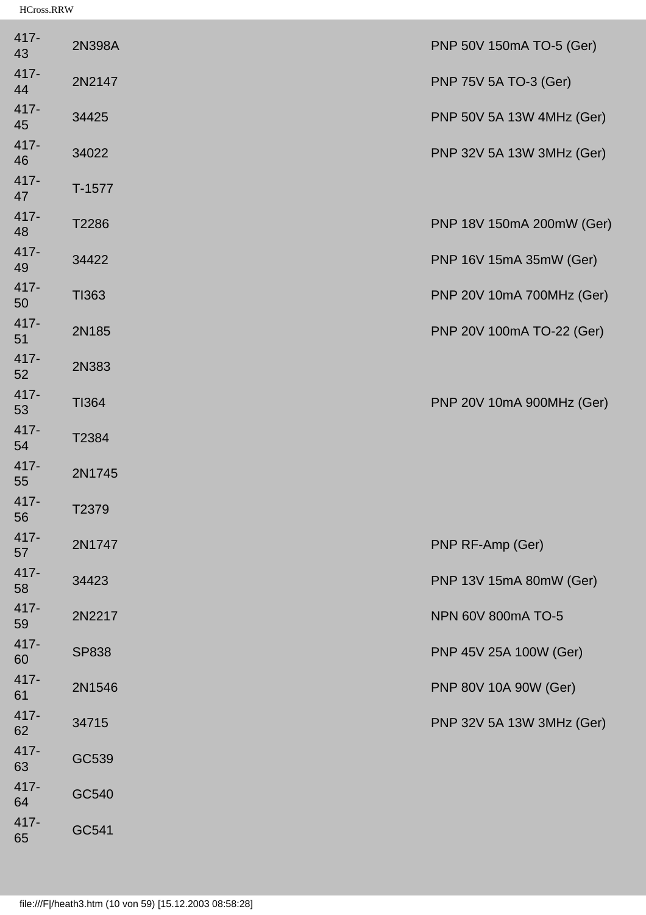| 417-<br>43    | 2N398A       | PNP 50V 150mA TO-5 (Ger)  |
|---------------|--------------|---------------------------|
| 417-<br>44    | 2N2147       | PNP 75V 5A TO-3 (Ger)     |
| 417-<br>45    | 34425        | PNP 50V 5A 13W 4MHz (Ger) |
| 417-<br>46    | 34022        | PNP 32V 5A 13W 3MHz (Ger) |
| 417-<br>47    | $T-1577$     |                           |
| 417-<br>48    | T2286        | PNP 18V 150mA 200mW (Ger) |
| 417-<br>49    | 34422        | PNP 16V 15mA 35mW (Ger)   |
| 417-<br>50    | TI363        | PNP 20V 10mA 700MHz (Ger) |
| 417-<br>51    | 2N185        | PNP 20V 100mA TO-22 (Ger) |
| 417-<br>52    | 2N383        |                           |
| 417-<br>53    | <b>TI364</b> | PNP 20V 10mA 900MHz (Ger) |
| 417-<br>54    | T2384        |                           |
| 417-<br>55    | 2N1745       |                           |
| $417 -$<br>56 | T2379        |                           |
| 417-<br>57    | 2N1747       | PNP RF-Amp (Ger)          |
| 417-<br>58    | 34423        | PNP 13V 15mA 80mW (Ger)   |
| 417-<br>59    | 2N2217       | NPN 60V 800mA TO-5        |
| 417-<br>60    | <b>SP838</b> | PNP 45V 25A 100W (Ger)    |
| 417-<br>61    | 2N1546       | PNP 80V 10A 90W (Ger)     |
| 417-<br>62    | 34715        | PNP 32V 5A 13W 3MHz (Ger) |
| 417-<br>63    | GC539        |                           |
| 417-<br>64    | GC540        |                           |
| 417-<br>65    | GC541        |                           |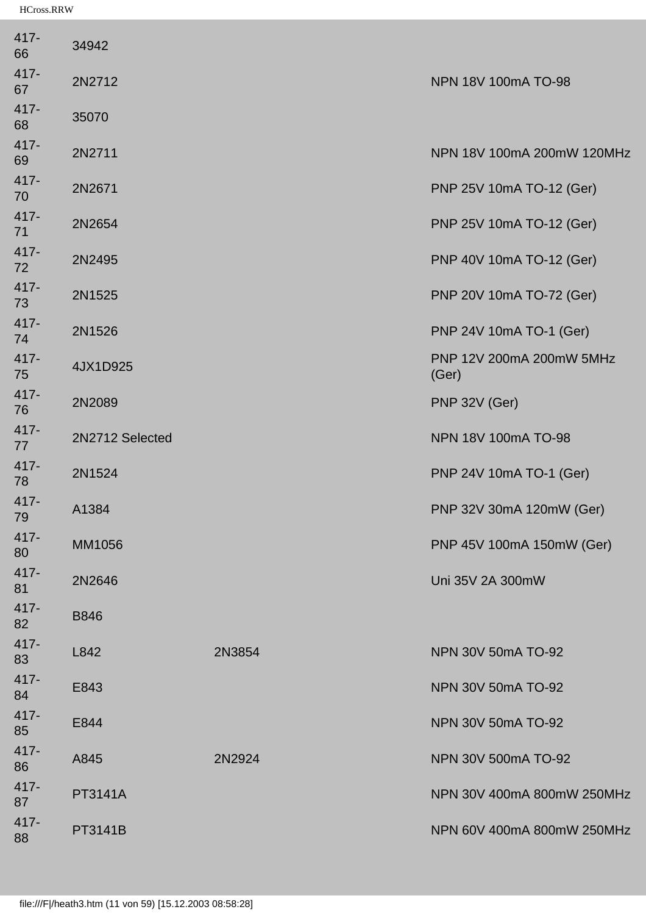| 34942           |        |                                   |
|-----------------|--------|-----------------------------------|
| 2N2712          |        | NPN 18V 100mA TO-98               |
| 35070           |        |                                   |
| 2N2711          |        | NPN 18V 100mA 200mW 120MHz        |
| 2N2671          |        | PNP 25V 10mA TO-12 (Ger)          |
| 2N2654          |        | PNP 25V 10mA TO-12 (Ger)          |
| 2N2495          |        | PNP 40V 10mA TO-12 (Ger)          |
| 2N1525          |        | PNP 20V 10mA TO-72 (Ger)          |
| 2N1526          |        | PNP 24V 10mA TO-1 (Ger)           |
| 4JX1D925        |        | PNP 12V 200mA 200mW 5MHz<br>(Ger) |
| 2N2089          |        | PNP 32V (Ger)                     |
| 2N2712 Selected |        | NPN 18V 100mA TO-98               |
| 2N1524          |        | PNP 24V 10mA TO-1 (Ger)           |
| A1384           |        | PNP 32V 30mA 120mW (Ger)          |
| MM1056          |        | PNP 45V 100mA 150mW (Ger)         |
| 2N2646          |        | Uni 35V 2A 300mW                  |
| <b>B846</b>     |        |                                   |
| L842            | 2N3854 | NPN 30V 50mA TO-92                |
| E843            |        | NPN 30V 50mA TO-92                |
| E844            |        | NPN 30V 50mA TO-92                |
| A845            | 2N2924 | NPN 30V 500mA TO-92               |
| <b>PT3141A</b>  |        | NPN 30V 400mA 800mW 250MHz        |
| PT3141B         |        | NPN 60V 400mA 800mW 250MHz        |
|                 |        |                                   |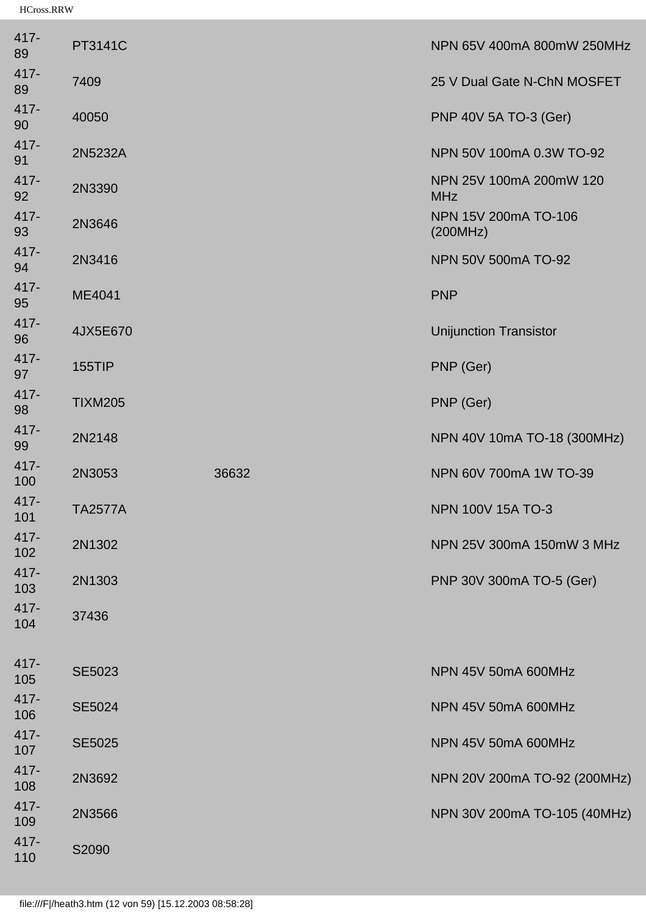| PT3141C        |       | NPN 65V 400mA 800mW 250MHz            |
|----------------|-------|---------------------------------------|
| 7409           |       | 25 V Dual Gate N-ChN MOSFET           |
| 40050          |       | PNP 40V 5A TO-3 (Ger)                 |
| 2N5232A        |       | NPN 50V 100mA 0.3W TO-92              |
| 2N3390         |       | NPN 25V 100mA 200mW 120<br><b>MHz</b> |
| 2N3646         |       | NPN 15V 200mA TO-106<br>(200MHz)      |
| 2N3416         |       | NPN 50V 500mA TO-92                   |
| ME4041         |       | <b>PNP</b>                            |
| 4JX5E670       |       | <b>Unijunction Transistor</b>         |
| <b>155TIP</b>  |       | PNP (Ger)                             |
| <b>TIXM205</b> |       | PNP (Ger)                             |
| 2N2148         |       | NPN 40V 10mA TO-18 (300MHz)           |
| 2N3053         | 36632 | NPN 60V 700mA 1W TO-39                |
| <b>TA2577A</b> |       | <b>NPN 100V 15A TO-3</b>              |
| 2N1302         |       | NPN 25V 300mA 150mW 3 MHz             |
| 2N1303         |       | PNP 30V 300mA TO-5 (Ger)              |
| 37436          |       |                                       |
| <b>SE5023</b>  |       | NPN 45V 50mA 600MHz                   |
| <b>SE5024</b>  |       | NPN 45V 50mA 600MHz                   |
| <b>SE5025</b>  |       | NPN 45V 50mA 600MHz                   |
| 2N3692         |       | NPN 20V 200mA TO-92 (200MHz)          |
| 2N3566         |       | NPN 30V 200mA TO-105 (40MHz)          |
| S2090          |       |                                       |
|                |       |                                       |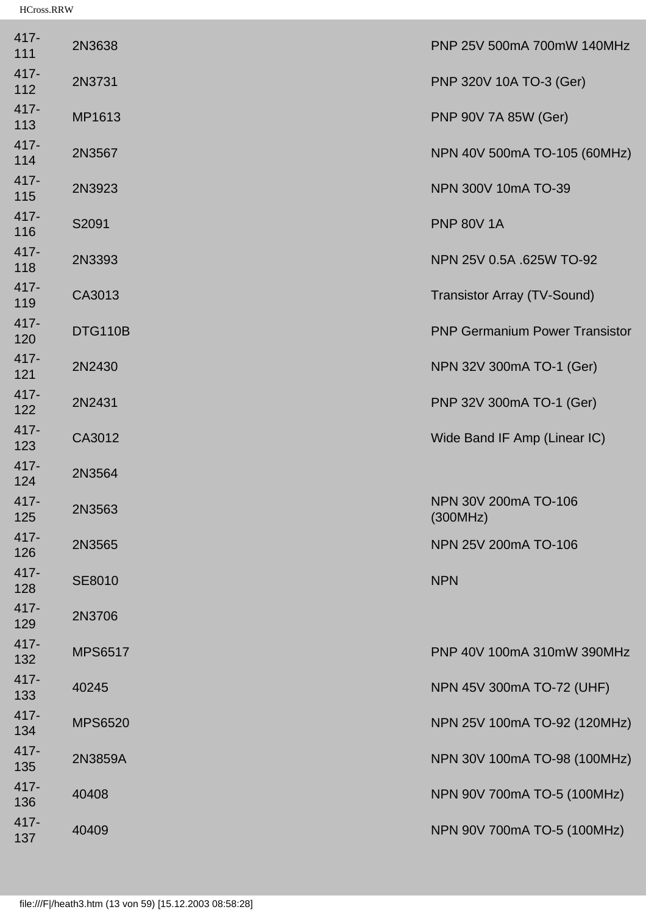| $417 -$<br>111 | 2N3638         | PNP 25V 500mA 700mW 140MHz            |
|----------------|----------------|---------------------------------------|
| 417-<br>112    | 2N3731         | PNP 320V 10A TO-3 (Ger)               |
| 417-<br>113    | MP1613         | PNP 90V 7A 85W (Ger)                  |
| 417-<br>114    | 2N3567         | NPN 40V 500mA TO-105 (60MHz)          |
| 417-<br>115    | 2N3923         | NPN 300V 10mA TO-39                   |
| $417 -$<br>116 | S2091          | <b>PNP 80V 1A</b>                     |
| 417-<br>118    | 2N3393         | NPN 25V 0.5A .625W TO-92              |
| 417-<br>119    | CA3013         | <b>Transistor Array (TV-Sound)</b>    |
| 417-<br>120    | DTG110B        | <b>PNP Germanium Power Transistor</b> |
| 417-<br>121    | 2N2430         | NPN 32V 300mA TO-1 (Ger)              |
| 417-<br>122    | 2N2431         | PNP 32V 300mA TO-1 (Ger)              |
| 417-<br>123    | CA3012         | Wide Band IF Amp (Linear IC)          |
| 417-<br>124    | 2N3564         |                                       |
| 417-<br>125    | 2N3563         | NPN 30V 200mA TO-106<br>(300MHz)      |
| $417 -$<br>126 | 2N3565         | NPN 25V 200mA TO-106                  |
| 417-<br>128    | SE8010         | <b>NPN</b>                            |
| 417-<br>129    | 2N3706         |                                       |
| 417-<br>132    | <b>MPS6517</b> | PNP 40V 100mA 310mW 390MHz            |
| 417-<br>133    | 40245          | NPN 45V 300mA TO-72 (UHF)             |
| 417-<br>134    | <b>MPS6520</b> | NPN 25V 100mA TO-92 (120MHz)          |
| 417-<br>135    | 2N3859A        | NPN 30V 100mA TO-98 (100MHz)          |
| 417-<br>136    | 40408          | NPN 90V 700mA TO-5 (100MHz)           |
| 417-<br>137    | 40409          | NPN 90V 700mA TO-5 (100MHz)           |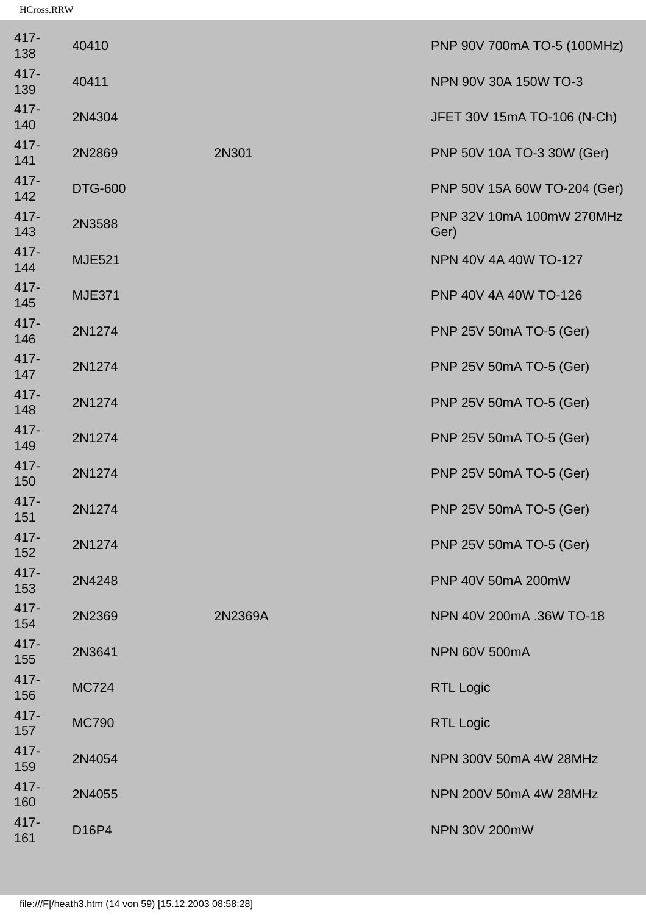| 417-<br>138    | 40410          |         | PNP 90V 700mA TO-5 (100MHz)       |
|----------------|----------------|---------|-----------------------------------|
| 417-<br>139    | 40411          |         | NPN 90V 30A 150W TO-3             |
| 417-<br>140    | 2N4304         |         | JFET 30V 15mA TO-106 (N-Ch)       |
| 417-<br>141    | 2N2869         | 2N301   | PNP 50V 10A TO-3 30W (Ger)        |
| 417-<br>142    | <b>DTG-600</b> |         | PNP 50V 15A 60W TO-204 (Ger)      |
| 417-<br>143    | 2N3588         |         | PNP 32V 10mA 100mW 270MHz<br>Ger) |
| 417-<br>144    | <b>MJE521</b>  |         | NPN 40V 4A 40W TO-127             |
| 417-<br>145    | <b>MJE371</b>  |         | PNP 40V 4A 40W TO-126             |
| 417-<br>146    | 2N1274         |         | PNP 25V 50mA TO-5 (Ger)           |
| 417-<br>147    | 2N1274         |         | PNP 25V 50mA TO-5 (Ger)           |
| 417-<br>148    | 2N1274         |         | PNP 25V 50mA TO-5 (Ger)           |
| 417-<br>149    | 2N1274         |         | PNP 25V 50mA TO-5 (Ger)           |
| 417-<br>150    | 2N1274         |         | PNP 25V 50mA TO-5 (Ger)           |
| $417 -$<br>151 | 2N1274         |         | PNP 25V 50mA TO-5 (Ger)           |
| 417-<br>152    | 2N1274         |         | PNP 25V 50mA TO-5 (Ger)           |
| 417-<br>153    | 2N4248         |         | PNP 40V 50mA 200mW                |
| 417-<br>154    | 2N2369         | 2N2369A | NPN 40V 200mA .36W TO-18          |
| 417-<br>155    | 2N3641         |         | <b>NPN 60V 500mA</b>              |
| 417-<br>156    | <b>MC724</b>   |         | <b>RTL Logic</b>                  |
| 417-<br>157    | <b>MC790</b>   |         | <b>RTL Logic</b>                  |
| 417-<br>159    | 2N4054         |         | NPN 300V 50mA 4W 28MHz            |
| 417-<br>160    | 2N4055         |         | NPN 200V 50mA 4W 28MHz            |
| 417-<br>161    | D16P4          |         | <b>NPN 30V 200mW</b>              |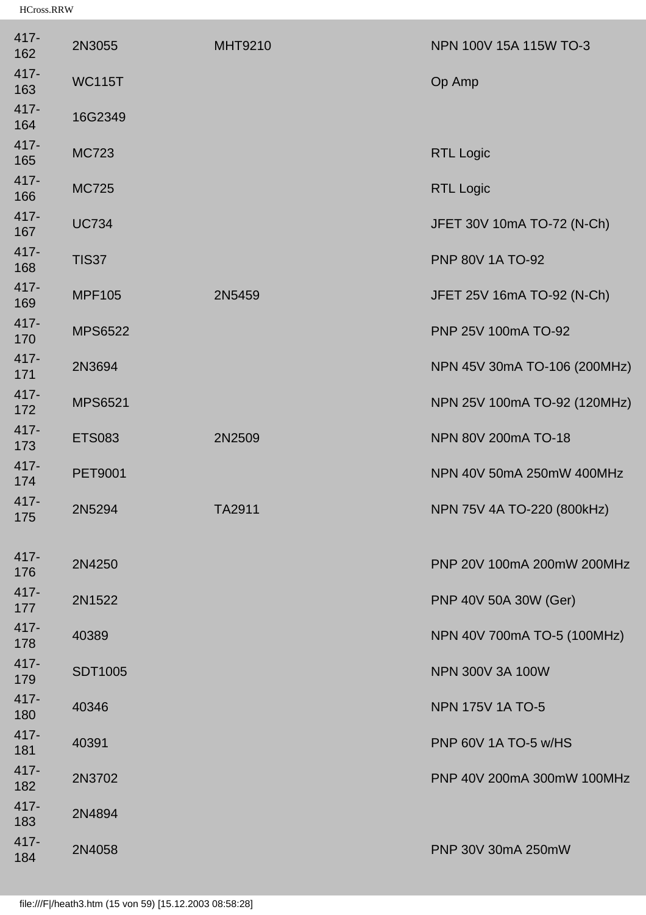| 417-<br>162    | 2N3055         | <b>MHT9210</b> | NPN 100V 15A 115W TO-3       |
|----------------|----------------|----------------|------------------------------|
| 417-<br>163    | <b>WC115T</b>  |                | Op Amp                       |
| 417-<br>164    | 16G2349        |                |                              |
| 417-<br>165    | <b>MC723</b>   |                | <b>RTL Logic</b>             |
| 417-<br>166    | <b>MC725</b>   |                | <b>RTL Logic</b>             |
| 417-<br>167    | <b>UC734</b>   |                | JFET 30V 10mA TO-72 (N-Ch)   |
| $417 -$<br>168 | <b>TIS37</b>   |                | <b>PNP 80V 1A TO-92</b>      |
| 417-<br>169    | <b>MPF105</b>  | 2N5459         | JFET 25V 16mA TO-92 (N-Ch)   |
| 417-<br>170    | <b>MPS6522</b> |                | PNP 25V 100mA TO-92          |
| 417-<br>171    | 2N3694         |                | NPN 45V 30mA TO-106 (200MHz) |
| 417-<br>172    | <b>MPS6521</b> |                | NPN 25V 100mA TO-92 (120MHz) |
| 417-<br>173    | <b>ETS083</b>  | 2N2509         | NPN 80V 200mA TO-18          |
| 417-<br>174    | <b>PET9001</b> |                | NPN 40V 50mA 250mW 400MHz    |
| 417-<br>175    | 2N5294         | TA2911         | NPN 75V 4A TO-220 (800kHz)   |
| 417-<br>176    | 2N4250         |                | PNP 20V 100mA 200mW 200MHz   |
| 417-<br>177    | 2N1522         |                | PNP 40V 50A 30W (Ger)        |
| 417-<br>178    | 40389          |                | NPN 40V 700mA TO-5 (100MHz)  |
| 417-<br>179    | <b>SDT1005</b> |                | NPN 300V 3A 100W             |
| 417-<br>180    | 40346          |                | <b>NPN 175V 1A TO-5</b>      |
| 417-<br>181    | 40391          |                | PNP 60V 1A TO-5 w/HS         |
| 417-<br>182    | 2N3702         |                | PNP 40V 200mA 300mW 100MHz   |
| 417-<br>183    | 2N4894         |                |                              |
| 417-<br>184    | 2N4058         |                | PNP 30V 30mA 250mW           |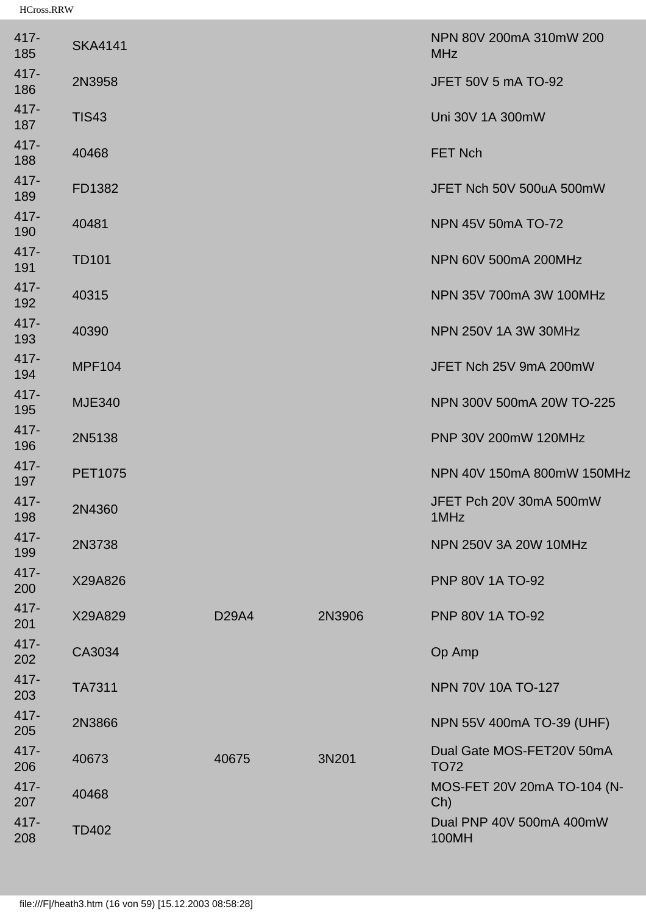| 417-<br>185    | <b>SKA4141</b> |                    |        | NPN 80V 200mA 310mW 200<br><b>MHz</b>    |
|----------------|----------------|--------------------|--------|------------------------------------------|
| 417-<br>186    | 2N3958         |                    |        | JFET 50V 5 mA TO-92                      |
| 417-<br>187    | <b>TIS43</b>   |                    |        | Uni 30V 1A 300mW                         |
| 417-<br>188    | 40468          |                    |        | <b>FET Nch</b>                           |
| 417-<br>189    | FD1382         |                    |        | JFET Nch 50V 500uA 500mW                 |
| 417-<br>190    | 40481          |                    |        | NPN 45V 50mA TO-72                       |
| 417-<br>191    | <b>TD101</b>   |                    |        | NPN 60V 500mA 200MHz                     |
| 417-<br>192    | 40315          |                    |        | NPN 35V 700mA 3W 100MHz                  |
| 417-<br>193    | 40390          |                    |        | NPN 250V 1A 3W 30MHz                     |
| 417-<br>194    | <b>MPF104</b>  |                    |        | JFET Nch 25V 9mA 200mW                   |
| 417-<br>195    | <b>MJE340</b>  |                    |        | NPN 300V 500mA 20W TO-225                |
| 417-<br>196    | 2N5138         |                    |        | PNP 30V 200mW 120MHz                     |
| 417-<br>197    | <b>PET1075</b> |                    |        | NPN 40V 150mA 800mW 150MHz               |
| $417 -$<br>198 | 2N4360         |                    |        | JFET Pch 20V 30mA 500mW<br>1MHz          |
| 417-<br>199    | 2N3738         |                    |        | <b>NPN 250V 3A 20W 10MHz</b>             |
| 417-<br>200    | X29A826        |                    |        | <b>PNP 80V 1A TO-92</b>                  |
| 417-<br>201    | X29A829        | D <sub>29</sub> A4 | 2N3906 | <b>PNP 80V 1A TO-92</b>                  |
| 417-<br>202    | CA3034         |                    |        | Op Amp                                   |
| 417-<br>203    | <b>TA7311</b>  |                    |        | NPN 70V 10A TO-127                       |
| 417-<br>205    | 2N3866         |                    |        | NPN 55V 400mA TO-39 (UHF)                |
| 417-<br>206    | 40673          | 40675              | 3N201  | Dual Gate MOS-FET20V 50mA<br><b>TO72</b> |
| 417-<br>207    | 40468          |                    |        | MOS-FET 20V 20mA TO-104 (N-<br>Ch)       |
| 417-<br>208    | <b>TD402</b>   |                    |        | Dual PNP 40V 500mA 400mW<br>100MH        |
|                |                |                    |        |                                          |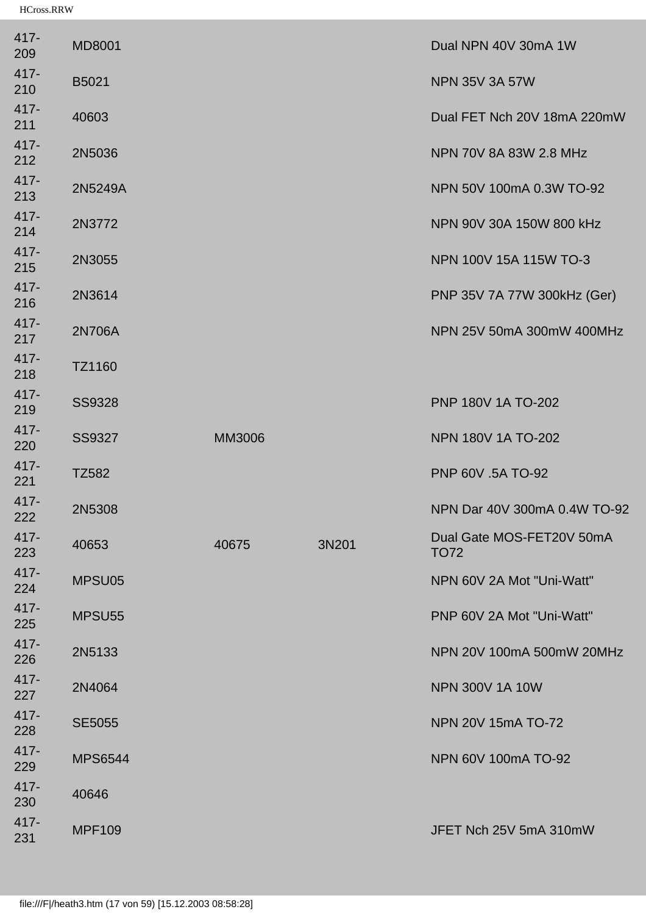| $417 -$<br>209 | <b>MD8001</b>      |        |       | Dual NPN 40V 30mA 1W                     |
|----------------|--------------------|--------|-------|------------------------------------------|
| $417 -$<br>210 | B5021              |        |       | <b>NPN 35V 3A 57W</b>                    |
| $417 -$<br>211 | 40603              |        |       | Dual FET Nch 20V 18mA 220mW              |
| $417 -$<br>212 | 2N5036             |        |       | NPN 70V 8A 83W 2.8 MHz                   |
| $417 -$<br>213 | 2N5249A            |        |       | NPN 50V 100mA 0.3W TO-92                 |
| $417 -$<br>214 | 2N3772             |        |       | NPN 90V 30A 150W 800 kHz                 |
| $417 -$<br>215 | 2N3055             |        |       | NPN 100V 15A 115W TO-3                   |
| $417 -$<br>216 | 2N3614             |        |       | PNP 35V 7A 77W 300kHz (Ger)              |
| 417-<br>217    | 2N706A             |        |       | NPN 25V 50mA 300mW 400MHz                |
| $417 -$<br>218 | TZ1160             |        |       |                                          |
| 417-<br>219    | <b>SS9328</b>      |        |       | PNP 180V 1A TO-202                       |
| 417-<br>220    | SS9327             | MM3006 |       | <b>NPN 180V 1A TO-202</b>                |
| $417 -$<br>221 | TZ582              |        |       | PNP 60V .5A TO-92                        |
| $417 -$<br>222 | 2N5308             |        |       | NPN Dar 40V 300mA 0.4W TO-92             |
| $417 -$<br>223 | 40653              | 40675  | 3N201 | Dual Gate MOS-FET20V 50mA<br><b>TO72</b> |
| $417 -$<br>224 | MPSU05             |        |       | NPN 60V 2A Mot "Uni-Watt"                |
| $417 -$<br>225 | MPSU <sub>55</sub> |        |       | PNP 60V 2A Mot "Uni-Watt"                |
| 417-<br>226    | 2N5133             |        |       | NPN 20V 100mA 500mW 20MHz                |
| $417 -$<br>227 | 2N4064             |        |       | <b>NPN 300V 1A 10W</b>                   |
| 417-<br>228    | <b>SE5055</b>      |        |       | NPN 20V 15mA TO-72                       |
| $417 -$<br>229 | <b>MPS6544</b>     |        |       | NPN 60V 100mA TO-92                      |
| $417 -$<br>230 | 40646              |        |       |                                          |
| $417 -$<br>231 | <b>MPF109</b>      |        |       | JFET Nch 25V 5mA 310mW                   |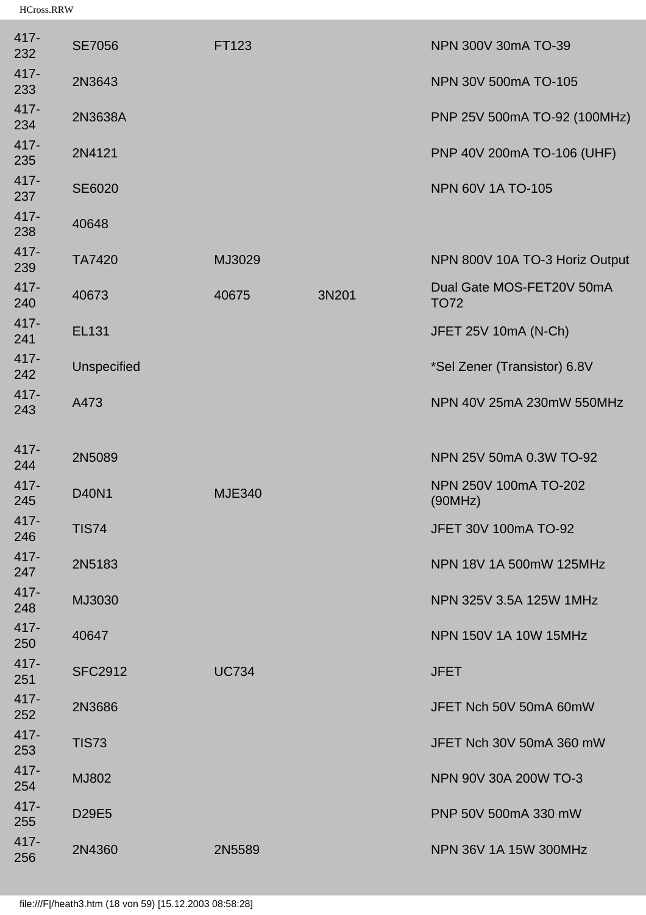| 417-<br>232 | <b>SE7056</b>      | FT123         |       | NPN 300V 30mA TO-39                      |
|-------------|--------------------|---------------|-------|------------------------------------------|
| 417-<br>233 | 2N3643             |               |       | NPN 30V 500mA TO-105                     |
| 417-<br>234 | 2N3638A            |               |       | PNP 25V 500mA TO-92 (100MHz)             |
| 417-<br>235 | 2N4121             |               |       | PNP 40V 200mA TO-106 (UHF)               |
| 417-<br>237 | <b>SE6020</b>      |               |       | <b>NPN 60V 1A TO-105</b>                 |
| 417-<br>238 | 40648              |               |       |                                          |
| 417-<br>239 | <b>TA7420</b>      | MJ3029        |       | NPN 800V 10A TO-3 Horiz Output           |
| 417-<br>240 | 40673              | 40675         | 3N201 | Dual Gate MOS-FET20V 50mA<br><b>TO72</b> |
| 417-<br>241 | <b>EL131</b>       |               |       | JFET 25V 10mA (N-Ch)                     |
| 417-<br>242 | <b>Unspecified</b> |               |       | *Sel Zener (Transistor) 6.8V             |
| 417-<br>243 | A473               |               |       | NPN 40V 25mA 230mW 550MHz                |
| 417-<br>244 | 2N5089             |               |       | NPN 25V 50mA 0.3W TO-92                  |
| 417-<br>245 | <b>D40N1</b>       | <b>MJE340</b> |       | NPN 250V 100mA TO-202<br>(90MHz)         |
| 417-<br>246 | <b>TIS74</b>       |               |       | JFET 30V 100mA TO-92                     |
| 417-<br>247 | 2N5183             |               |       | NPN 18V 1A 500mW 125MHz                  |
| 417-<br>248 | MJ3030             |               |       | NPN 325V 3.5A 125W 1MHz                  |
| 417-<br>250 | 40647              |               |       | <b>NPN 150V 1A 10W 15MHz</b>             |
| 417-<br>251 | <b>SFC2912</b>     | <b>UC734</b>  |       | <b>JFET</b>                              |
| 417-<br>252 | 2N3686             |               |       | JFET Nch 50V 50mA 60mW                   |
| 417-<br>253 | <b>TIS73</b>       |               |       | JFET Nch 30V 50mA 360 mW                 |
| 417-<br>254 | <b>MJ802</b>       |               |       | NPN 90V 30A 200W TO-3                    |
| 417-<br>255 | D29E5              |               |       | PNP 50V 500mA 330 mW                     |
| 417-<br>256 | 2N4360             | 2N5589        |       | NPN 36V 1A 15W 300MHz                    |
|             |                    |               |       |                                          |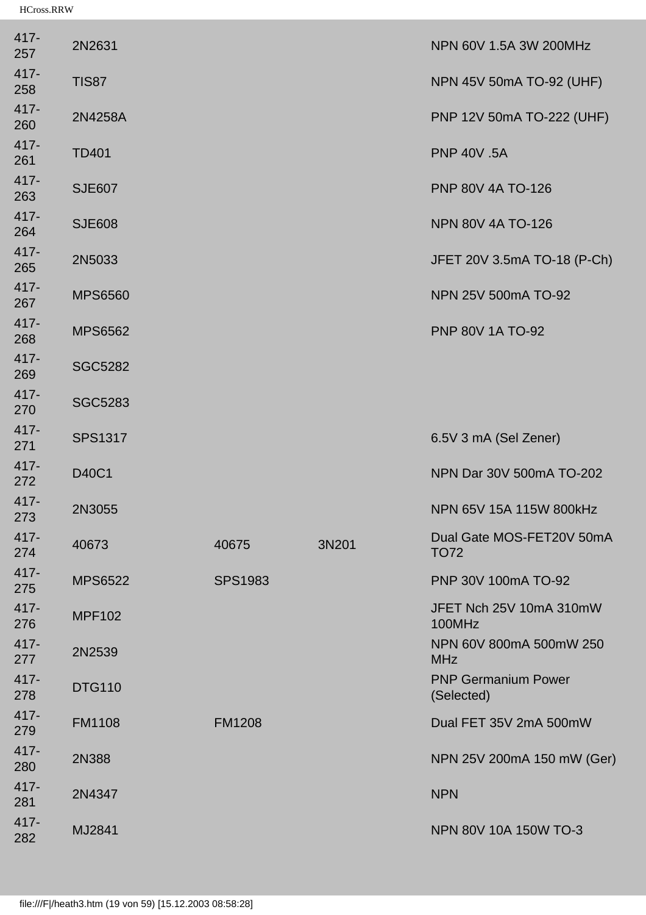| 417-<br>257    | 2N2631         |                |       | NPN 60V 1.5A 3W 200MHz                   |
|----------------|----------------|----------------|-------|------------------------------------------|
| 417-<br>258    | <b>TIS87</b>   |                |       | NPN 45V 50mA TO-92 (UHF)                 |
| 417-<br>260    | 2N4258A        |                |       | PNP 12V 50mA TO-222 (UHF)                |
| 417-<br>261    | <b>TD401</b>   |                |       | <b>PNP 40V .5A</b>                       |
| 417-<br>263    | <b>SJE607</b>  |                |       | PNP 80V 4A TO-126                        |
| 417-<br>264    | <b>SJE608</b>  |                |       | <b>NPN 80V 4A TO-126</b>                 |
| 417-<br>265    | 2N5033         |                |       | JFET 20V 3.5mA TO-18 (P-Ch)              |
| 417-<br>267    | <b>MPS6560</b> |                |       | NPN 25V 500mA TO-92                      |
| 417-<br>268    | <b>MPS6562</b> |                |       | <b>PNP 80V 1A TO-92</b>                  |
| 417-<br>269    | <b>SGC5282</b> |                |       |                                          |
| 417-<br>270    | <b>SGC5283</b> |                |       |                                          |
| 417-<br>271    | <b>SPS1317</b> |                |       | 6.5V 3 mA (Sel Zener)                    |
| 417-<br>272    | D40C1          |                |       | NPN Dar 30V 500mA TO-202                 |
| 417-<br>273    | 2N3055         |                |       | NPN 65V 15A 115W 800kHz                  |
| $417 -$<br>274 | 40673          | 40675          | 3N201 | Dual Gate MOS-FET20V 50mA<br><b>TO72</b> |
| 417-<br>275    | <b>MPS6522</b> | <b>SPS1983</b> |       | PNP 30V 100mA TO-92                      |
| 417-<br>276    | <b>MPF102</b>  |                |       | JFET Nch 25V 10mA 310mW<br>100MHz        |
| 417-<br>277    | 2N2539         |                |       | NPN 60V 800mA 500mW 250<br><b>MHz</b>    |
| 417-<br>278    | <b>DTG110</b>  |                |       | <b>PNP Germanium Power</b><br>(Selected) |
| 417-<br>279    | <b>FM1108</b>  | <b>FM1208</b>  |       | Dual FET 35V 2mA 500mW                   |
| 417-<br>280    | 2N388          |                |       | NPN 25V 200mA 150 mW (Ger)               |
| 417-<br>281    | 2N4347         |                |       | <b>NPN</b>                               |
| 417-<br>282    | MJ2841         |                |       | NPN 80V 10A 150W TO-3                    |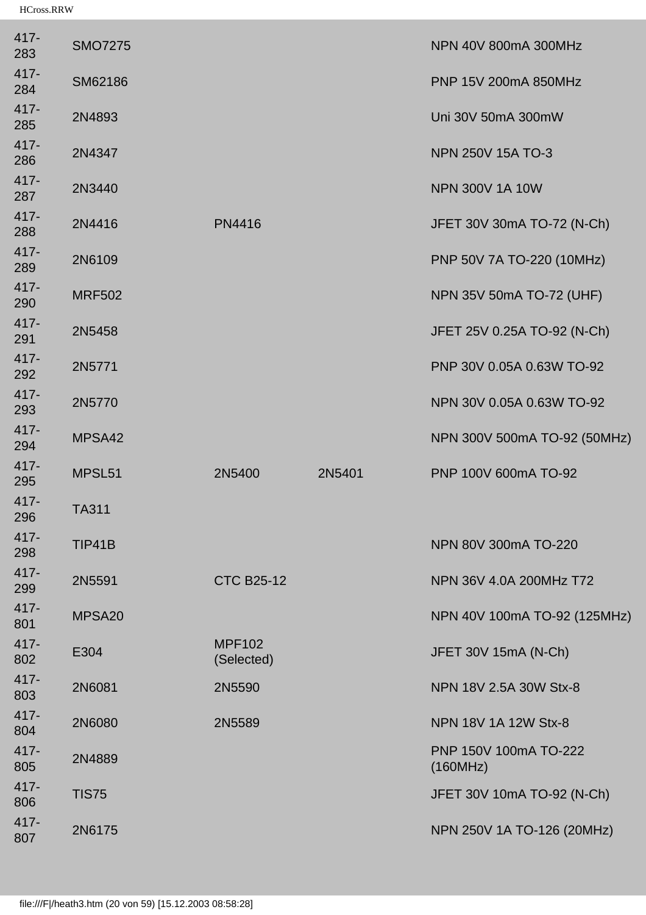| 417-<br>283 | <b>SMO7275</b> |                             |        | NPN 40V 800mA 300MHz              |
|-------------|----------------|-----------------------------|--------|-----------------------------------|
| 417-<br>284 | SM62186        |                             |        | PNP 15V 200mA 850MHz              |
| 417-<br>285 | 2N4893         |                             |        | Uni 30V 50mA 300mW                |
| 417-<br>286 | 2N4347         |                             |        | NPN 250V 15A TO-3                 |
| 417-<br>287 | 2N3440         |                             |        | <b>NPN 300V 1A 10W</b>            |
| 417-<br>288 | 2N4416         | <b>PN4416</b>               |        | JFET 30V 30mA TO-72 (N-Ch)        |
| 417-<br>289 | 2N6109         |                             |        | PNP 50V 7A TO-220 (10MHz)         |
| 417-<br>290 | <b>MRF502</b>  |                             |        | NPN 35V 50mA TO-72 (UHF)          |
| 417-<br>291 | 2N5458         |                             |        | JFET 25V 0.25A TO-92 (N-Ch)       |
| 417-<br>292 | 2N5771         |                             |        | PNP 30V 0.05A 0.63W TO-92         |
| 417-<br>293 | 2N5770         |                             |        | NPN 30V 0.05A 0.63W TO-92         |
| 417-<br>294 | MPSA42         |                             |        | NPN 300V 500mA TO-92 (50MHz)      |
| 417-<br>295 | MPSL51         | 2N5400                      | 2N5401 | PNP 100V 600mA TO-92              |
| 417-<br>296 | <b>TA311</b>   |                             |        |                                   |
| 417-<br>298 | TIP41B         |                             |        | NPN 80V 300mA TO-220              |
| 417-<br>299 | 2N5591         | <b>CTC B25-12</b>           |        | NPN 36V 4.0A 200MHz T72           |
| 417-<br>801 | MPSA20         |                             |        | NPN 40V 100mA TO-92 (125MHz)      |
| 417-<br>802 | E304           | <b>MPF102</b><br>(Selected) |        | JFET 30V 15mA (N-Ch)              |
| 417-<br>803 | 2N6081         | 2N5590                      |        | NPN 18V 2.5A 30W Stx-8            |
| 417-<br>804 | 2N6080         | 2N5589                      |        | NPN 18V 1A 12W Stx-8              |
| 417-<br>805 | 2N4889         |                             |        | PNP 150V 100mA TO-222<br>(160MHz) |
| 417-<br>806 | <b>TIS75</b>   |                             |        | JFET 30V 10mA TO-92 (N-Ch)        |
| 417-<br>807 | 2N6175         |                             |        | NPN 250V 1A TO-126 (20MHz)        |
|             |                |                             |        |                                   |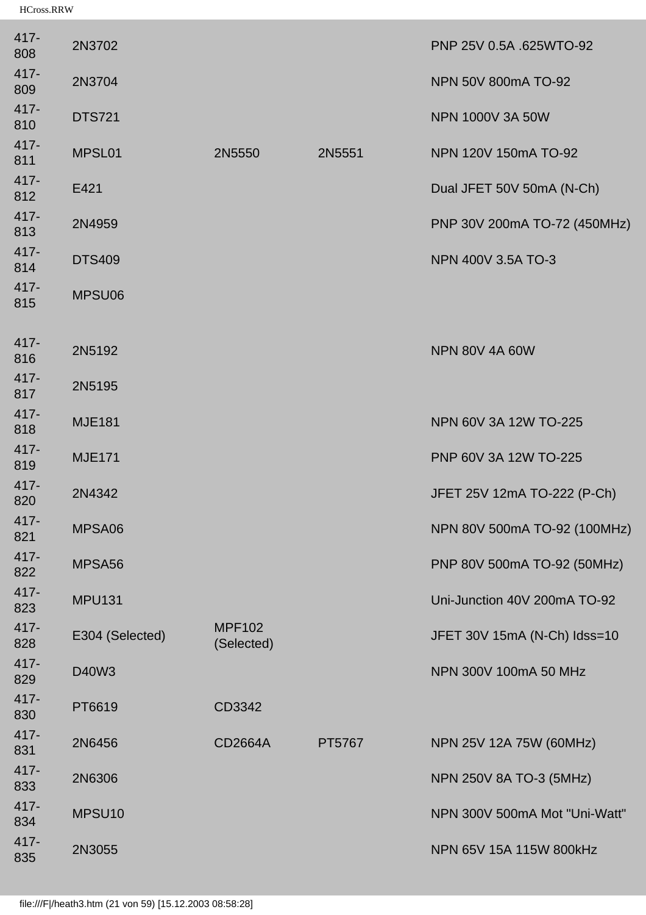| 417-<br>808    | 2N3702          |                             |        | PNP 25V 0.5A .625WTO-92       |
|----------------|-----------------|-----------------------------|--------|-------------------------------|
| 417-<br>809    | 2N3704          |                             |        | NPN 50V 800mA TO-92           |
| 417-<br>810    | <b>DTS721</b>   |                             |        | NPN 1000V 3A 50W              |
| 417-<br>811    | MPSL01          | 2N5550                      | 2N5551 | NPN 120V 150mA TO-92          |
| 417-<br>812    | E421            |                             |        | Dual JFET 50V 50mA (N-Ch)     |
| 417-<br>813    | 2N4959          |                             |        | PNP 30V 200mA TO-72 (450MHz)  |
| 417-<br>814    | <b>DTS409</b>   |                             |        | NPN 400V 3.5A TO-3            |
| 417-<br>815    | MPSU06          |                             |        |                               |
| $417 -$<br>816 | 2N5192          |                             |        | <b>NPN 80V 4A 60W</b>         |
| 417-<br>817    | 2N5195          |                             |        |                               |
| 417-<br>818    | <b>MJE181</b>   |                             |        | NPN 60V 3A 12W TO-225         |
| 417-<br>819    | <b>MJE171</b>   |                             |        | PNP 60V 3A 12W TO-225         |
| $417 -$<br>820 | 2N4342          |                             |        | JFET 25V 12mA TO-222 (P-Ch)   |
| 417-<br>821    | MPSA06          |                             |        | NPN 80V 500mA TO-92 (100MHz)  |
| 417-<br>822    | MPSA56          |                             |        | PNP 80V 500mA TO-92 (50MHz)   |
| 417-<br>823    | <b>MPU131</b>   |                             |        | Uni-Junction 40V 200mA TO-92  |
| 417-<br>828    | E304 (Selected) | <b>MPF102</b><br>(Selected) |        | JFET 30V 15mA (N-Ch) Idss=10  |
| 417-<br>829    | D40W3           |                             |        | NPN 300V 100mA 50 MHz         |
| 417-<br>830    | PT6619          | CD3342                      |        |                               |
| 417-<br>831    | 2N6456          | CD2664A                     | PT5767 | NPN 25V 12A 75W (60MHz)       |
| 417-<br>833    | 2N6306          |                             |        | NPN 250V 8A TO-3 (5MHz)       |
| 417-<br>834    | MPSU10          |                             |        | NPN 300V 500mA Mot "Uni-Watt" |
| 417-<br>835    | 2N3055          |                             |        | NPN 65V 15A 115W 800kHz       |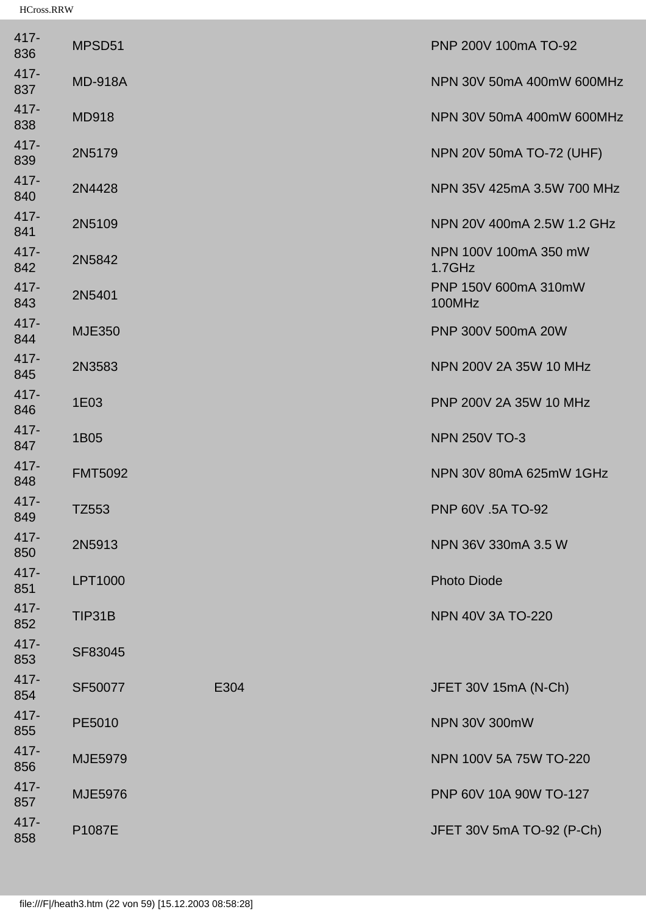| 417-<br>836    | MPSD51         |      | PNP 200V 100mA TO-92               |
|----------------|----------------|------|------------------------------------|
| 417-<br>837    | <b>MD-918A</b> |      | NPN 30V 50mA 400mW 600MHz          |
| $417 -$<br>838 | <b>MD918</b>   |      | NPN 30V 50mA 400mW 600MHz          |
| 417-<br>839    | 2N5179         |      | NPN 20V 50mA TO-72 (UHF)           |
| 417-<br>840    | 2N4428         |      | NPN 35V 425mA 3.5W 700 MHz         |
| $417 -$<br>841 | 2N5109         |      | NPN 20V 400mA 2.5W 1.2 GHz         |
| $417 -$<br>842 | 2N5842         |      | NPN 100V 100mA 350 mW<br>$1.7$ GHz |
| 417-<br>843    | 2N5401         |      | PNP 150V 600mA 310mW<br>100MHz     |
| 417-<br>844    | <b>MJE350</b>  |      | PNP 300V 500mA 20W                 |
| 417-<br>845    | 2N3583         |      | NPN 200V 2A 35W 10 MHz             |
| 417-<br>846    | 1E03           |      | PNP 200V 2A 35W 10 MHz             |
| 417-<br>847    | 1B05           |      | <b>NPN 250V TO-3</b>               |
| 417-<br>848    | <b>FMT5092</b> |      | NPN 30V 80mA 625mW 1GHz            |
| 417-<br>849    | TZ553          |      | PNP 60V .5A TO-92                  |
| $417 -$<br>850 | 2N5913         |      | NPN 36V 330mA 3.5 W                |
| 417-<br>851    | LPT1000        |      | <b>Photo Diode</b>                 |
| 417-<br>852    | TIP31B         |      | <b>NPN 40V 3A TO-220</b>           |
| 417-<br>853    | SF83045        |      |                                    |
| 417-<br>854    | SF50077        | E304 | JFET 30V 15mA (N-Ch)               |
| 417-<br>855    | PE5010         |      | <b>NPN 30V 300mW</b>               |
| 417-<br>856    | <b>MJE5979</b> |      | NPN 100V 5A 75W TO-220             |
| 417-<br>857    | <b>MJE5976</b> |      | PNP 60V 10A 90W TO-127             |
| 417-<br>858    | P1087E         |      | JFET 30V 5mA TO-92 (P-Ch)          |
|                |                |      |                                    |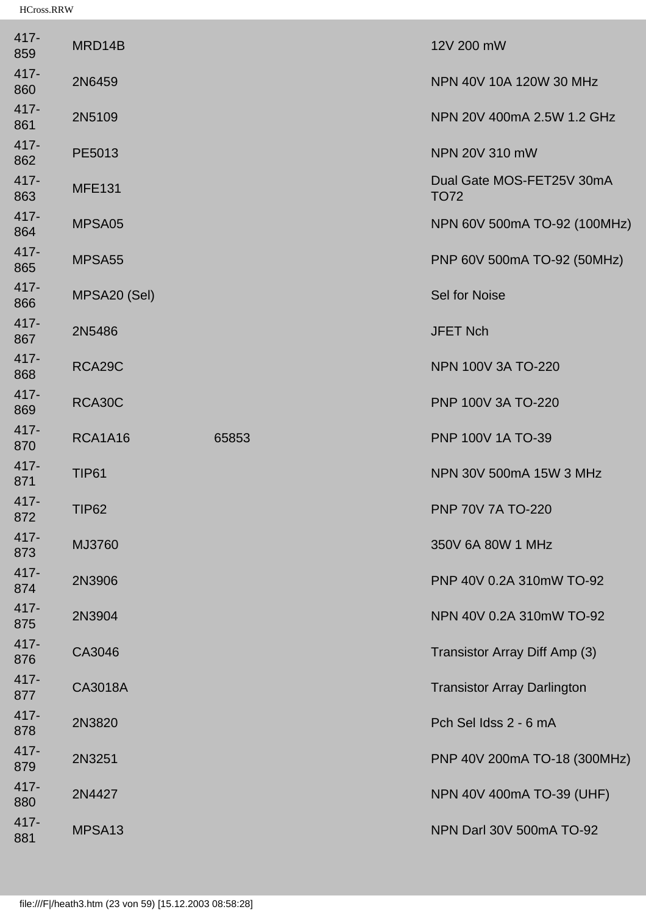| 417-<br>859    | MRD14B             |       | 12V 200 mW                               |
|----------------|--------------------|-------|------------------------------------------|
| $417 -$<br>860 | 2N6459             |       | NPN 40V 10A 120W 30 MHz                  |
| $417 -$<br>861 | 2N5109             |       | NPN 20V 400mA 2.5W 1.2 GHz               |
| 417-<br>862    | PE5013             |       | NPN 20V 310 mW                           |
| $417 -$<br>863 | <b>MFE131</b>      |       | Dual Gate MOS-FET25V 30mA<br><b>TO72</b> |
| 417-<br>864    | MPSA05             |       | NPN 60V 500mA TO-92 (100MHz)             |
| 417-<br>865    | MPSA <sub>55</sub> |       | PNP 60V 500mA TO-92 (50MHz)              |
| 417-<br>866    | MPSA20 (Sel)       |       | Sel for Noise                            |
| $417 -$<br>867 | 2N5486             |       | <b>JFET Nch</b>                          |
| 417-<br>868    | RCA29C             |       | <b>NPN 100V 3A TO-220</b>                |
| 417-<br>869    | RCA30C             |       | PNP 100V 3A TO-220                       |
| $417 -$<br>870 | <b>RCA1A16</b>     | 65853 | PNP 100V 1A TO-39                        |
| $417 -$<br>871 | <b>TIP61</b>       |       | NPN 30V 500mA 15W 3 MHz                  |
| 417-<br>872    | <b>TIP62</b>       |       | PNP 70V 7A TO-220                        |
| $417 -$<br>873 | MJ3760             |       | 350V 6A 80W 1 MHz                        |
| 417-<br>874    | 2N3906             |       | PNP 40V 0.2A 310mW TO-92                 |
| $417 -$<br>875 | 2N3904             |       | NPN 40V 0.2A 310mW TO-92                 |
| 417-<br>876    | CA3046             |       | Transistor Array Diff Amp (3)            |
| $417 -$<br>877 | CA3018A            |       | <b>Transistor Array Darlington</b>       |
| 417-<br>878    | 2N3820             |       | Pch Sel Idss 2 - 6 mA                    |
| $417 -$<br>879 | 2N3251             |       | PNP 40V 200mA TO-18 (300MHz)             |
| $417 -$<br>880 | 2N4427             |       | NPN 40V 400mA TO-39 (UHF)                |
| 417-<br>881    | MPSA13             |       | NPN Darl 30V 500mA TO-92                 |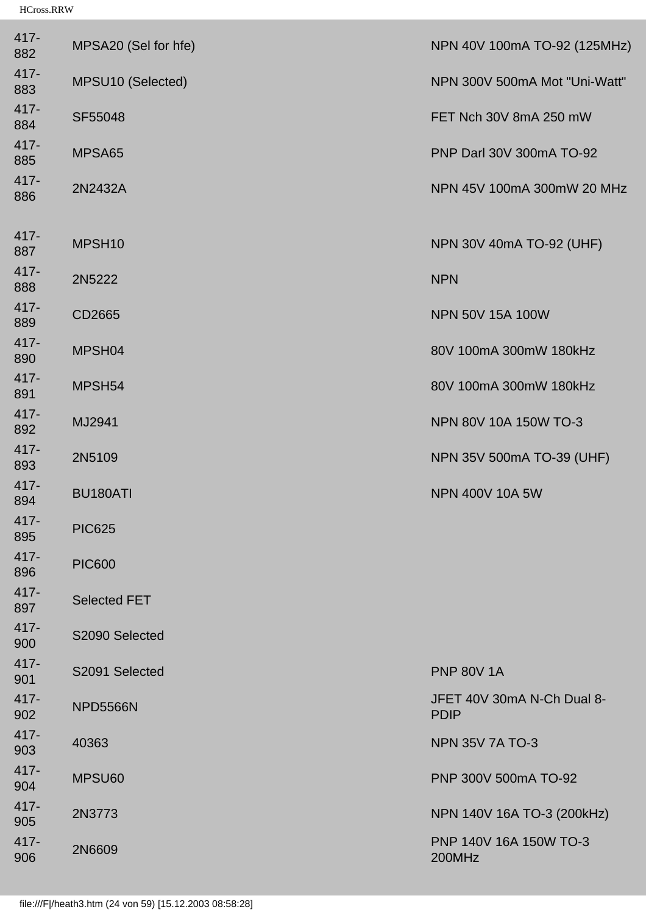| 417-<br>882    | MPSA20 (Sel for hfe) | NPN 40V 100mA TO-92 (125MHz)              |
|----------------|----------------------|-------------------------------------------|
| $417 -$<br>883 | MPSU10 (Selected)    | NPN 300V 500mA Mot "Uni-Watt"             |
| 417-<br>884    | SF55048              | FET Nch 30V 8mA 250 mW                    |
| 417-<br>885    | MPSA65               | PNP Darl 30V 300mA TO-92                  |
| 417-<br>886    | 2N2432A              | NPN 45V 100mA 300mW 20 MHz                |
| 417-<br>887    | MPSH <sub>10</sub>   | NPN 30V 40mA TO-92 (UHF)                  |
| 417-<br>888    | 2N5222               | <b>NPN</b>                                |
| 417-<br>889    | CD2665               | NPN 50V 15A 100W                          |
| 417-<br>890    | MPSH04               | 80V 100mA 300mW 180kHz                    |
| 417-<br>891    | MPSH54               | 80V 100mA 300mW 180kHz                    |
| 417-<br>892    | MJ2941               | NPN 80V 10A 150W TO-3                     |
| 417-<br>893    | 2N5109               | NPN 35V 500mA TO-39 (UHF)                 |
| 417-<br>894    | BU180ATI             | <b>NPN 400V 10A 5W</b>                    |
| 417-<br>895    | <b>PIC625</b>        |                                           |
| $417 -$<br>896 | <b>PIC600</b>        |                                           |
| 417-<br>897    | <b>Selected FET</b>  |                                           |
| 417-<br>900    | S2090 Selected       |                                           |
| $417 -$<br>901 | S2091 Selected       | <b>PNP 80V 1A</b>                         |
| 417-<br>902    | <b>NPD5566N</b>      | JFET 40V 30mA N-Ch Dual 8-<br><b>PDIP</b> |
| 417-<br>903    | 40363                | <b>NPN 35V 7A TO-3</b>                    |
| 417-<br>904    | MPSU60               | PNP 300V 500mA TO-92                      |
| 417-<br>905    | 2N3773               | NPN 140V 16A TO-3 (200kHz)                |
| 417-<br>906    | 2N6609               | PNP 140V 16A 150W TO-3<br>200MHz          |
|                |                      |                                           |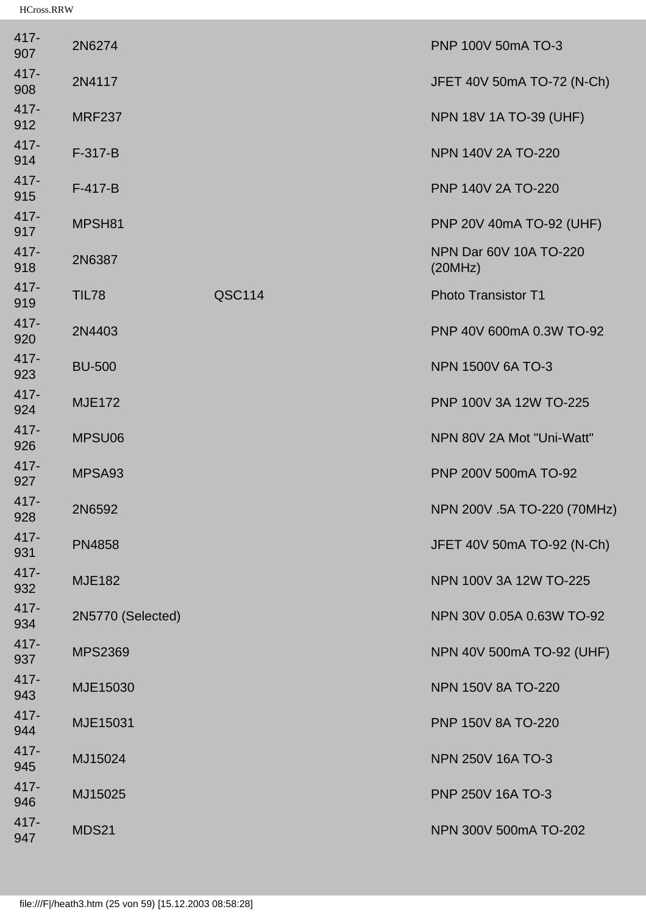| 417-<br>907    | 2N6274            |        | PNP 100V 50mA TO-3                |
|----------------|-------------------|--------|-----------------------------------|
| 417-<br>908    | 2N4117            |        | JFET 40V 50mA TO-72 (N-Ch)        |
| 417-<br>912    | <b>MRF237</b>     |        | <b>NPN 18V 1A TO-39 (UHF)</b>     |
| 417-<br>914    | $F-317-B$         |        | <b>NPN 140V 2A TO-220</b>         |
| 417-<br>915    | $F-417-B$         |        | PNP 140V 2A TO-220                |
| 417-<br>917    | MPSH81            |        | PNP 20V 40mA TO-92 (UHF)          |
| 417-<br>918    | 2N6387            |        | NPN Dar 60V 10A TO-220<br>(20MHz) |
| 417-<br>919    | <b>TIL78</b>      | QSC114 | <b>Photo Transistor T1</b>        |
| 417-<br>920    | 2N4403            |        | PNP 40V 600mA 0.3W TO-92          |
| 417-<br>923    | <b>BU-500</b>     |        | <b>NPN 1500V 6A TO-3</b>          |
| 417-<br>924    | <b>MJE172</b>     |        | PNP 100V 3A 12W TO-225            |
| 417-<br>926    | MPSU06            |        | NPN 80V 2A Mot "Uni-Watt"         |
| $417 -$<br>927 | MPSA93            |        | PNP 200V 500mA TO-92              |
| 417-<br>928    | 2N6592            |        | NPN 200V .5A TO-220 (70MHz)       |
| 417-<br>931    | <b>PN4858</b>     |        | JFET 40V 50mA TO-92 (N-Ch)        |
| 417-<br>932    | <b>MJE182</b>     |        | NPN 100V 3A 12W TO-225            |
| 417-<br>934    | 2N5770 (Selected) |        | NPN 30V 0.05A 0.63W TO-92         |
| 417-<br>937    | <b>MPS2369</b>    |        | NPN 40V 500mA TO-92 (UHF)         |
| 417-<br>943    | MJE15030          |        | <b>NPN 150V 8A TO-220</b>         |
| 417-<br>944    | MJE15031          |        | PNP 150V 8A TO-220                |
| 417-<br>945    | MJ15024           |        | <b>NPN 250V 16A TO-3</b>          |
| 417-<br>946    | MJ15025           |        | PNP 250V 16A TO-3                 |
| $417 -$<br>947 | <b>MDS21</b>      |        | NPN 300V 500mA TO-202             |
|                |                   |        |                                   |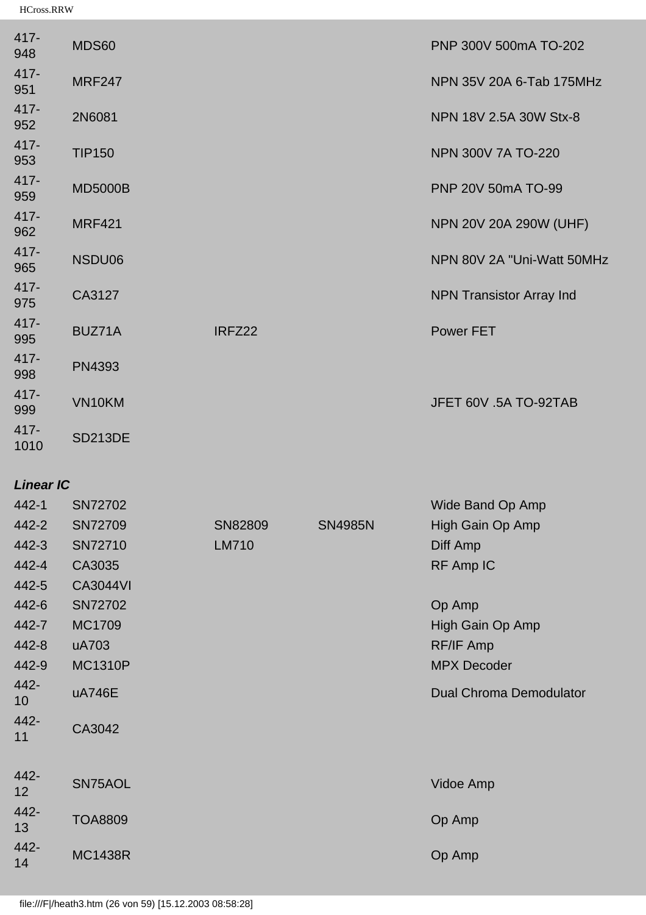| $417 -$<br>948  | <b>MDS60</b>   |        | PNP 300V 500mA TO-202           |
|-----------------|----------------|--------|---------------------------------|
| 417-<br>951     | <b>MRF247</b>  |        | NPN 35V 20A 6-Tab 175MHz        |
| 417-<br>952     | 2N6081         |        | NPN 18V 2.5A 30W Stx-8          |
| 417-<br>953     | <b>TIP150</b>  |        | <b>NPN 300V 7A TO-220</b>       |
| 417-<br>959     | <b>MD5000B</b> |        | PNP 20V 50mA TO-99              |
| 417-<br>962     | <b>MRF421</b>  |        | NPN 20V 20A 290W (UHF)          |
| 417-<br>965     | NSDU06         |        | NPN 80V 2A "Uni-Watt 50MHz      |
| 417-<br>975     | CA3127         |        | <b>NPN Transistor Array Ind</b> |
| 417-<br>995     | BUZ71A         | IRFZ22 | <b>Power FET</b>                |
| 417-<br>998     | PN4393         |        |                                 |
| 417-<br>999     | VN10KM         |        | JFET 60V .5A TO-92TAB           |
| $417 -$<br>1010 | <b>SD213DE</b> |        |                                 |

#### *Linear IC*

| 442-1                   | SN72702         |              |                | Wide Band Op Amp               |
|-------------------------|-----------------|--------------|----------------|--------------------------------|
| 442-2                   | SN72709         | SN82809      | <b>SN4985N</b> | High Gain Op Amp               |
| 442-3                   | SN72710         | <b>LM710</b> |                | Diff Amp                       |
| 442-4                   | CA3035          |              |                | RF Amp IC                      |
| 442-5                   | <b>CA3044VI</b> |              |                |                                |
| 442-6                   | SN72702         |              |                | Op Amp                         |
| 442-7                   | MC1709          |              |                | High Gain Op Amp               |
| 442-8                   | uA703           |              |                | RF/IF Amp                      |
| 442-9                   | <b>MC1310P</b>  |              |                | <b>MPX Decoder</b>             |
| 442-<br>10 <sup>°</sup> | uA746E          |              |                | <b>Dual Chroma Demodulator</b> |
| 442-<br>11              | CA3042          |              |                |                                |
|                         |                 |              |                |                                |
| 442-<br>12              | SN75AOL         |              |                | Vidoe Amp                      |
| 442-<br>13              | <b>TOA8809</b>  |              |                | Op Amp                         |
| 442-<br>14              | <b>MC1438R</b>  |              |                | Op Amp                         |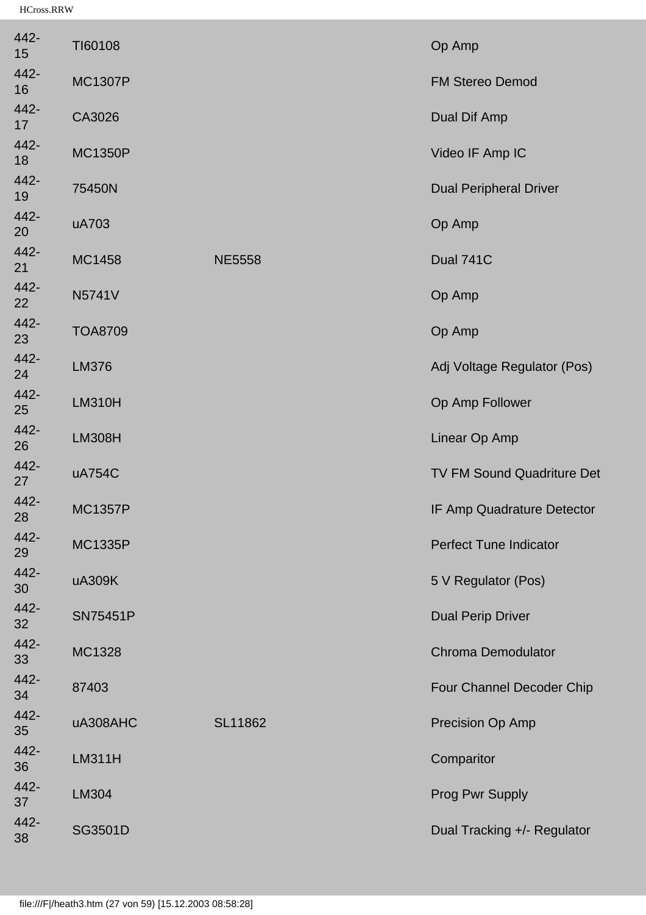| 442-<br>15 | TI60108         |                | Op Amp                        |
|------------|-----------------|----------------|-------------------------------|
| 442-<br>16 | <b>MC1307P</b>  |                | <b>FM Stereo Demod</b>        |
| 442-<br>17 | CA3026          |                | Dual Dif Amp                  |
| 442-<br>18 | <b>MC1350P</b>  |                | Video IF Amp IC               |
| 442-<br>19 | 75450N          |                | <b>Dual Peripheral Driver</b> |
| 442-<br>20 | uA703           |                | Op Amp                        |
| 442-<br>21 | MC1458          | <b>NE5558</b>  | Dual 741C                     |
| 442-<br>22 | <b>N5741V</b>   |                | Op Amp                        |
| 442-<br>23 | <b>TOA8709</b>  |                | Op Amp                        |
| 442-<br>24 | <b>LM376</b>    |                | Adj Voltage Regulator (Pos)   |
| 442-<br>25 | <b>LM310H</b>   |                | Op Amp Follower               |
| 442-<br>26 | <b>LM308H</b>   |                | Linear Op Amp                 |
| 442-<br>27 | uA754C          |                | TV FM Sound Quadriture Det    |
| 442-<br>28 | <b>MC1357P</b>  |                | IF Amp Quadrature Detector    |
| 442-<br>29 | <b>MC1335P</b>  |                | <b>Perfect Tune Indicator</b> |
| 442-<br>30 | uA309K          |                | 5 V Regulator (Pos)           |
| 442-<br>32 | <b>SN75451P</b> |                | <b>Dual Perip Driver</b>      |
| 442-<br>33 | <b>MC1328</b>   |                | <b>Chroma Demodulator</b>     |
| 442-<br>34 | 87403           |                | Four Channel Decoder Chip     |
| 442-<br>35 | uA308AHC        | <b>SL11862</b> | Precision Op Amp              |
| 442-<br>36 | <b>LM311H</b>   |                | Comparitor                    |
| 442-<br>37 | LM304           |                | <b>Prog Pwr Supply</b>        |
| 442-<br>38 | <b>SG3501D</b>  |                | Dual Tracking +/- Regulator   |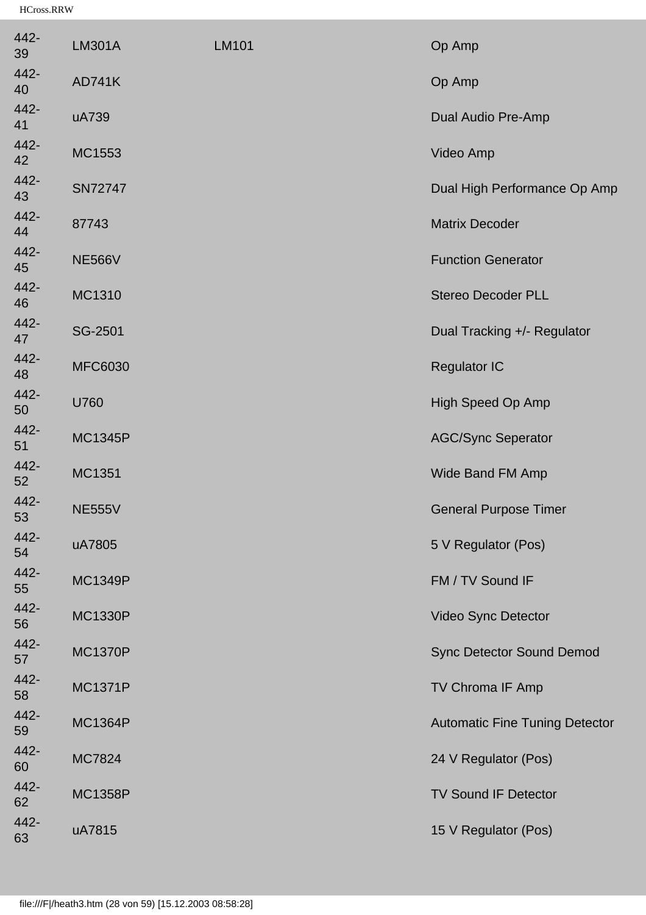| 442-<br>39 | <b>LM301A</b>  | <b>LM101</b> | Op Amp                                |
|------------|----------------|--------------|---------------------------------------|
| 442-<br>40 | <b>AD741K</b>  |              | Op Amp                                |
| 442-<br>41 | uA739          |              | Dual Audio Pre-Amp                    |
| 442-<br>42 | MC1553         |              | Video Amp                             |
| 442-<br>43 | <b>SN72747</b> |              | Dual High Performance Op Amp          |
| 442-<br>44 | 87743          |              | <b>Matrix Decoder</b>                 |
| 442-<br>45 | <b>NE566V</b>  |              | <b>Function Generator</b>             |
| 442-<br>46 | MC1310         |              | <b>Stereo Decoder PLL</b>             |
| 442-<br>47 | SG-2501        |              | Dual Tracking +/- Regulator           |
| 442-<br>48 | <b>MFC6030</b> |              | <b>Regulator IC</b>                   |
| 442-<br>50 | U760           |              | High Speed Op Amp                     |
| 442-<br>51 | <b>MC1345P</b> |              | <b>AGC/Sync Seperator</b>             |
| 442-<br>52 | MC1351         |              | Wide Band FM Amp                      |
| 442-<br>53 | <b>NE555V</b>  |              | <b>General Purpose Timer</b>          |
| 442-<br>54 | uA7805         |              | 5 V Regulator (Pos)                   |
| 442-<br>55 | <b>MC1349P</b> |              | FM / TV Sound IF                      |
| 442-<br>56 | <b>MC1330P</b> |              | Video Sync Detector                   |
| 442-<br>57 | <b>MC1370P</b> |              | <b>Sync Detector Sound Demod</b>      |
| 442-<br>58 | <b>MC1371P</b> |              | TV Chroma IF Amp                      |
| 442-<br>59 | <b>MC1364P</b> |              | <b>Automatic Fine Tuning Detector</b> |
| 442-<br>60 | <b>MC7824</b>  |              | 24 V Regulator (Pos)                  |
| 442-<br>62 | <b>MC1358P</b> |              | <b>TV Sound IF Detector</b>           |
| 442-<br>63 | uA7815         |              | 15 V Regulator (Pos)                  |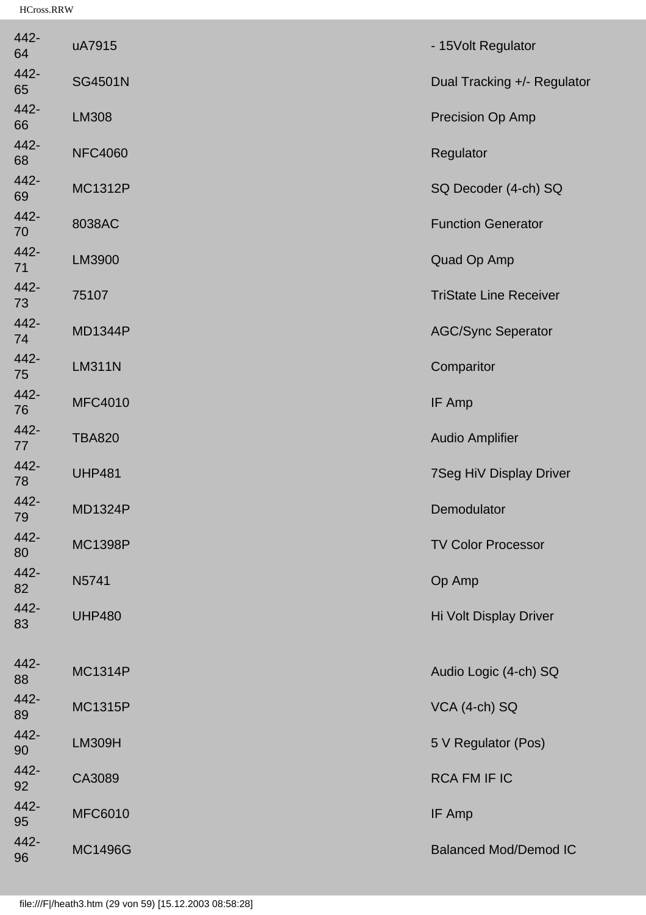| 442-<br>64 | uA7915         | - 15Volt Regulator            |
|------------|----------------|-------------------------------|
| 442-<br>65 | <b>SG4501N</b> | Dual Tracking +/- Regulator   |
| 442-<br>66 | LM308          | Precision Op Amp              |
| 442-<br>68 | <b>NFC4060</b> | Regulator                     |
| 442-<br>69 | <b>MC1312P</b> | SQ Decoder (4-ch) SQ          |
| 442-<br>70 | 8038AC         | <b>Function Generator</b>     |
| 442-<br>71 | LM3900         | Quad Op Amp                   |
| 442-<br>73 | 75107          | <b>TriState Line Receiver</b> |
| 442-<br>74 | <b>MD1344P</b> | <b>AGC/Sync Seperator</b>     |
| 442-<br>75 | <b>LM311N</b>  | Comparitor                    |
| 442-<br>76 | <b>MFC4010</b> | IF Amp                        |
| 442-<br>77 | <b>TBA820</b>  | <b>Audio Amplifier</b>        |
| 442-<br>78 | <b>UHP481</b>  | 7Seg HiV Display Driver       |
| 442-<br>79 | <b>MD1324P</b> | Demodulator                   |
| 442-<br>80 | <b>MC1398P</b> | <b>TV Color Processor</b>     |
| 442-<br>82 | N5741          | Op Amp                        |
| 442-<br>83 | <b>UHP480</b>  | Hi Volt Display Driver        |
| 442-<br>88 | <b>MC1314P</b> | Audio Logic (4-ch) SQ         |
| 442-<br>89 | <b>MC1315P</b> | VCA (4-ch) SQ                 |
| 442-<br>90 | <b>LM309H</b>  | 5 V Regulator (Pos)           |
| 442-<br>92 | CA3089         | <b>RCA FM IF IC</b>           |
| 442-<br>95 | <b>MFC6010</b> | IF Amp                        |
| 442-<br>96 | <b>MC1496G</b> | <b>Balanced Mod/Demod IC</b>  |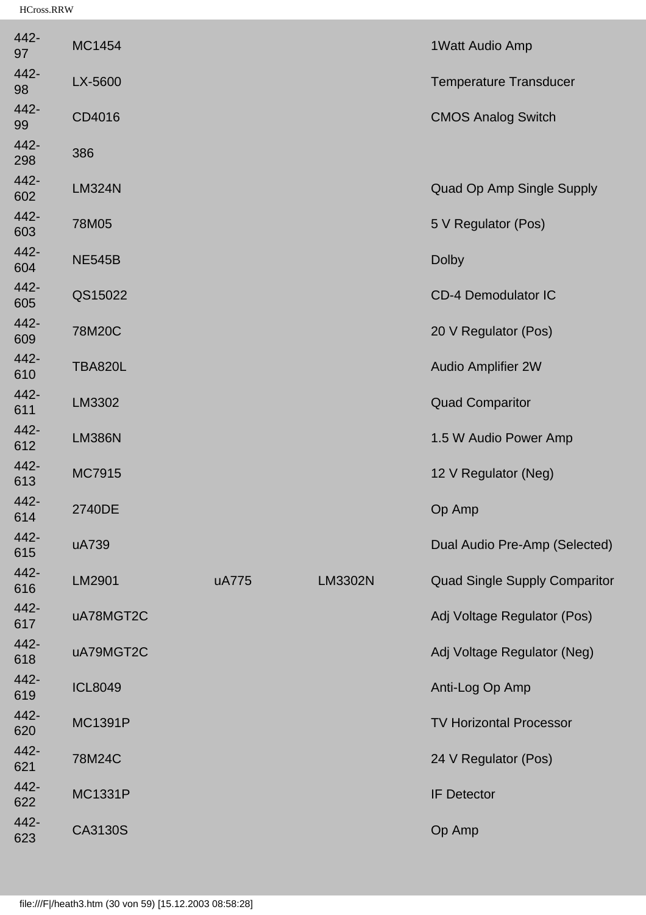| 442-<br>97  | MC1454         |       |                | 1 Watt Audio Amp                     |
|-------------|----------------|-------|----------------|--------------------------------------|
| 442-<br>98  | LX-5600        |       |                | <b>Temperature Transducer</b>        |
| 442-<br>99  | CD4016         |       |                | <b>CMOS Analog Switch</b>            |
| 442-<br>298 | 386            |       |                |                                      |
| 442-<br>602 | <b>LM324N</b>  |       |                | Quad Op Amp Single Supply            |
| 442-<br>603 | 78M05          |       |                | 5 V Regulator (Pos)                  |
| 442-<br>604 | <b>NE545B</b>  |       |                | <b>Dolby</b>                         |
| 442-<br>605 | QS15022        |       |                | <b>CD-4 Demodulator IC</b>           |
| 442-<br>609 | 78M20C         |       |                | 20 V Regulator (Pos)                 |
| 442-<br>610 | <b>TBA820L</b> |       |                | <b>Audio Amplifier 2W</b>            |
| 442-<br>611 | LM3302         |       |                | <b>Quad Comparitor</b>               |
| 442-<br>612 | <b>LM386N</b>  |       |                | 1.5 W Audio Power Amp                |
| 442-<br>613 | MC7915         |       |                | 12 V Regulator (Neg)                 |
| 442-<br>614 | 2740DE         |       |                | Op Amp                               |
| 442-<br>615 | uA739          |       |                | Dual Audio Pre-Amp (Selected)        |
| 442-<br>616 | LM2901         | uA775 | <b>LM3302N</b> | <b>Quad Single Supply Comparitor</b> |
| 442-<br>617 | uA78MGT2C      |       |                | Adj Voltage Regulator (Pos)          |
| 442-<br>618 | uA79MGT2C      |       |                | Adj Voltage Regulator (Neg)          |
| 442-<br>619 | <b>ICL8049</b> |       |                | Anti-Log Op Amp                      |
| 442-<br>620 | <b>MC1391P</b> |       |                | <b>TV Horizontal Processor</b>       |
| 442-<br>621 | 78M24C         |       |                | 24 V Regulator (Pos)                 |
| 442-<br>622 | <b>MC1331P</b> |       |                | <b>IF Detector</b>                   |
| 442-<br>623 | CA3130S        |       |                | Op Amp                               |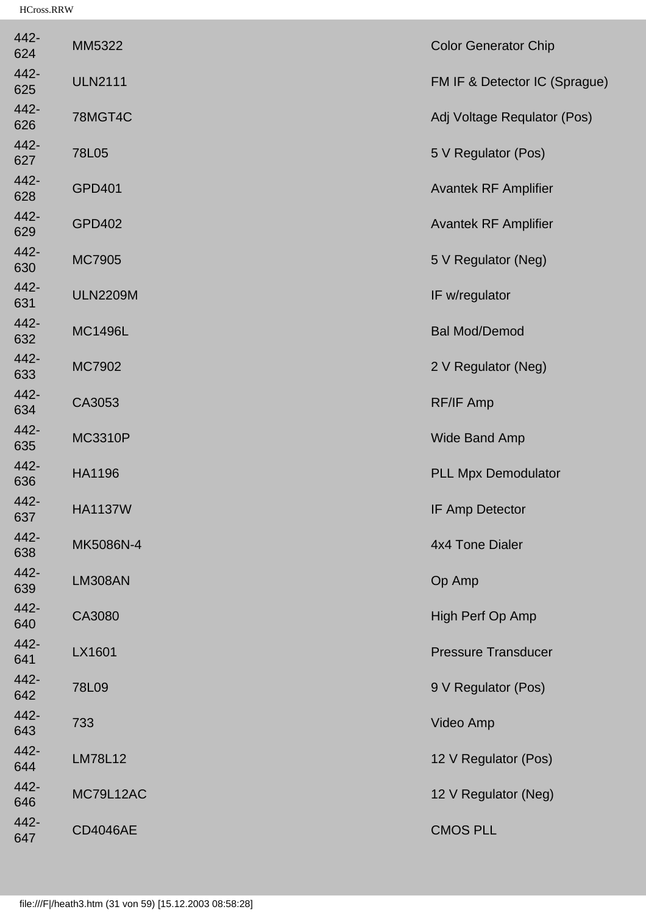| MM5322          | <b>Color Generator Chip</b>   |
|-----------------|-------------------------------|
| <b>ULN2111</b>  | FM IF & Detector IC (Sprague) |
| 78MGT4C         | Adj Voltage Requlator (Pos)   |
| 78L05           | 5 V Regulator (Pos)           |
| <b>GPD401</b>   | <b>Avantek RF Amplifier</b>   |
| <b>GPD402</b>   | <b>Avantek RF Amplifier</b>   |
| <b>MC7905</b>   | 5 V Regulator (Neg)           |
| <b>ULN2209M</b> | IF w/regulator                |
| <b>MC1496L</b>  | <b>Bal Mod/Demod</b>          |
| MC7902          | 2 V Regulator (Neg)           |
| CA3053          | <b>RF/IF Amp</b>              |
| <b>MC3310P</b>  | Wide Band Amp                 |
| HA1196          | <b>PLL Mpx Demodulator</b>    |
| <b>HA1137W</b>  | <b>IF Amp Detector</b>        |
| MK5086N-4       | 4x4 Tone Dialer               |
| <b>LM308AN</b>  | Op Amp                        |
| CA3080          | High Perf Op Amp              |
| LX1601          | <b>Pressure Transducer</b>    |
| 78L09           | 9 V Regulator (Pos)           |
| 733             | Video Amp                     |
| <b>LM78L12</b>  | 12 V Regulator (Pos)          |
| MC79L12AC       | 12 V Regulator (Neg)          |
| <b>CD4046AE</b> | <b>CMOS PLL</b>               |
|                 |                               |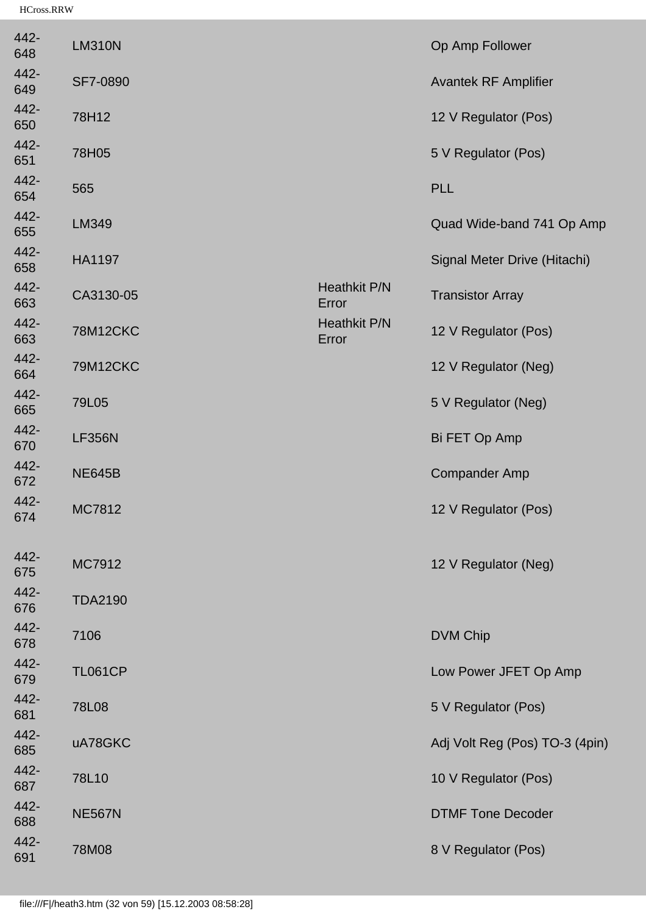| 442-<br>648 | <b>LM310N</b>   |                              | Op Amp Follower                |
|-------------|-----------------|------------------------------|--------------------------------|
| 442-<br>649 | SF7-0890        |                              | <b>Avantek RF Amplifier</b>    |
| 442-<br>650 | 78H12           |                              | 12 V Regulator (Pos)           |
| 442-<br>651 | 78H05           |                              | 5 V Regulator (Pos)            |
| 442-<br>654 | 565             |                              | <b>PLL</b>                     |
| 442-<br>655 | LM349           |                              | Quad Wide-band 741 Op Amp      |
| 442-<br>658 | <b>HA1197</b>   |                              | Signal Meter Drive (Hitachi)   |
| 442-<br>663 | CA3130-05       | <b>Heathkit P/N</b><br>Error | <b>Transistor Array</b>        |
| 442-<br>663 | <b>78M12CKC</b> | <b>Heathkit P/N</b><br>Error | 12 V Regulator (Pos)           |
| 442-<br>664 | <b>79M12CKC</b> |                              | 12 V Regulator (Neg)           |
| 442-<br>665 | 79L05           |                              | 5 V Regulator (Neg)            |
| 442-<br>670 | <b>LF356N</b>   |                              | Bi FET Op Amp                  |
| 442-<br>672 | <b>NE645B</b>   |                              | <b>Compander Amp</b>           |
| 442-<br>674 | MC7812          |                              | 12 V Regulator (Pos)           |
| 442-<br>675 | MC7912          |                              | 12 V Regulator (Neg)           |
| 442-<br>676 | <b>TDA2190</b>  |                              |                                |
| 442-<br>678 | 7106            |                              | <b>DVM Chip</b>                |
| 442-<br>679 | <b>TL061CP</b>  |                              | Low Power JFET Op Amp          |
| 442-<br>681 | 78L08           |                              | 5 V Regulator (Pos)            |
| 442-<br>685 | uA78GKC         |                              | Adj Volt Reg (Pos) TO-3 (4pin) |
| 442-<br>687 | 78L10           |                              | 10 V Regulator (Pos)           |
| 442-<br>688 | <b>NE567N</b>   |                              | <b>DTMF Tone Decoder</b>       |
| 442-<br>691 | 78M08           |                              | 8 V Regulator (Pos)            |
|             |                 |                              |                                |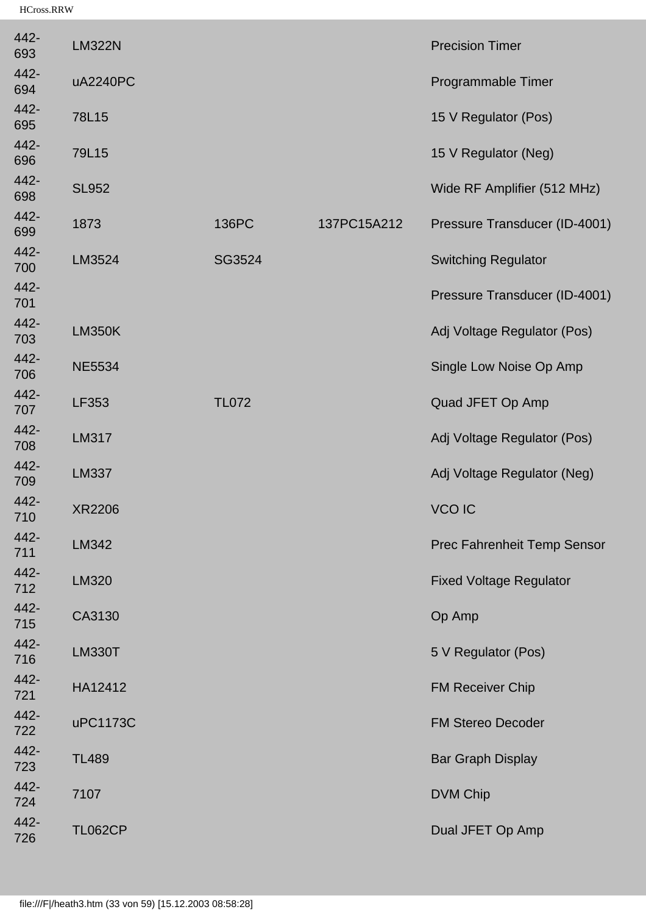| 442-<br>693 | <b>LM322N</b>  |              |             | <b>Precision Timer</b>         |
|-------------|----------------|--------------|-------------|--------------------------------|
| 442-<br>694 | uA2240PC       |              |             | Programmable Timer             |
| 442-<br>695 | 78L15          |              |             | 15 V Regulator (Pos)           |
| 442-<br>696 | 79L15          |              |             | 15 V Regulator (Neg)           |
| 442-<br>698 | <b>SL952</b>   |              |             | Wide RF Amplifier (512 MHz)    |
| 442-<br>699 | 1873           | 136PC        | 137PC15A212 | Pressure Transducer (ID-4001)  |
| 442-<br>700 | LM3524         | SG3524       |             | <b>Switching Regulator</b>     |
| 442-<br>701 |                |              |             | Pressure Transducer (ID-4001)  |
| 442-<br>703 | <b>LM350K</b>  |              |             | Adj Voltage Regulator (Pos)    |
| 442-<br>706 | <b>NE5534</b>  |              |             | Single Low Noise Op Amp        |
| 442-<br>707 | LF353          | <b>TL072</b> |             | Quad JFET Op Amp               |
| 442-<br>708 | LM317          |              |             | Adj Voltage Regulator (Pos)    |
| 442-<br>709 | <b>LM337</b>   |              |             | Adj Voltage Regulator (Neg)    |
| 442-<br>710 | <b>XR2206</b>  |              |             | <b>VCO IC</b>                  |
| 442-<br>711 | LM342          |              |             | Prec Fahrenheit Temp Sensor    |
| 442-<br>712 | <b>LM320</b>   |              |             | <b>Fixed Voltage Regulator</b> |
| 442-<br>715 | CA3130         |              |             | Op Amp                         |
| 442-<br>716 | <b>LM330T</b>  |              |             | 5 V Regulator (Pos)            |
| 442-<br>721 | HA12412        |              |             | <b>FM Receiver Chip</b>        |
| 442-<br>722 | uPC1173C       |              |             | <b>FM Stereo Decoder</b>       |
| 442-<br>723 | <b>TL489</b>   |              |             | <b>Bar Graph Display</b>       |
| 442-<br>724 | 7107           |              |             | <b>DVM Chip</b>                |
| 442-<br>726 | <b>TL062CP</b> |              |             | Dual JFET Op Amp               |
|             |                |              |             |                                |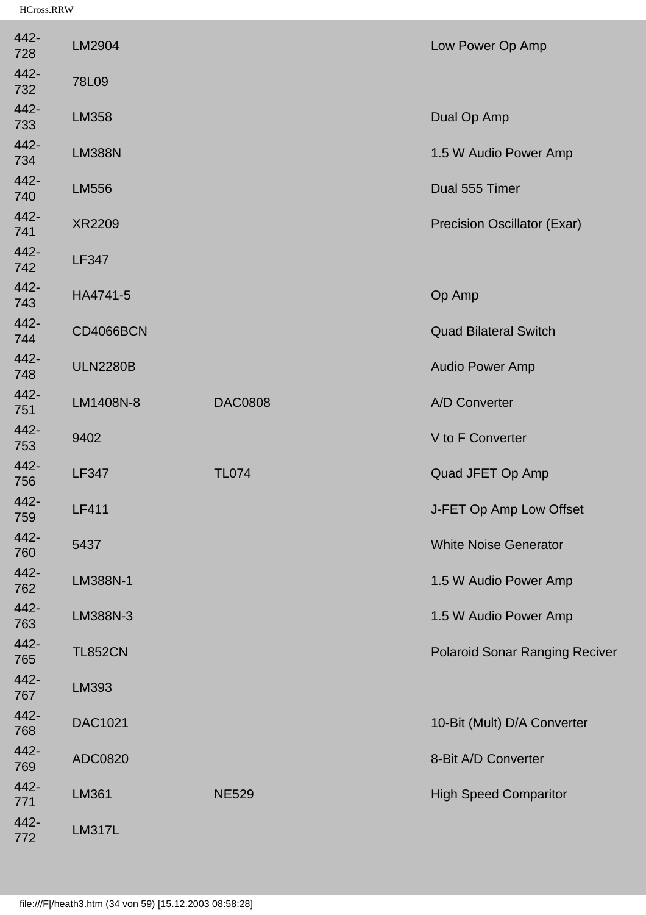| 442-<br>728 | LM2904           |                | Low Power Op Amp                      |
|-------------|------------------|----------------|---------------------------------------|
| 442-<br>732 | 78L09            |                |                                       |
| 442-<br>733 | LM358            |                | Dual Op Amp                           |
| 442-<br>734 | <b>LM388N</b>    |                | 1.5 W Audio Power Amp                 |
| 442-<br>740 | <b>LM556</b>     |                | Dual 555 Timer                        |
| 442-<br>741 | <b>XR2209</b>    |                | <b>Precision Oscillator (Exar)</b>    |
| 442-<br>742 | <b>LF347</b>     |                |                                       |
| 442-<br>743 | HA4741-5         |                | Op Amp                                |
| 442-<br>744 | <b>CD4066BCN</b> |                | <b>Quad Bilateral Switch</b>          |
| 442-<br>748 | <b>ULN2280B</b>  |                | <b>Audio Power Amp</b>                |
| 442-<br>751 | LM1408N-8        | <b>DAC0808</b> | A/D Converter                         |
| 442-<br>753 | 9402             |                | V to F Converter                      |
| 442-<br>756 | <b>LF347</b>     | <b>TL074</b>   | Quad JFET Op Amp                      |
| 442-<br>759 | <b>LF411</b>     |                | J-FET Op Amp Low Offset               |
| 442-<br>760 | 5437             |                | <b>White Noise Generator</b>          |
| 442-<br>762 | LM388N-1         |                | 1.5 W Audio Power Amp                 |
| 442-<br>763 | LM388N-3         |                | 1.5 W Audio Power Amp                 |
| 442-<br>765 | <b>TL852CN</b>   |                | <b>Polaroid Sonar Ranging Reciver</b> |
| 442-<br>767 | LM393            |                |                                       |
| 442-<br>768 | <b>DAC1021</b>   |                | 10-Bit (Mult) D/A Converter           |
| 442-<br>769 | ADC0820          |                | 8-Bit A/D Converter                   |
| 442-<br>771 | <b>LM361</b>     | <b>NE529</b>   | <b>High Speed Comparitor</b>          |
| 442-<br>772 | <b>LM317L</b>    |                |                                       |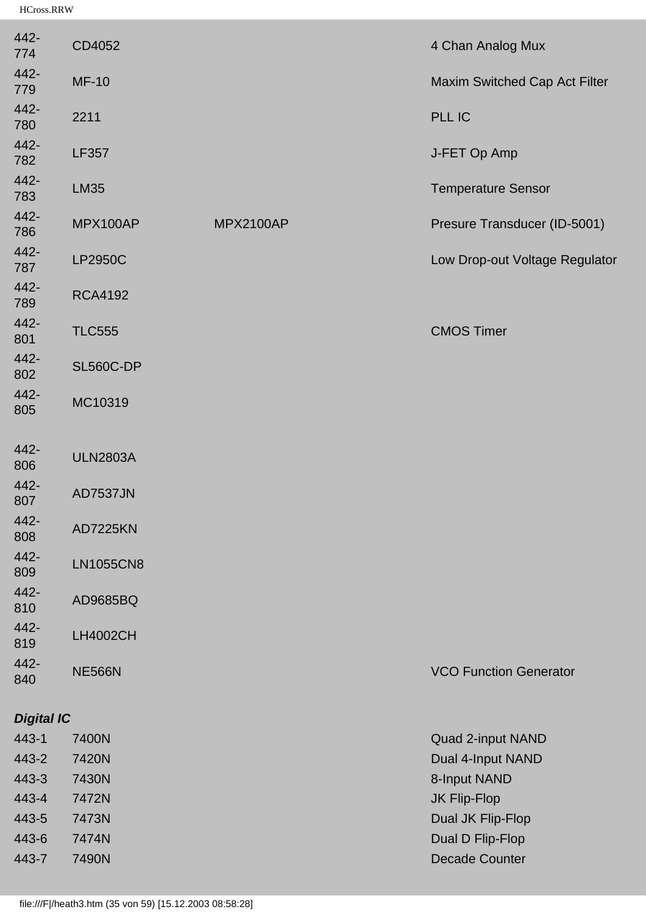| 442-<br>774       | CD4052           |                  | 4 Chan Analog Mux              |
|-------------------|------------------|------------------|--------------------------------|
| 442-<br>779       | <b>MF-10</b>     |                  | Maxim Switched Cap Act Filter  |
| 442-<br>780       | 2211             |                  | PLL IC                         |
| 442-<br>782       | <b>LF357</b>     |                  | J-FET Op Amp                   |
| 442-<br>783       | <b>LM35</b>      |                  | <b>Temperature Sensor</b>      |
| 442-<br>786       | MPX100AP         | <b>MPX2100AP</b> | Presure Transducer (ID-5001)   |
| 442-<br>787       | <b>LP2950C</b>   |                  | Low Drop-out Voltage Regulator |
| 442-<br>789       | <b>RCA4192</b>   |                  |                                |
| 442-<br>801       | <b>TLC555</b>    |                  | <b>CMOS Timer</b>              |
| 442-<br>802       | <b>SL560C-DP</b> |                  |                                |
| 442-<br>805       | MC10319          |                  |                                |
| 442-<br>806       | <b>ULN2803A</b>  |                  |                                |
| 442-<br>807       | <b>AD7537JN</b>  |                  |                                |
| 442-<br>808       | <b>AD7225KN</b>  |                  |                                |
| 442-<br>809       | <b>LN1055CN8</b> |                  |                                |
| 442-<br>810       | AD9685BQ         |                  |                                |
| 442-<br>819       | <b>LH4002CH</b>  |                  |                                |
| 442-<br>840       | <b>NE566N</b>    |                  | <b>VCO Function Generator</b>  |
| <b>Digital IC</b> |                  |                  |                                |
| 443-1             | 7400N            |                  | Quad 2-input NAND              |
| 443-2             | 7420N            |                  | Dual 4-Input NAND              |
| 443-3             | 7430N            |                  | 8-Input NAND                   |
| 443-4             | 7472N            |                  | JK Flip-Flop                   |
| 443-5             | 7473N            |                  | Dual JK Flip-Flop              |
| 443-6             | 7474N            |                  | Dual D Flip-Flop               |
| 443-7             | 7490N            |                  | <b>Decade Counter</b>          |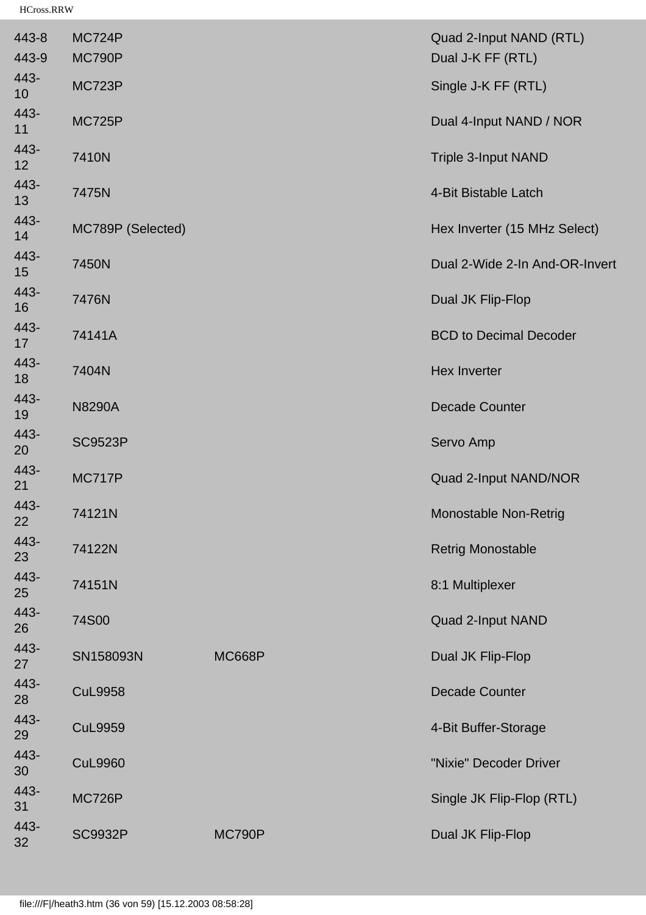| 443-8      | MC724P            |               | Quad 2-Input NAND (RTL)        |
|------------|-------------------|---------------|--------------------------------|
| 443-9      | MC790P            |               | Dual J-K FF (RTL)              |
| 443-<br>10 | <b>MC723P</b>     |               | Single J-K FF (RTL)            |
| 443-<br>11 | <b>MC725P</b>     |               | Dual 4-Input NAND / NOR        |
| 443-<br>12 | 7410N             |               | <b>Triple 3-Input NAND</b>     |
| 443-<br>13 | 7475N             |               | 4-Bit Bistable Latch           |
| 443-<br>14 | MC789P (Selected) |               | Hex Inverter (15 MHz Select)   |
| 443-<br>15 | 7450N             |               | Dual 2-Wide 2-In And-OR-Invert |
| 443-<br>16 | 7476N             |               | Dual JK Flip-Flop              |
| 443-<br>17 | 74141A            |               | <b>BCD to Decimal Decoder</b>  |
| 443-<br>18 | 7404N             |               | <b>Hex Inverter</b>            |
| 443-<br>19 | <b>N8290A</b>     |               | <b>Decade Counter</b>          |
| 443-<br>20 | <b>SC9523P</b>    |               | Servo Amp                      |
| 443-<br>21 | <b>MC717P</b>     |               | Quad 2-Input NAND/NOR          |
| 443-<br>22 | 74121N            |               | <b>Monostable Non-Retrig</b>   |
| 443-<br>23 | 74122N            |               | <b>Retrig Monostable</b>       |
| 443-<br>25 | 74151N            |               | 8:1 Multiplexer                |
| 443-<br>26 | 74S00             |               | Quad 2-Input NAND              |
| 443-<br>27 | SN158093N         | <b>MC668P</b> | Dual JK Flip-Flop              |
| 443-<br>28 | <b>CuL9958</b>    |               | <b>Decade Counter</b>          |
| 443-<br>29 | <b>CuL9959</b>    |               | 4-Bit Buffer-Storage           |
| 443-<br>30 | <b>CuL9960</b>    |               | "Nixie" Decoder Driver         |
| 443-<br>31 | <b>MC726P</b>     |               | Single JK Flip-Flop (RTL)      |
| 443-<br>32 | <b>SC9932P</b>    | <b>MC790P</b> | Dual JK Flip-Flop              |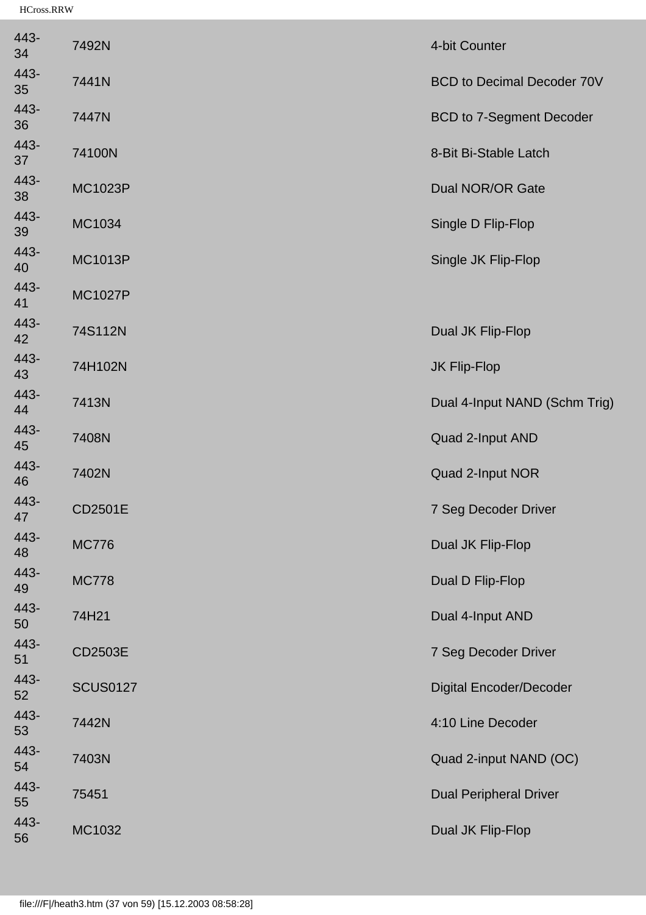| 443-<br>34 | 7492N           | 4-bit Counter                     |
|------------|-----------------|-----------------------------------|
| 443-<br>35 | 7441N           | <b>BCD to Decimal Decoder 70V</b> |
| 443-<br>36 | 7447N           | <b>BCD to 7-Segment Decoder</b>   |
| 443-<br>37 | 74100N          | 8-Bit Bi-Stable Latch             |
| 443-<br>38 | <b>MC1023P</b>  | <b>Dual NOR/OR Gate</b>           |
| 443-<br>39 | MC1034          | Single D Flip-Flop                |
| 443-<br>40 | <b>MC1013P</b>  | Single JK Flip-Flop               |
| 443-<br>41 | <b>MC1027P</b>  |                                   |
| 443-<br>42 | 74S112N         | Dual JK Flip-Flop                 |
| 443-<br>43 | 74H102N         | JK Flip-Flop                      |
| 443-<br>44 | 7413N           | Dual 4-Input NAND (Schm Trig)     |
| 443-<br>45 | 7408N           | Quad 2-Input AND                  |
| 443-<br>46 | 7402N           | Quad 2-Input NOR                  |
| 443-<br>47 | <b>CD2501E</b>  | 7 Seg Decoder Driver              |
| 443-<br>48 | <b>MC776</b>    | Dual JK Flip-Flop                 |
| 443-<br>49 | <b>MC778</b>    | Dual D Flip-Flop                  |
| 443-<br>50 | 74H21           | Dual 4-Input AND                  |
| 443-<br>51 | CD2503E         | 7 Seg Decoder Driver              |
| 443-<br>52 | <b>SCUS0127</b> | <b>Digital Encoder/Decoder</b>    |
| 443-<br>53 | 7442N           | 4:10 Line Decoder                 |
| 443-<br>54 | 7403N           | Quad 2-input NAND (OC)            |
| 443-<br>55 | 75451           | <b>Dual Peripheral Driver</b>     |
| 443-<br>56 | MC1032          | Dual JK Flip-Flop                 |
|            |                 |                                   |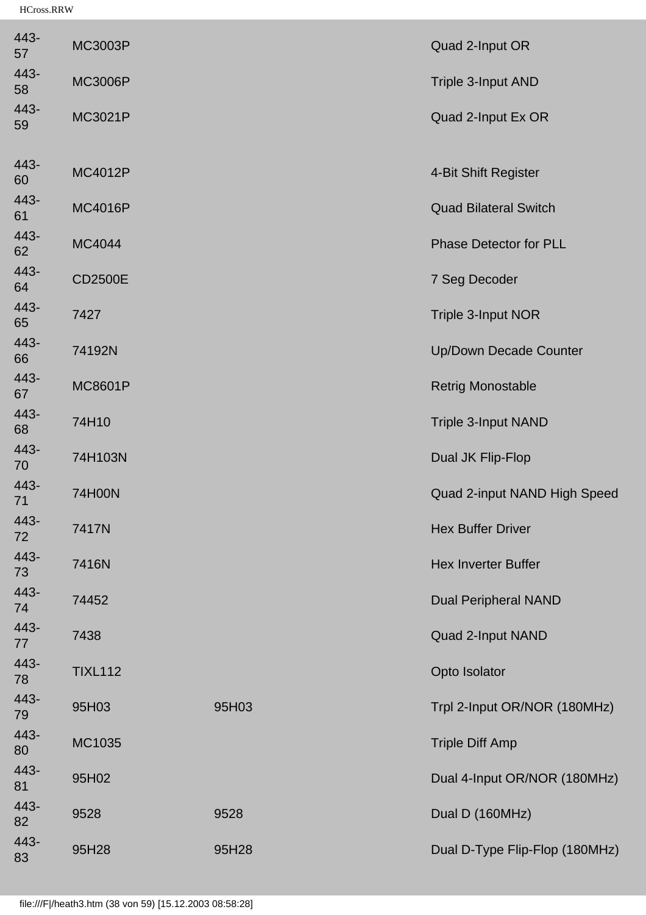| 443-<br>57 | MC3003P        |       | Quad 2-Input OR                |
|------------|----------------|-------|--------------------------------|
| 443-<br>58 | <b>MC3006P</b> |       | Triple 3-Input AND             |
| 443-<br>59 | <b>MC3021P</b> |       | Quad 2-Input Ex OR             |
| 443-<br>60 | <b>MC4012P</b> |       | 4-Bit Shift Register           |
| 443-<br>61 | <b>MC4016P</b> |       | <b>Quad Bilateral Switch</b>   |
| 443-<br>62 | MC4044         |       | <b>Phase Detector for PLL</b>  |
| 443-<br>64 | <b>CD2500E</b> |       | 7 Seg Decoder                  |
| 443-<br>65 | 7427           |       | Triple 3-Input NOR             |
| 443-<br>66 | 74192N         |       | <b>Up/Down Decade Counter</b>  |
| 443-<br>67 | <b>MC8601P</b> |       | <b>Retrig Monostable</b>       |
| 443-<br>68 | 74H10          |       | <b>Triple 3-Input NAND</b>     |
| 443-<br>70 | 74H103N        |       | Dual JK Flip-Flop              |
| 443-<br>71 | 74H00N         |       | Quad 2-input NAND High Speed   |
| 443-<br>72 | 7417N          |       | <b>Hex Buffer Driver</b>       |
| 443-<br>73 | 7416N          |       | <b>Hex Inverter Buffer</b>     |
| 443-<br>74 | 74452          |       | <b>Dual Peripheral NAND</b>    |
| 443-<br>77 | 7438           |       | Quad 2-Input NAND              |
| 443-<br>78 | <b>TIXL112</b> |       | Opto Isolator                  |
| 443-<br>79 | 95H03          | 95H03 | Trpl 2-Input OR/NOR (180MHz)   |
| 443-<br>80 | MC1035         |       | <b>Triple Diff Amp</b>         |
| 443-<br>81 | 95H02          |       | Dual 4-Input OR/NOR (180MHz)   |
| 443-<br>82 | 9528           | 9528  | Dual D (160MHz)                |
| 443-<br>83 | 95H28          | 95H28 | Dual D-Type Flip-Flop (180MHz) |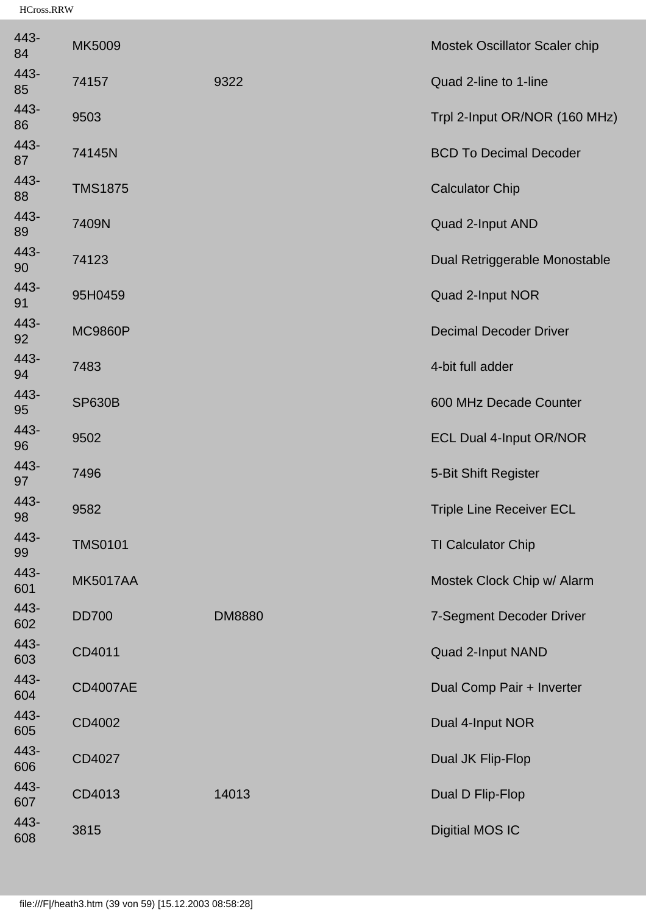| 443-<br>84  | MK5009          |               | Mostek Oscillator Scaler chip   |
|-------------|-----------------|---------------|---------------------------------|
| 443-<br>85  | 74157           | 9322          | Quad 2-line to 1-line           |
| 443-<br>86  | 9503            |               | Trpl 2-Input OR/NOR (160 MHz)   |
| 443-<br>87  | 74145N          |               | <b>BCD To Decimal Decoder</b>   |
| 443-<br>88  | <b>TMS1875</b>  |               | <b>Calculator Chip</b>          |
| 443-<br>89  | 7409N           |               | Quad 2-Input AND                |
| 443-<br>90  | 74123           |               | Dual Retriggerable Monostable   |
| 443-<br>91  | 95H0459         |               | Quad 2-Input NOR                |
| 443-<br>92  | <b>MC9860P</b>  |               | <b>Decimal Decoder Driver</b>   |
| 443-<br>94  | 7483            |               | 4-bit full adder                |
| 443-<br>95  | <b>SP630B</b>   |               | 600 MHz Decade Counter          |
| 443-<br>96  | 9502            |               | <b>ECL Dual 4-Input OR/NOR</b>  |
| 443-<br>97  | 7496            |               | 5-Bit Shift Register            |
| 443-<br>98  | 9582            |               | <b>Triple Line Receiver ECL</b> |
| 443-<br>99  | <b>TMS0101</b>  |               | <b>TI Calculator Chip</b>       |
| 443-<br>601 | <b>MK5017AA</b> |               | Mostek Clock Chip w/ Alarm      |
| 443-<br>602 | <b>DD700</b>    | <b>DM8880</b> | 7-Segment Decoder Driver        |
| 443-<br>603 | CD4011          |               | Quad 2-Input NAND               |
| 443-<br>604 | <b>CD4007AE</b> |               | Dual Comp Pair + Inverter       |
| 443-<br>605 | CD4002          |               | Dual 4-Input NOR                |
| 443-<br>606 | CD4027          |               | Dual JK Flip-Flop               |
| 443-<br>607 | CD4013          | 14013         | Dual D Flip-Flop                |
| 443-<br>608 | 3815            |               | <b>Digitial MOS IC</b>          |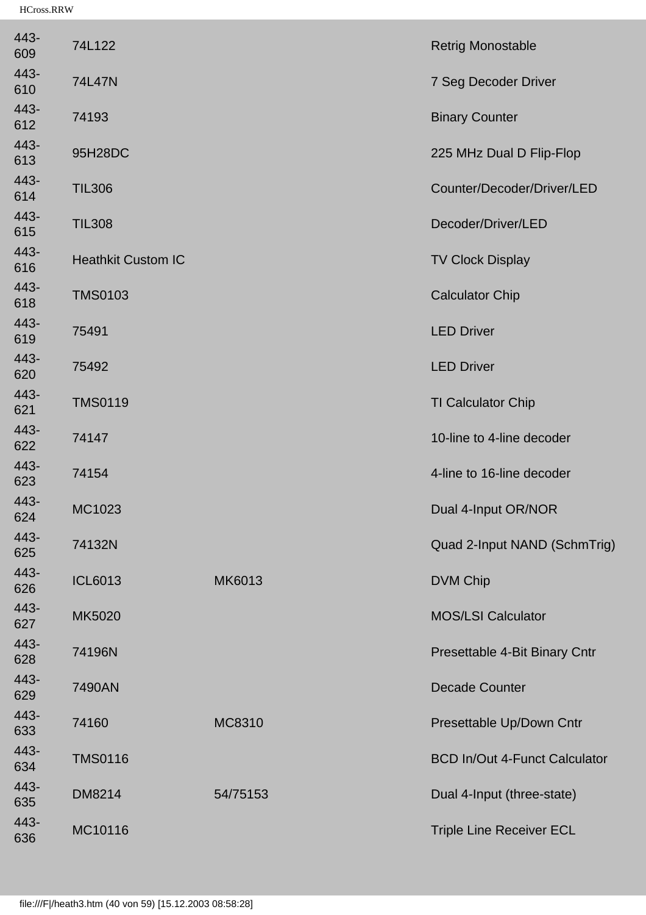| 443-<br>609 | 74L122                    |          | <b>Retrig Monostable</b>             |
|-------------|---------------------------|----------|--------------------------------------|
| 443-<br>610 | 74L47N                    |          | 7 Seg Decoder Driver                 |
| 443-<br>612 | 74193                     |          | <b>Binary Counter</b>                |
| 443-<br>613 | 95H28DC                   |          | 225 MHz Dual D Flip-Flop             |
| 443-<br>614 | <b>TIL306</b>             |          | Counter/Decoder/Driver/LED           |
| 443-<br>615 | <b>TIL308</b>             |          | Decoder/Driver/LED                   |
| 443-<br>616 | <b>Heathkit Custom IC</b> |          | <b>TV Clock Display</b>              |
| 443-<br>618 | <b>TMS0103</b>            |          | <b>Calculator Chip</b>               |
| 443-<br>619 | 75491                     |          | <b>LED Driver</b>                    |
| 443-<br>620 | 75492                     |          | <b>LED Driver</b>                    |
| 443-<br>621 | <b>TMS0119</b>            |          | <b>TI Calculator Chip</b>            |
| 443-<br>622 | 74147                     |          | 10-line to 4-line decoder            |
| 443-<br>623 | 74154                     |          | 4-line to 16-line decoder            |
| 443-<br>624 | MC1023                    |          | Dual 4-Input OR/NOR                  |
| 443-<br>625 | 74132N                    |          | Quad 2-Input NAND (SchmTrig)         |
| 443-<br>626 | <b>ICL6013</b>            | MK6013   | <b>DVM Chip</b>                      |
| 443-<br>627 | MK5020                    |          | <b>MOS/LSI Calculator</b>            |
| 443-<br>628 | 74196N                    |          | Presettable 4-Bit Binary Cntr        |
| 443-<br>629 | 7490AN                    |          | <b>Decade Counter</b>                |
| 443-<br>633 | 74160                     | MC8310   | Presettable Up/Down Cntr             |
| 443-<br>634 | <b>TMS0116</b>            |          | <b>BCD In/Out 4-Funct Calculator</b> |
| 443-<br>635 | DM8214                    | 54/75153 | Dual 4-Input (three-state)           |
| 443-<br>636 | MC10116                   |          | <b>Triple Line Receiver ECL</b>      |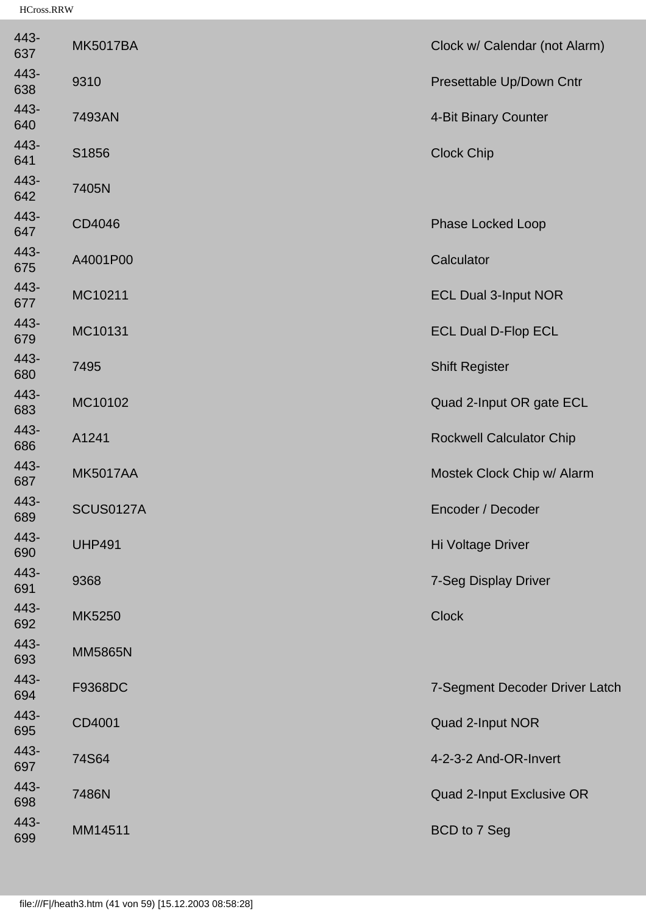| 443-<br>637 | <b>MK5017BA</b> | Clock w/ Calendar (not Alarm)   |
|-------------|-----------------|---------------------------------|
| 443-<br>638 | 9310            | Presettable Up/Down Cntr        |
| 443-<br>640 | 7493AN          | 4-Bit Binary Counter            |
| 443-<br>641 | S1856           | <b>Clock Chip</b>               |
| 443-<br>642 | 7405N           |                                 |
| 443-<br>647 | CD4046          | <b>Phase Locked Loop</b>        |
| 443-<br>675 | A4001P00        | Calculator                      |
| 443-<br>677 | MC10211         | <b>ECL Dual 3-Input NOR</b>     |
| 443-<br>679 | MC10131         | <b>ECL Dual D-Flop ECL</b>      |
| 443-<br>680 | 7495            | <b>Shift Register</b>           |
| 443-<br>683 | MC10102         | Quad 2-Input OR gate ECL        |
| 443-<br>686 | A1241           | <b>Rockwell Calculator Chip</b> |
| 443-<br>687 | <b>MK5017AA</b> | Mostek Clock Chip w/ Alarm      |
| 443-<br>689 | SCUS0127A       | Encoder / Decoder               |
| 443-<br>690 | <b>UHP491</b>   | Hi Voltage Driver               |
| 443-<br>691 | 9368            | 7-Seg Display Driver            |
| 443-<br>692 | MK5250          | <b>Clock</b>                    |
| 443-<br>693 | <b>MM5865N</b>  |                                 |
| 443-<br>694 | F9368DC         | 7-Segment Decoder Driver Latch  |
| 443-<br>695 | CD4001          | Quad 2-Input NOR                |
| 443-<br>697 | 74S64           | 4-2-3-2 And-OR-Invert           |
| 443-<br>698 | 7486N           | Quad 2-Input Exclusive OR       |
| 443-<br>699 | MM14511         | BCD to 7 Seg                    |
|             |                 |                                 |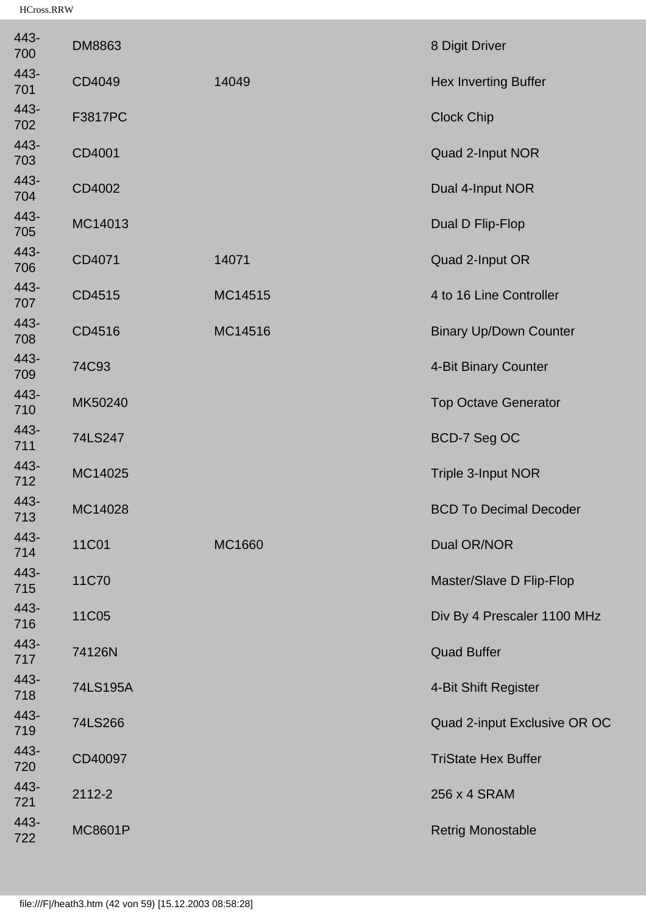| 443-<br>700 | <b>DM8863</b>  |         | 8 Digit Driver                |
|-------------|----------------|---------|-------------------------------|
| 443-<br>701 | CD4049         | 14049   | <b>Hex Inverting Buffer</b>   |
| 443-<br>702 | F3817PC        |         | <b>Clock Chip</b>             |
| 443-<br>703 | CD4001         |         | Quad 2-Input NOR              |
| 443-<br>704 | CD4002         |         | Dual 4-Input NOR              |
| 443-<br>705 | MC14013        |         | Dual D Flip-Flop              |
| 443-<br>706 | CD4071         | 14071   | Quad 2-Input OR               |
| 443-<br>707 | CD4515         | MC14515 | 4 to 16 Line Controller       |
| 443-<br>708 | CD4516         | MC14516 | <b>Binary Up/Down Counter</b> |
| 443-<br>709 | 74C93          |         | 4-Bit Binary Counter          |
| 443-<br>710 | MK50240        |         | <b>Top Octave Generator</b>   |
| 443-<br>711 | 74LS247        |         | BCD-7 Seg OC                  |
| 443-<br>712 | MC14025        |         | Triple 3-Input NOR            |
| 443-<br>713 | MC14028        |         | <b>BCD To Decimal Decoder</b> |
| 443-<br>714 | 11C01          | MC1660  | Dual OR/NOR                   |
| 443-<br>715 | 11C70          |         | Master/Slave D Flip-Flop      |
| 443-<br>716 | 11C05          |         | Div By 4 Prescaler 1100 MHz   |
| 443-<br>717 | 74126N         |         | <b>Quad Buffer</b>            |
| 443-<br>718 | 74LS195A       |         | 4-Bit Shift Register          |
| 443-<br>719 | 74LS266        |         | Quad 2-input Exclusive OR OC  |
| 443-<br>720 | CD40097        |         | <b>TriState Hex Buffer</b>    |
| 443-<br>721 | 2112-2         |         | 256 x 4 SRAM                  |
| 443-<br>722 | <b>MC8601P</b> |         | <b>Retrig Monostable</b>      |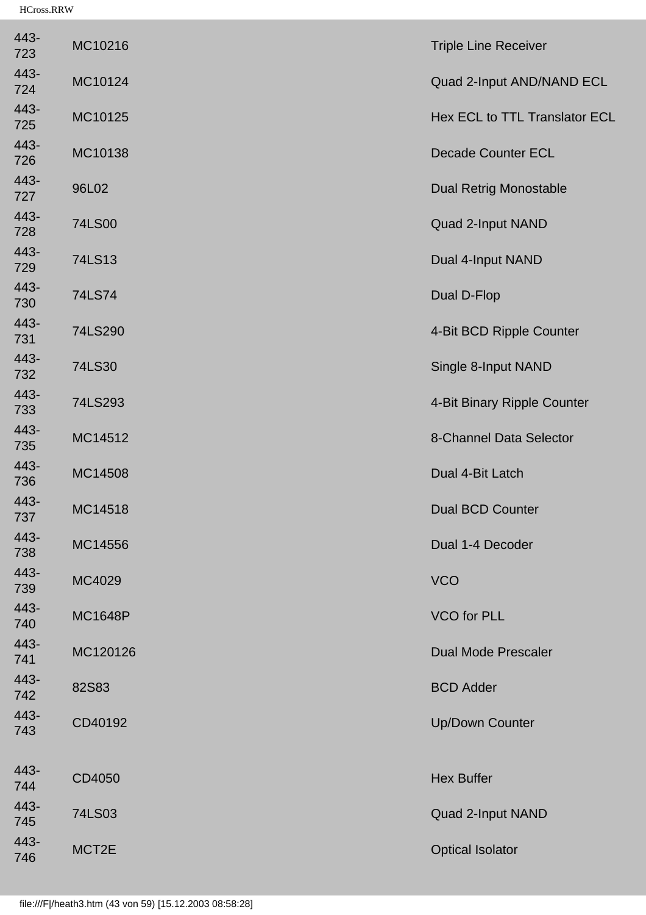| 443-<br>723 | MC10216        | <b>Triple Line Receiver</b>   |
|-------------|----------------|-------------------------------|
| 443-<br>724 | MC10124        | Quad 2-Input AND/NAND ECL     |
| 443-<br>725 | MC10125        | Hex ECL to TTL Translator ECL |
| 443-<br>726 | MC10138        | <b>Decade Counter ECL</b>     |
| 443-<br>727 | 96L02          | <b>Dual Retrig Monostable</b> |
| 443-<br>728 | 74LS00         | Quad 2-Input NAND             |
| 443-<br>729 | 74LS13         | Dual 4-Input NAND             |
| 443-<br>730 | 74LS74         | Dual D-Flop                   |
| 443-<br>731 | 74LS290        | 4-Bit BCD Ripple Counter      |
| 443-<br>732 | 74LS30         | Single 8-Input NAND           |
| 443-<br>733 | 74LS293        | 4-Bit Binary Ripple Counter   |
| 443-<br>735 | MC14512        | 8-Channel Data Selector       |
| 443-<br>736 | MC14508        | Dual 4-Bit Latch              |
| 443-<br>737 | MC14518        | <b>Dual BCD Counter</b>       |
| 443-<br>738 | MC14556        | Dual 1-4 Decoder              |
| 443-<br>739 | MC4029         | <b>VCO</b>                    |
| 443-<br>740 | <b>MC1648P</b> | <b>VCO</b> for PLL            |
| 443-<br>741 | MC120126       | <b>Dual Mode Prescaler</b>    |
| 443-<br>742 | 82S83          | <b>BCD Adder</b>              |
| 443-<br>743 | CD40192        | <b>Up/Down Counter</b>        |
| 443-        |                |                               |
| 744         | CD4050         | <b>Hex Buffer</b>             |
| 443-<br>745 | 74LS03         | Quad 2-Input NAND             |
| 443-<br>746 | MCT2E          | <b>Optical Isolator</b>       |
|             |                |                               |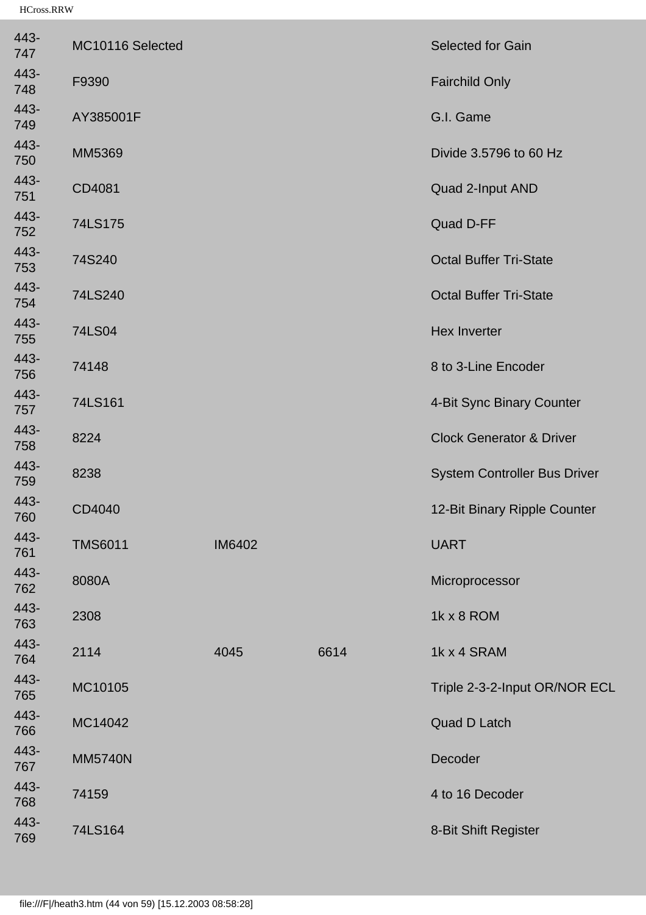| 443-<br>747 | MC10116 Selected |               |      | Selected for Gain                   |
|-------------|------------------|---------------|------|-------------------------------------|
| 443-<br>748 | F9390            |               |      | <b>Fairchild Only</b>               |
| 443-<br>749 | AY385001F        |               |      | G.I. Game                           |
| 443-<br>750 | MM5369           |               |      | Divide 3.5796 to 60 Hz              |
| 443-<br>751 | CD4081           |               |      | Quad 2-Input AND                    |
| 443-<br>752 | 74LS175          |               |      | Quad D-FF                           |
| 443-<br>753 | 74S240           |               |      | <b>Octal Buffer Tri-State</b>       |
| 443-<br>754 | 74LS240          |               |      | <b>Octal Buffer Tri-State</b>       |
| 443-<br>755 | 74LS04           |               |      | <b>Hex Inverter</b>                 |
| 443-<br>756 | 74148            |               |      | 8 to 3-Line Encoder                 |
| 443-<br>757 | 74LS161          |               |      | 4-Bit Sync Binary Counter           |
| 443-<br>758 | 8224             |               |      | <b>Clock Generator &amp; Driver</b> |
| 443-<br>759 | 8238             |               |      | <b>System Controller Bus Driver</b> |
| 443-<br>760 | CD4040           |               |      | 12-Bit Binary Ripple Counter        |
| 443-<br>761 | <b>TMS6011</b>   | <b>IM6402</b> |      | <b>UART</b>                         |
| 443-<br>762 | 8080A            |               |      | Microprocessor                      |
| 443-<br>763 | 2308             |               |      | 1k x 8 ROM                          |
| 443-<br>764 | 2114             | 4045          | 6614 | 1k x 4 SRAM                         |
| 443-<br>765 | MC10105          |               |      | Triple 2-3-2-Input OR/NOR ECL       |
| 443-<br>766 | MC14042          |               |      | <b>Quad D Latch</b>                 |
| 443-<br>767 | <b>MM5740N</b>   |               |      | Decoder                             |
| 443-<br>768 | 74159            |               |      | 4 to 16 Decoder                     |
| 443-<br>769 | 74LS164          |               |      | 8-Bit Shift Register                |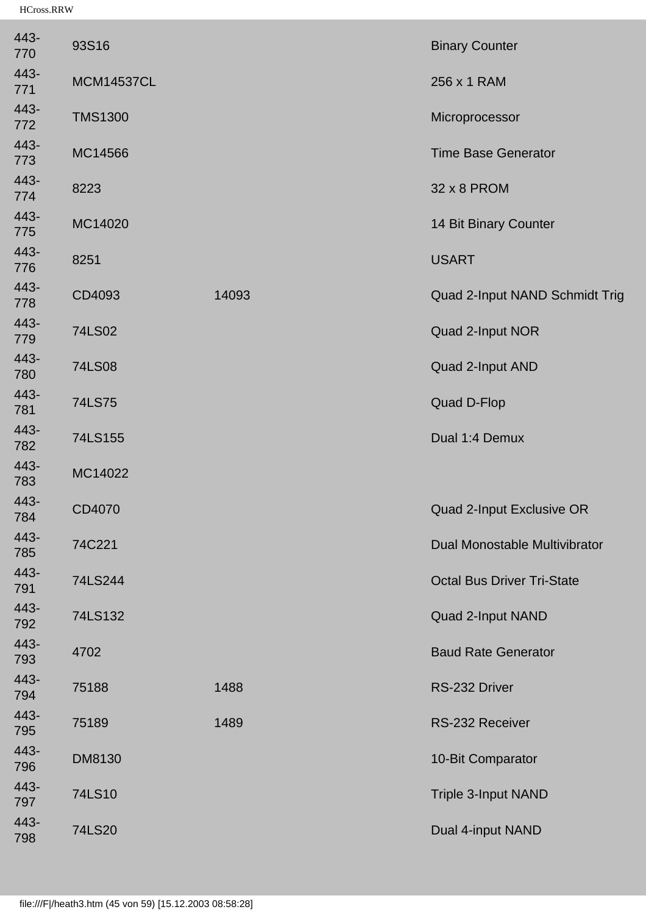| <b>Time Base Generator</b><br>14 Bit Binary Counter<br>Quad 2-Input NAND Schmidt Trig<br>Quad 2-Input NOR<br>Quad 2-Input AND |
|-------------------------------------------------------------------------------------------------------------------------------|
|                                                                                                                               |
|                                                                                                                               |
|                                                                                                                               |
|                                                                                                                               |
|                                                                                                                               |
|                                                                                                                               |
|                                                                                                                               |
|                                                                                                                               |
|                                                                                                                               |
|                                                                                                                               |
| Dual 1:4 Demux                                                                                                                |
|                                                                                                                               |
| Quad 2-Input Exclusive OR                                                                                                     |
| Dual Monostable Multivibrator                                                                                                 |
| <b>Octal Bus Driver Tri-State</b>                                                                                             |
| Quad 2-Input NAND                                                                                                             |
| <b>Baud Rate Generator</b>                                                                                                    |
|                                                                                                                               |
| RS-232 Receiver                                                                                                               |
| 10-Bit Comparator                                                                                                             |
|                                                                                                                               |
| Triple 3-Input NAND                                                                                                           |
|                                                                                                                               |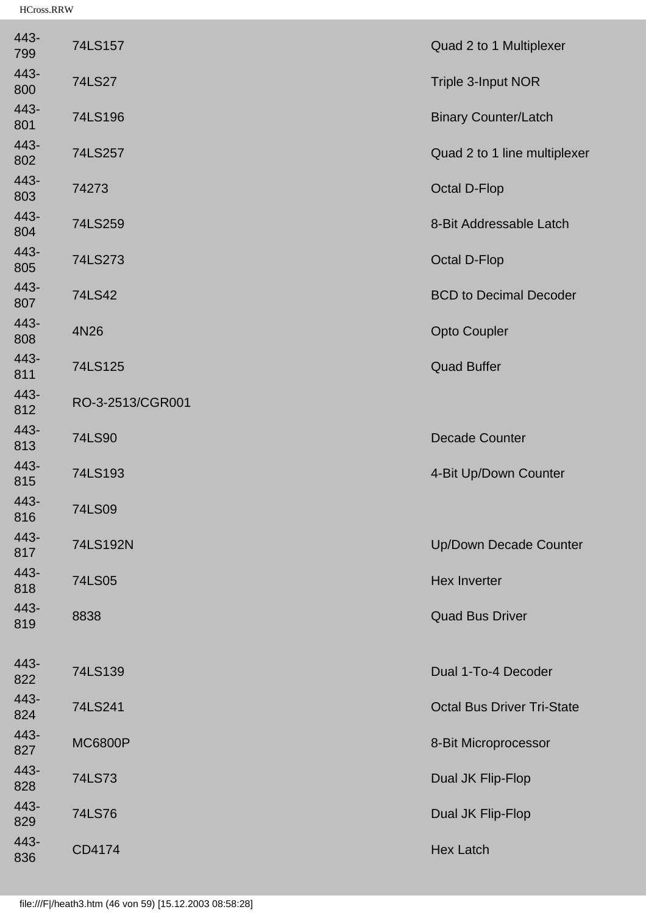| 443-<br>799 | 74LS157          | Quad 2 to 1 Multiplexer           |
|-------------|------------------|-----------------------------------|
| 443-<br>800 | 74LS27           | Triple 3-Input NOR                |
| 443-<br>801 | 74LS196          | <b>Binary Counter/Latch</b>       |
| 443-<br>802 | 74LS257          | Quad 2 to 1 line multiplexer      |
| 443-<br>803 | 74273            | <b>Octal D-Flop</b>               |
| 443-<br>804 | 74LS259          | 8-Bit Addressable Latch           |
| 443-<br>805 | 74LS273          | <b>Octal D-Flop</b>               |
| 443-<br>807 | 74LS42           | <b>BCD to Decimal Decoder</b>     |
| 443-<br>808 | 4N26             | <b>Opto Coupler</b>               |
| 443-<br>811 | 74LS125          | <b>Quad Buffer</b>                |
| 443-<br>812 | RO-3-2513/CGR001 |                                   |
| 443-<br>813 | 74LS90           | <b>Decade Counter</b>             |
| 443-<br>815 | 74LS193          | 4-Bit Up/Down Counter             |
| 443-<br>816 | 74LS09           |                                   |
| 443-<br>817 | 74LS192N         | <b>Up/Down Decade Counter</b>     |
| 443-<br>818 | 74LS05           | <b>Hex Inverter</b>               |
| 443-<br>819 | 8838             | <b>Quad Bus Driver</b>            |
| 443-        |                  |                                   |
| 822         | 74LS139          | Dual 1-To-4 Decoder               |
| 443-<br>824 | 74LS241          | <b>Octal Bus Driver Tri-State</b> |
| 443-<br>827 | <b>MC6800P</b>   | 8-Bit Microprocessor              |
| 443-<br>828 | 74LS73           | Dual JK Flip-Flop                 |
| 443-<br>829 | 74LS76           | Dual JK Flip-Flop                 |
| 443-<br>836 | CD4174           | <b>Hex Latch</b>                  |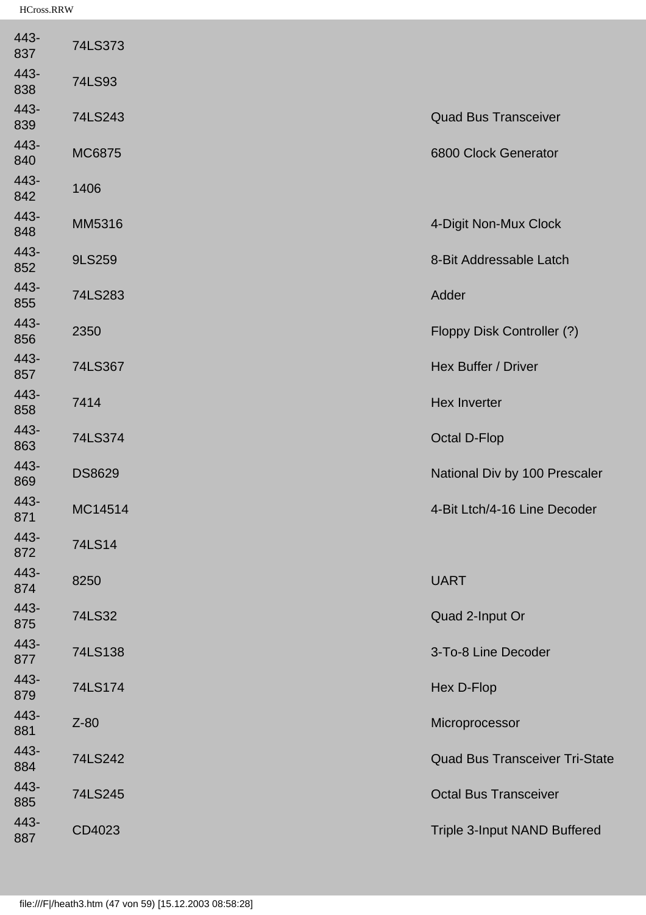| 443-<br>837 | 74LS373       |                                       |
|-------------|---------------|---------------------------------------|
| 443-<br>838 | 74LS93        |                                       |
| 443-<br>839 | 74LS243       | <b>Quad Bus Transceiver</b>           |
| 443-<br>840 | MC6875        | 6800 Clock Generator                  |
| 443-<br>842 | 1406          |                                       |
| 443-<br>848 | MM5316        | 4-Digit Non-Mux Clock                 |
| 443-<br>852 | 9LS259        | 8-Bit Addressable Latch               |
| 443-<br>855 | 74LS283       | Adder                                 |
| 443-<br>856 | 2350          | Floppy Disk Controller (?)            |
| 443-<br>857 | 74LS367       | Hex Buffer / Driver                   |
| 443-<br>858 | 7414          | <b>Hex Inverter</b>                   |
| 443-<br>863 | 74LS374       | <b>Octal D-Flop</b>                   |
| 443-<br>869 | <b>DS8629</b> | National Div by 100 Prescaler         |
| 443-<br>871 | MC14514       | 4-Bit Ltch/4-16 Line Decoder          |
| 443-<br>872 | 74LS14        |                                       |
| 443-<br>874 | 8250          | <b>UART</b>                           |
| 443-<br>875 | 74LS32        | Quad 2-Input Or                       |
| 443-<br>877 | 74LS138       | 3-To-8 Line Decoder                   |
| 443-<br>879 | 74LS174       | Hex D-Flop                            |
| 443-<br>881 | $Z-80$        | Microprocessor                        |
| 443-<br>884 | 74LS242       | <b>Quad Bus Transceiver Tri-State</b> |
| 443-<br>885 | 74LS245       | <b>Octal Bus Transceiver</b>          |
| 443-<br>887 | CD4023        | Triple 3-Input NAND Buffered          |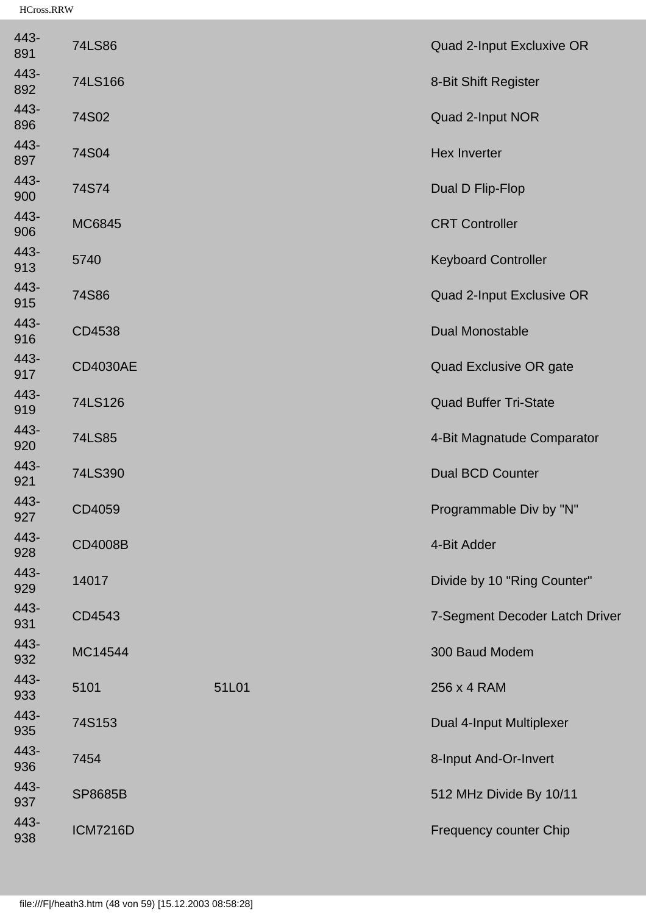| 443-<br>891 | 74LS86          |       | Quad 2-Input Excluxive OR      |
|-------------|-----------------|-------|--------------------------------|
| 443-<br>892 | 74LS166         |       | 8-Bit Shift Register           |
| 443-<br>896 | 74S02           |       | Quad 2-Input NOR               |
| 443-<br>897 | 74S04           |       | <b>Hex Inverter</b>            |
| 443-<br>900 | 74S74           |       | Dual D Flip-Flop               |
| 443-<br>906 | MC6845          |       | <b>CRT Controller</b>          |
| 443-<br>913 | 5740            |       | <b>Keyboard Controller</b>     |
| 443-<br>915 | 74S86           |       | Quad 2-Input Exclusive OR      |
| 443-<br>916 | CD4538          |       | <b>Dual Monostable</b>         |
| 443-<br>917 | <b>CD4030AE</b> |       | Quad Exclusive OR gate         |
| 443-<br>919 | 74LS126         |       | <b>Quad Buffer Tri-State</b>   |
| 443-<br>920 | 74LS85          |       | 4-Bit Magnatude Comparator     |
| 443-<br>921 | 74LS390         |       | <b>Dual BCD Counter</b>        |
| 443-<br>927 | CD4059          |       | Programmable Div by "N"        |
| 443-<br>928 | CD4008B         |       | 4-Bit Adder                    |
| 443-<br>929 | 14017           |       | Divide by 10 "Ring Counter"    |
| 443-<br>931 | CD4543          |       | 7-Segment Decoder Latch Driver |
| 443-<br>932 | MC14544         |       | 300 Baud Modem                 |
| 443-<br>933 | 5101            | 51L01 | 256 x 4 RAM                    |
| 443-<br>935 | 74S153          |       | Dual 4-Input Multiplexer       |
| 443-<br>936 | 7454            |       | 8-Input And-Or-Invert          |
| 443-<br>937 | <b>SP8685B</b>  |       | 512 MHz Divide By 10/11        |
| 443-<br>938 | <b>ICM7216D</b> |       | Frequency counter Chip         |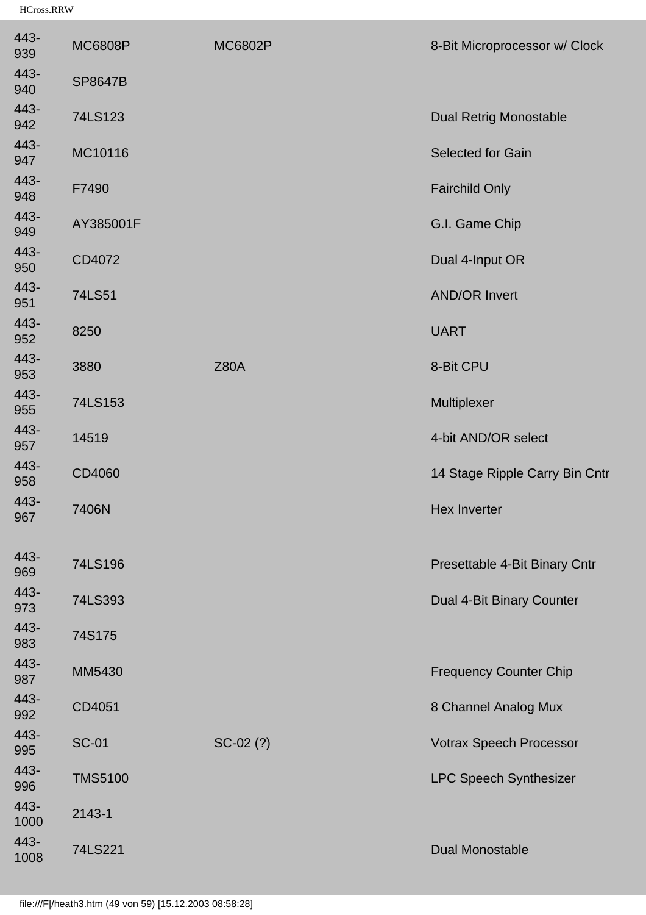| 443-<br>939  | <b>MC6808P</b> | <b>MC6802P</b> | 8-Bit Microprocessor w/ Clock  |
|--------------|----------------|----------------|--------------------------------|
| 443-<br>940  | <b>SP8647B</b> |                |                                |
| 443-<br>942  | 74LS123        |                | <b>Dual Retrig Monostable</b>  |
| 443-<br>947  | MC10116        |                | <b>Selected for Gain</b>       |
| 443-<br>948  | F7490          |                | <b>Fairchild Only</b>          |
| 443-<br>949  | AY385001F      |                | G.I. Game Chip                 |
| 443-<br>950  | CD4072         |                | Dual 4-Input OR                |
| 443-<br>951  | 74LS51         |                | <b>AND/OR Invert</b>           |
| 443-<br>952  | 8250           |                | <b>UART</b>                    |
| 443-<br>953  | 3880           | <b>Z80A</b>    | 8-Bit CPU                      |
| 443-<br>955  | 74LS153        |                | Multiplexer                    |
| 443-<br>957  | 14519          |                | 4-bit AND/OR select            |
| 443-<br>958  | CD4060         |                | 14 Stage Ripple Carry Bin Cntr |
| 443-<br>967  | 7406N          |                | <b>Hex Inverter</b>            |
| 443-<br>969  | 74LS196        |                | Presettable 4-Bit Binary Cntr  |
| 443-<br>973  | 74LS393        |                | Dual 4-Bit Binary Counter      |
| 443-<br>983  | 74S175         |                |                                |
| 443-<br>987  | MM5430         |                | <b>Frequency Counter Chip</b>  |
| 443-<br>992  | CD4051         |                | 8 Channel Analog Mux           |
| 443-<br>995  | <b>SC-01</b>   | $SC-02(?)$     | <b>Votrax Speech Processor</b> |
| 443-<br>996  | <b>TMS5100</b> |                | <b>LPC Speech Synthesizer</b>  |
| 443-<br>1000 | 2143-1         |                |                                |
| 443-<br>1008 | 74LS221        |                | <b>Dual Monostable</b>         |
|              |                |                |                                |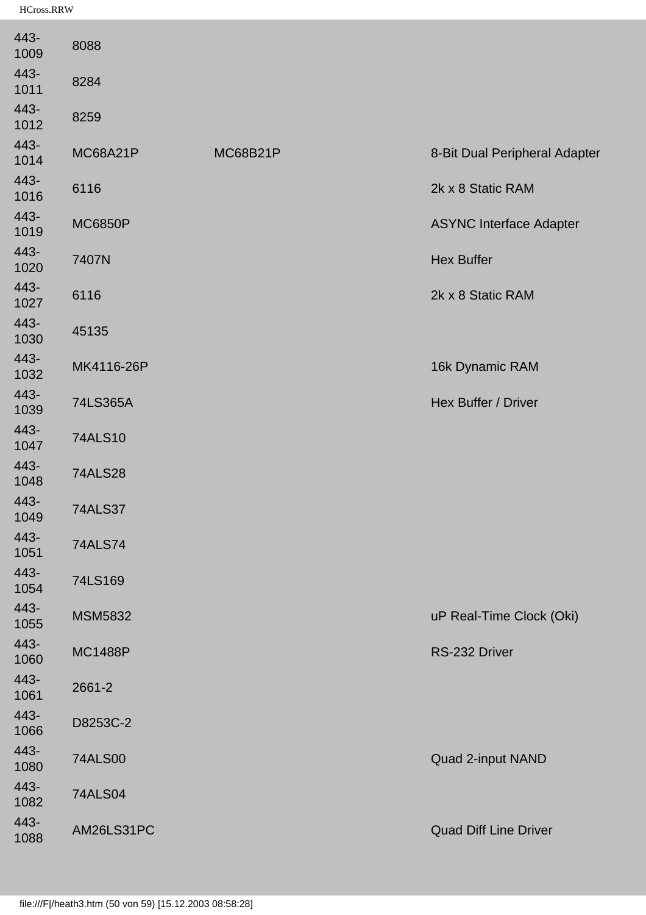| 443-<br>1009 | 8088            |                 |                                |
|--------------|-----------------|-----------------|--------------------------------|
| 443-<br>1011 | 8284            |                 |                                |
| 443-<br>1012 | 8259            |                 |                                |
| 443-<br>1014 | <b>MC68A21P</b> | <b>MC68B21P</b> | 8-Bit Dual Peripheral Adapter  |
| 443-<br>1016 | 6116            |                 | 2k x 8 Static RAM              |
| 443-<br>1019 | <b>MC6850P</b>  |                 | <b>ASYNC Interface Adapter</b> |
| 443-<br>1020 | 7407N           |                 | <b>Hex Buffer</b>              |
| 443-<br>1027 | 6116            |                 | 2k x 8 Static RAM              |
| 443-<br>1030 | 45135           |                 |                                |
| 443-<br>1032 | MK4116-26P      |                 | 16k Dynamic RAM                |
| 443-<br>1039 | 74LS365A        |                 | Hex Buffer / Driver            |
| 443-<br>1047 | <b>74ALS10</b>  |                 |                                |
| 443-<br>1048 | <b>74ALS28</b>  |                 |                                |
| 443-<br>1049 | <b>74ALS37</b>  |                 |                                |
| 443-<br>1051 | <b>74ALS74</b>  |                 |                                |
| 443-<br>1054 | 74LS169         |                 |                                |
| 443-<br>1055 | <b>MSM5832</b>  |                 | uP Real-Time Clock (Oki)       |
| 443-<br>1060 | <b>MC1488P</b>  |                 | RS-232 Driver                  |
| 443-<br>1061 | 2661-2          |                 |                                |
| 443-<br>1066 | D8253C-2        |                 |                                |
| 443-<br>1080 | <b>74ALS00</b>  |                 | Quad 2-input NAND              |
| 443-<br>1082 | <b>74ALS04</b>  |                 |                                |
| 443-<br>1088 | AM26LS31PC      |                 | <b>Quad Diff Line Driver</b>   |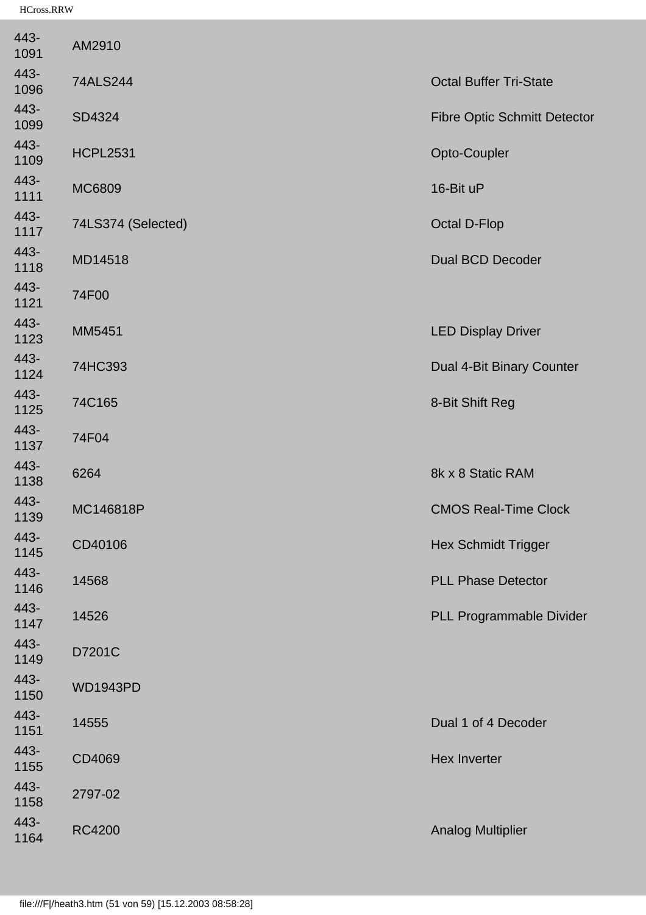| 443-<br>1091 | AM2910             |                                     |
|--------------|--------------------|-------------------------------------|
| 443-<br>1096 | 74ALS244           | <b>Octal Buffer Tri-State</b>       |
| 443-<br>1099 | SD4324             | <b>Fibre Optic Schmitt Detector</b> |
| 443-<br>1109 | <b>HCPL2531</b>    | Opto-Coupler                        |
| 443-<br>1111 | MC6809             | 16-Bit uP                           |
| 443-<br>1117 | 74LS374 (Selected) | <b>Octal D-Flop</b>                 |
| 443-<br>1118 | MD14518            | <b>Dual BCD Decoder</b>             |
| 443-<br>1121 | 74F00              |                                     |
| 443-<br>1123 | MM5451             | <b>LED Display Driver</b>           |
| 443-<br>1124 | 74HC393            | Dual 4-Bit Binary Counter           |
| 443-<br>1125 | 74C165             | 8-Bit Shift Reg                     |
| 443-<br>1137 | 74F04              |                                     |
| 443-<br>1138 | 6264               | 8k x 8 Static RAM                   |
| 443-<br>1139 | MC146818P          | <b>CMOS Real-Time Clock</b>         |
| 443-<br>1145 | CD40106            | <b>Hex Schmidt Trigger</b>          |
| 443-<br>1146 | 14568              | <b>PLL Phase Detector</b>           |
| 443-<br>1147 | 14526              | PLL Programmable Divider            |
| 443-<br>1149 | D7201C             |                                     |
| 443-<br>1150 | <b>WD1943PD</b>    |                                     |
| 443-<br>1151 | 14555              | Dual 1 of 4 Decoder                 |
| 443-<br>1155 | CD4069             | <b>Hex Inverter</b>                 |
| 443-<br>1158 | 2797-02            |                                     |
| 443-<br>1164 | <b>RC4200</b>      | <b>Analog Multiplier</b>            |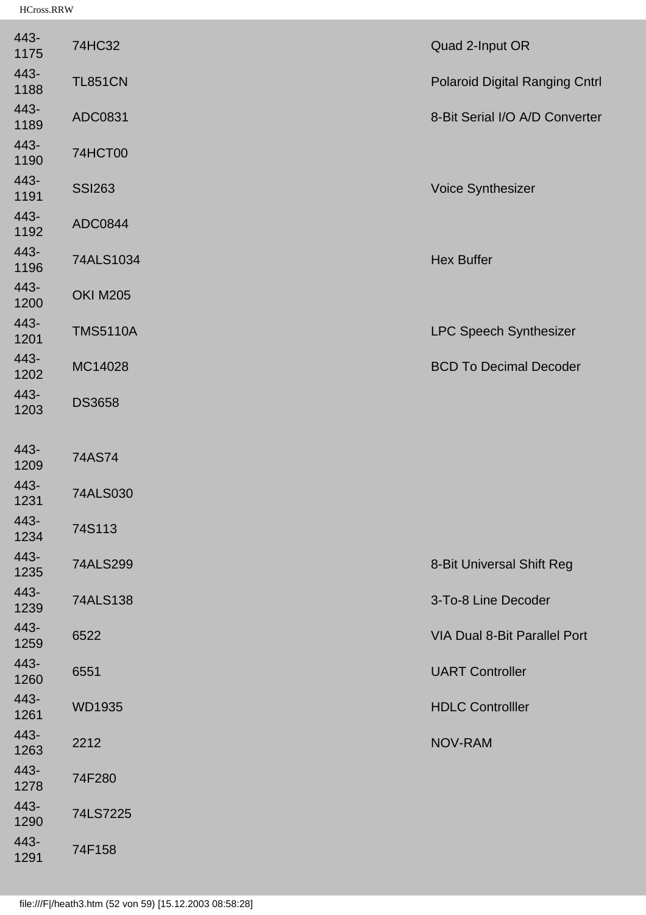| 443-<br>1175 | 74HC32          | Quad 2-Input OR                       |
|--------------|-----------------|---------------------------------------|
| 443-<br>1188 | <b>TL851CN</b>  | <b>Polaroid Digital Ranging Cntrl</b> |
| 443-<br>1189 | ADC0831         | 8-Bit Serial I/O A/D Converter        |
| 443-<br>1190 | <b>74HCT00</b>  |                                       |
| 443-<br>1191 | <b>SSI263</b>   | Voice Synthesizer                     |
| 443-<br>1192 | ADC0844         |                                       |
| 443-<br>1196 | 74ALS1034       | <b>Hex Buffer</b>                     |
| 443-<br>1200 | <b>OKI M205</b> |                                       |
| 443-<br>1201 | <b>TMS5110A</b> | <b>LPC Speech Synthesizer</b>         |
| 443-<br>1202 | MC14028         | <b>BCD To Decimal Decoder</b>         |
| 443-<br>1203 | <b>DS3658</b>   |                                       |
|              |                 |                                       |
| 443-<br>1209 | 74AS74          |                                       |
| 443-<br>1231 | 74ALS030        |                                       |
| 443-<br>1234 | 74S113          |                                       |
| 443-<br>1235 | 74ALS299        | 8-Bit Universal Shift Reg             |
| 443-<br>1239 | 74ALS138        | 3-To-8 Line Decoder                   |
| 443-<br>1259 | 6522            | <b>VIA Dual 8-Bit Parallel Port</b>   |
| 443-<br>1260 | 6551            | <b>UART Controller</b>                |
| 443-<br>1261 | <b>WD1935</b>   | <b>HDLC Controlller</b>               |
| 443-<br>1263 | 2212            | NOV-RAM                               |
| 443-<br>1278 | 74F280          |                                       |
| 443-<br>1290 | 74LS7225        |                                       |
| 443-<br>1291 | 74F158          |                                       |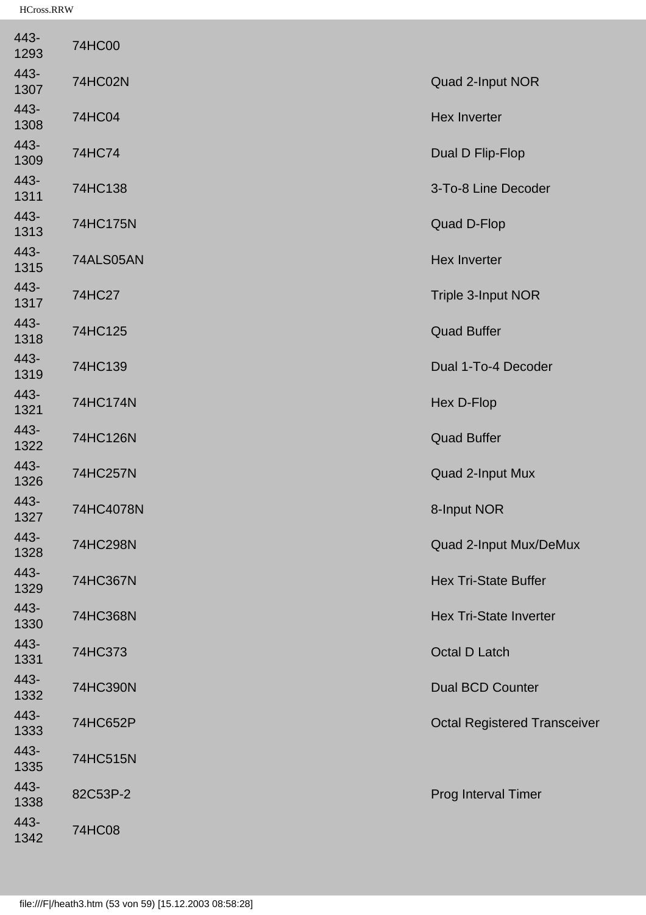| 443-<br>1293 | 74HC00         |                                     |
|--------------|----------------|-------------------------------------|
| 443-<br>1307 | <b>74HC02N</b> | Quad 2-Input NOR                    |
| 443-<br>1308 | 74HC04         | <b>Hex Inverter</b>                 |
| 443-<br>1309 | 74HC74         | Dual D Flip-Flop                    |
| 443-<br>1311 | 74HC138        | 3-To-8 Line Decoder                 |
| 443-<br>1313 | 74HC175N       | <b>Quad D-Flop</b>                  |
| 443-<br>1315 | 74ALS05AN      | <b>Hex Inverter</b>                 |
| 443-<br>1317 | 74HC27         | Triple 3-Input NOR                  |
| 443-<br>1318 | 74HC125        | <b>Quad Buffer</b>                  |
| 443-<br>1319 | 74HC139        | Dual 1-To-4 Decoder                 |
| 443-<br>1321 | 74HC174N       | Hex D-Flop                          |
| 443-<br>1322 | 74HC126N       | <b>Quad Buffer</b>                  |
| 443-<br>1326 | 74HC257N       | Quad 2-Input Mux                    |
| 443-<br>1327 | 74HC4078N      | 8-Input NOR                         |
| 443-<br>1328 | 74HC298N       | Quad 2-Input Mux/DeMux              |
| 443-<br>1329 | 74HC367N       | <b>Hex Tri-State Buffer</b>         |
| 443-<br>1330 | 74HC368N       | <b>Hex Tri-State Inverter</b>       |
| 443-<br>1331 | 74HC373        | Octal D Latch                       |
| 443-<br>1332 | 74HC390N       | <b>Dual BCD Counter</b>             |
| 443-<br>1333 | 74HC652P       | <b>Octal Registered Transceiver</b> |
| 443-<br>1335 | 74HC515N       |                                     |
| 443-<br>1338 | 82C53P-2       | Prog Interval Timer                 |
| 443-<br>1342 | 74HC08         |                                     |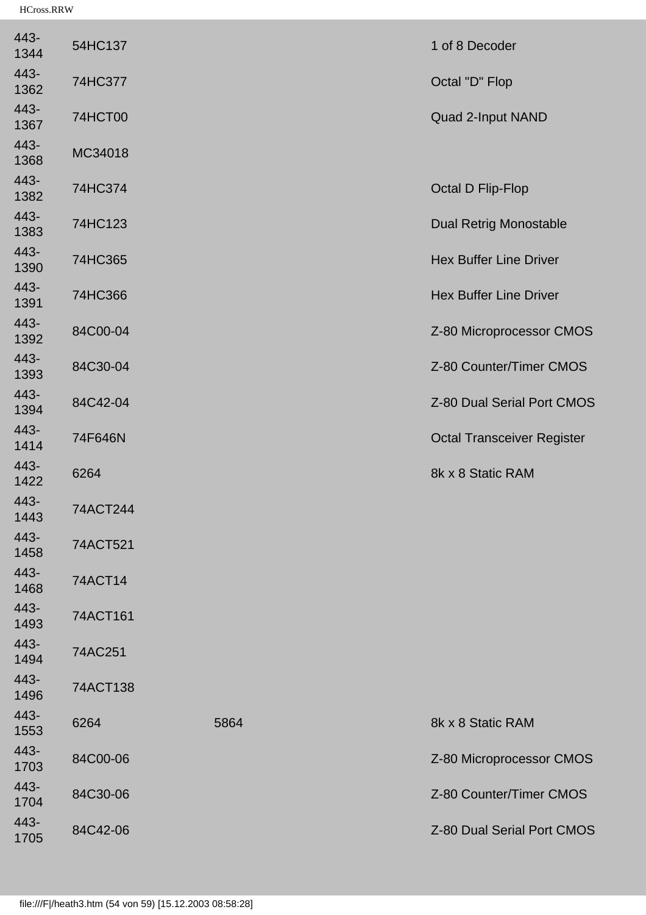| 443-<br>1344 | 54HC137  |      | 1 of 8 Decoder                    |
|--------------|----------|------|-----------------------------------|
| 443-<br>1362 | 74HC377  |      | Octal "D" Flop                    |
| 443-<br>1367 | 74HCT00  |      | Quad 2-Input NAND                 |
| 443-<br>1368 | MC34018  |      |                                   |
| 443-<br>1382 | 74HC374  |      | <b>Octal D Flip-Flop</b>          |
| 443-<br>1383 | 74HC123  |      | <b>Dual Retrig Monostable</b>     |
| 443-<br>1390 | 74HC365  |      | <b>Hex Buffer Line Driver</b>     |
| 443-<br>1391 | 74HC366  |      | <b>Hex Buffer Line Driver</b>     |
| 443-<br>1392 | 84C00-04 |      | Z-80 Microprocessor CMOS          |
| 443-<br>1393 | 84C30-04 |      | Z-80 Counter/Timer CMOS           |
| 443-<br>1394 | 84C42-04 |      | Z-80 Dual Serial Port CMOS        |
| 443-<br>1414 | 74F646N  |      | <b>Octal Transceiver Register</b> |
| 443-<br>1422 | 6264     |      | 8k x 8 Static RAM                 |
| 443-<br>1443 | 74ACT244 |      |                                   |
| 443-<br>1458 | 74ACT521 |      |                                   |
| 443-<br>1468 | 74ACT14  |      |                                   |
| 443-<br>1493 | 74ACT161 |      |                                   |
| 443-<br>1494 | 74AC251  |      |                                   |
| 443-<br>1496 | 74ACT138 |      |                                   |
| 443-<br>1553 | 6264     | 5864 | 8k x 8 Static RAM                 |
| 443-<br>1703 | 84C00-06 |      | Z-80 Microprocessor CMOS          |
| 443-<br>1704 | 84C30-06 |      | Z-80 Counter/Timer CMOS           |
| 443-<br>1705 | 84C42-06 |      | Z-80 Dual Serial Port CMOS        |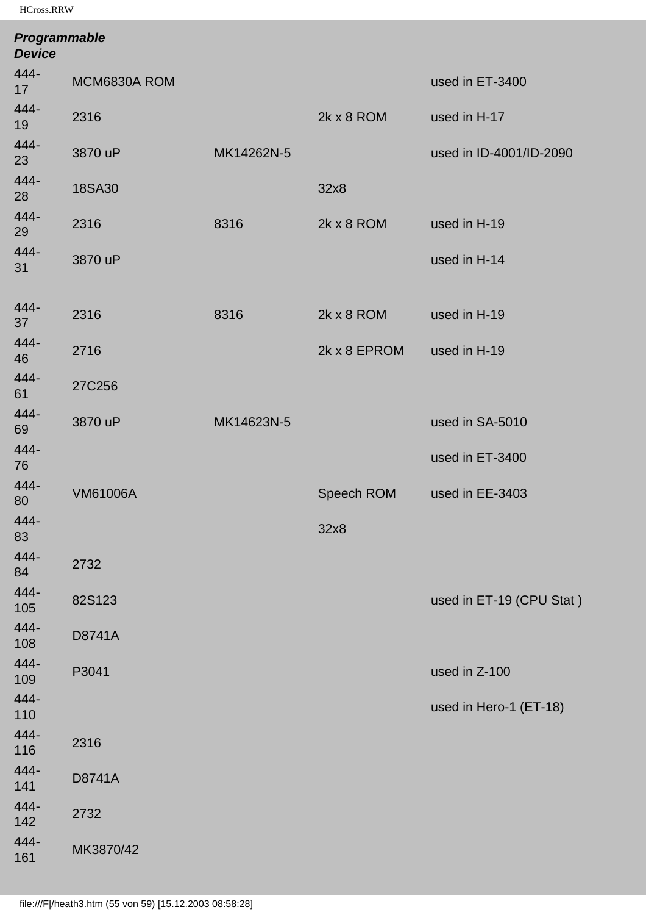| Programmable<br><b>Device</b> |                 |            |              |                          |
|-------------------------------|-----------------|------------|--------------|--------------------------|
| 444-<br>17                    | MCM6830A ROM    |            |              | used in ET-3400          |
| 444-<br>19                    | 2316            |            | 2k x 8 ROM   | used in H-17             |
| 444-<br>23                    | 3870 uP         | MK14262N-5 |              | used in ID-4001/ID-2090  |
| 444-<br>28                    | 18SA30          |            | 32x8         |                          |
| 444-<br>29                    | 2316            | 8316       | 2k x 8 ROM   | used in H-19             |
| 444-<br>31                    | 3870 uP         |            |              | used in H-14             |
| 444-<br>37                    | 2316            | 8316       | 2k x 8 ROM   | used in H-19             |
| 444-<br>46                    | 2716            |            | 2k x 8 EPROM | used in H-19             |
| 444-<br>61                    | 27C256          |            |              |                          |
| 444-<br>69                    | 3870 uP         | MK14623N-5 |              | used in SA-5010          |
| 444-<br>76                    |                 |            |              | used in ET-3400          |
| 444-<br>80                    | <b>VM61006A</b> |            | Speech ROM   | used in EE-3403          |
| 444-<br>83                    |                 |            | 32x8         |                          |
| 444-<br>84                    | 2732            |            |              |                          |
| 444-<br>105                   | 82S123          |            |              | used in ET-19 (CPU Stat) |
| 444-<br>108                   | D8741A          |            |              |                          |
| 444-<br>109                   | P3041           |            |              | used in Z-100            |
| 444-<br>110                   |                 |            |              | used in Hero-1 (ET-18)   |
| 444-<br>116                   | 2316            |            |              |                          |
| 444-<br>141                   | D8741A          |            |              |                          |
| 444-<br>142                   | 2732            |            |              |                          |
| 444-<br>161                   | MK3870/42       |            |              |                          |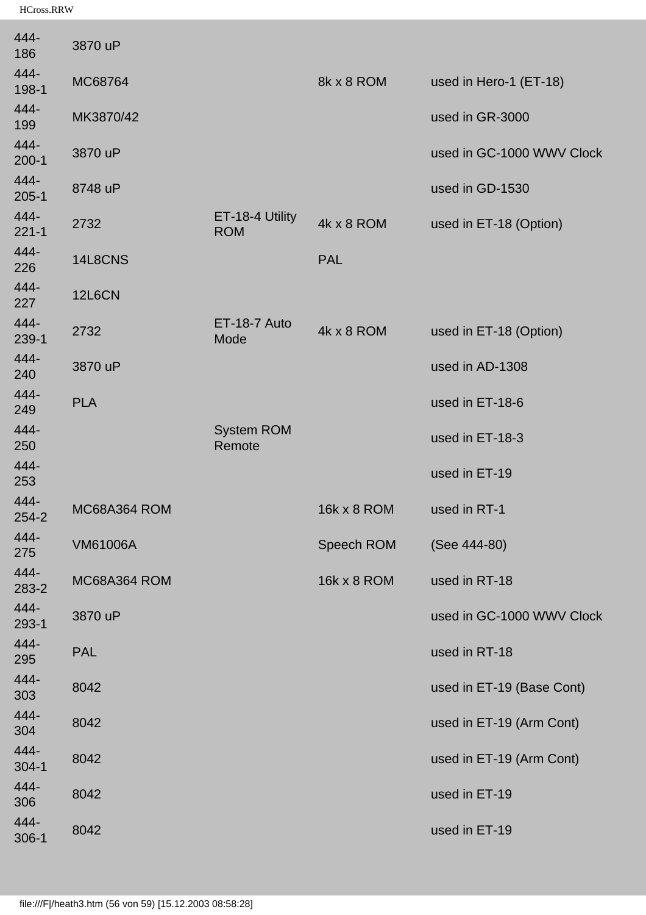| 444-<br>186       | 3870 uP         |                               |             |                           |
|-------------------|-----------------|-------------------------------|-------------|---------------------------|
| 444-<br>198-1     | MC68764         |                               | 8k x 8 ROM  | used in Hero-1 (ET-18)    |
| 444-<br>199       | MK3870/42       |                               |             | used in GR-3000           |
| 444-<br>$200-1$   | 3870 uP         |                               |             | used in GC-1000 WWV Clock |
| 444-<br>205-1     | 8748 uP         |                               |             | used in GD-1530           |
| 444-<br>$221 - 1$ | 2732            | ET-18-4 Utility<br><b>ROM</b> | 4k x 8 ROM  | used in ET-18 (Option)    |
| 444-<br>226       | 14L8CNS         |                               | <b>PAL</b>  |                           |
| 444-<br>227       | <b>12L6CN</b>   |                               |             |                           |
| 444-<br>239-1     | 2732            | ET-18-7 Auto<br>Mode          | 4k x 8 ROM  | used in ET-18 (Option)    |
| 444-<br>240       | 3870 uP         |                               |             | used in AD-1308           |
| 444-<br>249       | <b>PLA</b>      |                               |             | used in ET-18-6           |
| 444-<br>250       |                 | <b>System ROM</b><br>Remote   |             | used in ET-18-3           |
| 444-<br>253       |                 |                               |             | used in ET-19             |
| 444-<br>254-2     | MC68A364 ROM    |                               | 16k x 8 ROM | used in RT-1              |
| 444-<br>275       | <b>VM61006A</b> |                               | Speech ROM  | (See 444-80)              |
| 444-<br>283-2     | MC68A364 ROM    |                               | 16k x 8 ROM | used in RT-18             |
| 444-<br>293-1     | 3870 uP         |                               |             | used in GC-1000 WWV Clock |
| 444-<br>295       | <b>PAL</b>      |                               |             | used in RT-18             |
| 444-<br>303       | 8042            |                               |             | used in ET-19 (Base Cont) |
| 444-<br>304       | 8042            |                               |             | used in ET-19 (Arm Cont)  |
| 444-<br>304-1     | 8042            |                               |             | used in ET-19 (Arm Cont)  |
| 444-<br>306       | 8042            |                               |             | used in ET-19             |
| 444-<br>306-1     | 8042            |                               |             | used in ET-19             |
|                   |                 |                               |             |                           |